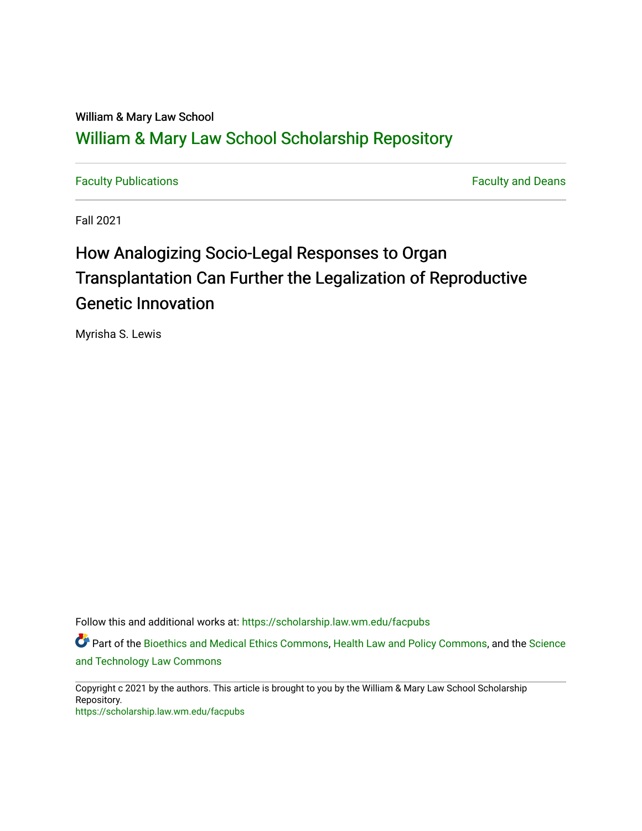# William & Mary Law School [William & Mary Law School Scholarship Repository](https://scholarship.law.wm.edu/)

[Faculty Publications](https://scholarship.law.wm.edu/facpubs) [Faculty and Deans](https://scholarship.law.wm.edu/faculty) 

Fall 2021

# How Analogizing Socio-Legal Responses to Organ Transplantation Can Further the Legalization of Reproductive Genetic Innovation

Myrisha S. Lewis

Follow this and additional works at: [https://scholarship.law.wm.edu/facpubs](https://scholarship.law.wm.edu/facpubs?utm_source=scholarship.law.wm.edu%2Ffacpubs%2F2057&utm_medium=PDF&utm_campaign=PDFCoverPages)

Part of the [Bioethics and Medical Ethics Commons,](http://network.bepress.com/hgg/discipline/650?utm_source=scholarship.law.wm.edu%2Ffacpubs%2F2057&utm_medium=PDF&utm_campaign=PDFCoverPages) [Health Law and Policy Commons,](http://network.bepress.com/hgg/discipline/901?utm_source=scholarship.law.wm.edu%2Ffacpubs%2F2057&utm_medium=PDF&utm_campaign=PDFCoverPages) and the Science [and Technology Law Commons](http://network.bepress.com/hgg/discipline/875?utm_source=scholarship.law.wm.edu%2Ffacpubs%2F2057&utm_medium=PDF&utm_campaign=PDFCoverPages) 

Copyright c 2021 by the authors. This article is brought to you by the William & Mary Law School Scholarship Repository. <https://scholarship.law.wm.edu/facpubs>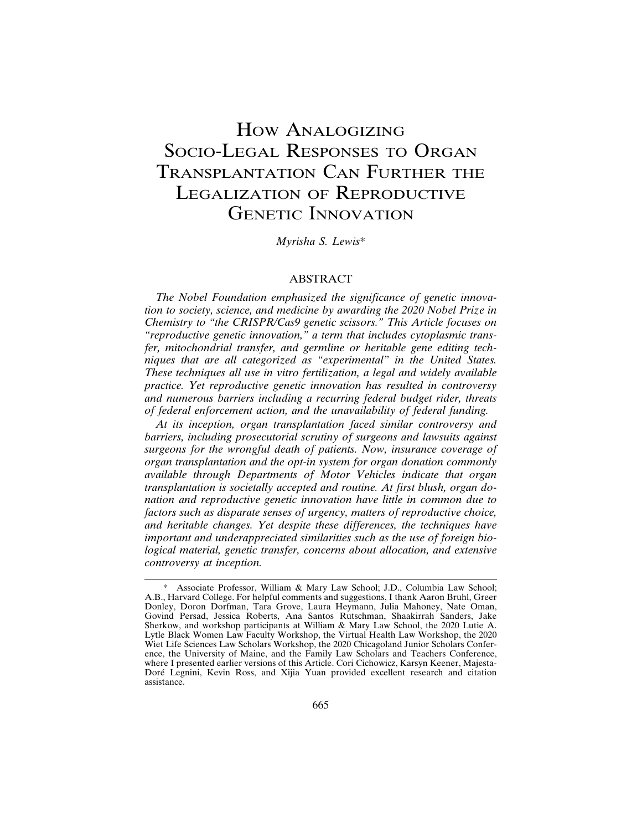# HOW ANALOGIZING SOCIO-LEGAL RESPONSES TO ORGAN TRANSPLANTATION CAN FURTHER THE LEGALIZATION OF REPRODUCTIVE GENETIC INNOVATION

*Myrisha S. Lewis*\*

### ABSTRACT

*The Nobel Foundation emphasized the significance of genetic innovation to society, science, and medicine by awarding the 2020 Nobel Prize in Chemistry to "the CRISPR/Cas9 genetic scissors." This Article focuses on "reproductive genetic innovation," a term that includes cytoplasmic transfer, mitochondrial transfer, and germline or heritable gene editing techniques that are all categorized as "experimental" in the United States. These techniques all use in vitro fertilization, a legal and widely available practice. Yet reproductive genetic innovation has resulted in controversy and numerous barriers including a recurring federal budget rider, threats of federal enforcement action, and the unavailability of federal funding.*

*At its inception, organ transplantation faced similar controversy and barriers, including prosecutorial scrutiny of surgeons and lawsuits against surgeons for the wrongful death of patients. Now, insurance coverage of organ transplantation and the opt-in system for organ donation commonly available through Departments of Motor Vehicles indicate that organ transplantation is societally accepted and routine. At first blush, organ donation and reproductive genetic innovation have little in common due to factors such as disparate senses of urgency, matters of reproductive choice, and heritable changes. Yet despite these differences, the techniques have important and underappreciated similarities such as the use of foreign biological material, genetic transfer, concerns about allocation, and extensive controversy at inception.*

Associate Professor, William & Mary Law School; J.D., Columbia Law School; A.B., Harvard College. For helpful comments and suggestions, I thank Aaron Bruhl, Greer Donley, Doron Dorfman, Tara Grove, Laura Heymann, Julia Mahoney, Nate Oman, Govind Persad, Jessica Roberts, Ana Santos Rutschman, Shaakirrah Sanders, Jake Sherkow, and workshop participants at William & Mary Law School, the 2020 Lutie A. Lytle Black Women Law Faculty Workshop, the Virtual Health Law Workshop, the 2020 Wiet Life Sciences Law Scholars Workshop, the 2020 Chicagoland Junior Scholars Conference, the University of Maine, and the Family Law Scholars and Teachers Conference, where I presented earlier versions of this Article. Cori Cichowicz, Karsyn Keener, Majesta-Doré Legnini, Kevin Ross, and Xijia Yuan provided excellent research and citation assistance.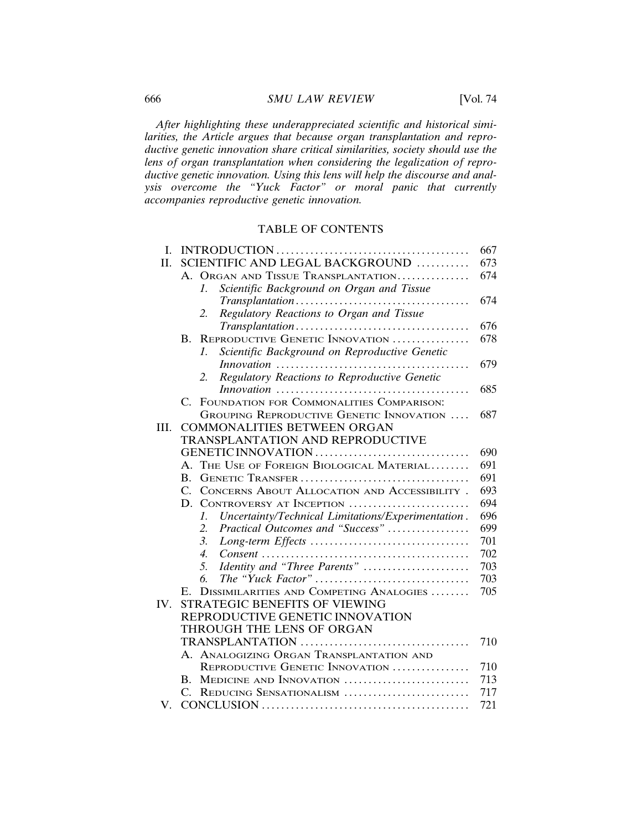*After highlighting these underappreciated scientific and historical similarities, the Article argues that because organ transplantation and reproductive genetic innovation share critical similarities, society should use the lens of organ transplantation when considering the legalization of reproductive genetic innovation. Using this lens will help the discourse and analysis overcome the "Yuck Factor" or moral panic that currently accompanies reproductive genetic innovation.*

# TABLE OF CONTENTS

| L.  |                                                                       | 667 |
|-----|-----------------------------------------------------------------------|-----|
| Η.  | SCIENTIFIC AND LEGAL BACKGROUND                                       | 673 |
|     | A. ORGAN AND TISSUE TRANSPLANTATION                                   | 674 |
|     | $\mathcal{I}$<br>Scientific Background on Organ and Tissue            |     |
|     |                                                                       | 674 |
|     | Regulatory Reactions to Organ and Tissue<br>2.                        |     |
|     |                                                                       | 676 |
|     | REPRODUCTIVE GENETIC INNOVATION<br>В.                                 | 678 |
|     | Scientific Background on Reproductive Genetic<br>$\mathcal{I}$ .      |     |
|     | Innovation                                                            | 679 |
|     | Regulatory Reactions to Reproductive Genetic<br>2.                    |     |
|     |                                                                       | 685 |
|     | FOUNDATION FOR COMMONALITIES COMPARISON:<br>$C_{\cdot}$               |     |
|     | GROUPING REPRODUCTIVE GENETIC INNOVATION                              | 687 |
| HL. | <b>COMMONALITIES BETWEEN ORGAN</b>                                    |     |
|     | TRANSPLANTATION AND REPRODUCTIVE                                      |     |
|     | GENETIC INNOVATION                                                    | 690 |
|     | THE USE OF FOREIGN BIOLOGICAL MATERIAL<br>$\mathsf{A}$ .              | 691 |
|     | B.                                                                    | 691 |
|     | $C_{\cdot}$<br>CONCERNS ABOUT ALLOCATION AND ACCESSIBILITY.           | 693 |
|     | D.<br>CONTROVERSY AT INCEPTION                                        | 694 |
|     | Uncertainty/Technical Limitations/Experimentation.<br>$\mathcal{I}$ . | 696 |
|     | Practical Outcomes and "Success"<br>2.                                | 699 |
|     | 3.                                                                    | 701 |
|     | $\overline{4}$ .                                                      | 702 |
|     | Identity and "Three Parents"<br>5.                                    | 703 |
|     | б.                                                                    | 703 |
|     | DISSIMILARITIES AND COMPETING ANALOGIES<br>$E_{\rm{m}}$               | 705 |
| IV. | STRATEGIC BENEFITS OF VIEWING                                         |     |
|     | REPRODUCTIVE GENETIC INNOVATION                                       |     |
|     | THROUGH THE LENS OF ORGAN                                             |     |
|     |                                                                       | 710 |
|     | A. ANALOGIZING ORGAN TRANSPLANTATION AND                              |     |
|     | REPRODUCTIVE GENETIC INNOVATION                                       | 710 |
|     | B. MEDICINE AND INNOVATION                                            | 713 |
|     | $C_{\cdot}$<br>REDUCING SENSATIONALISM                                | 717 |
| V.  |                                                                       | 721 |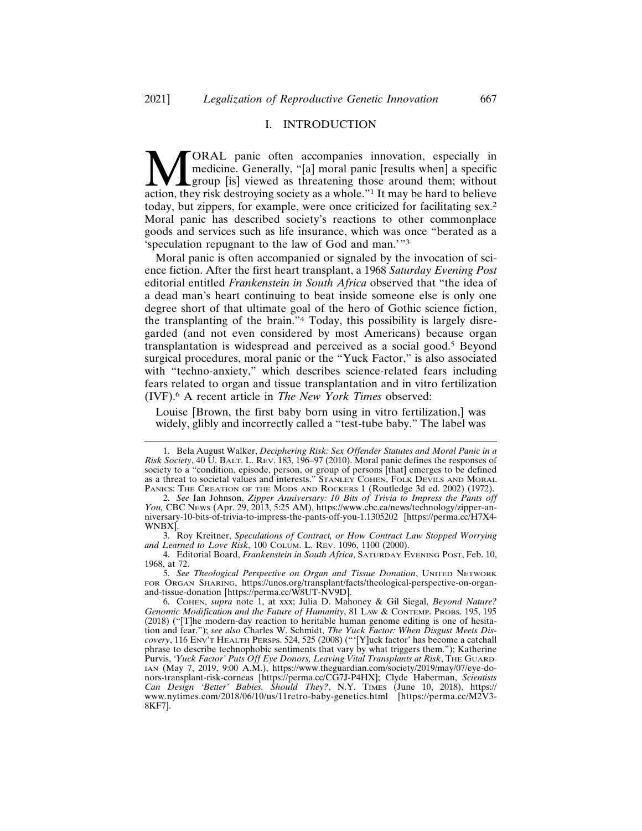#### I. INTRODUCTION

**MORAL** panic often accompanies innovation, especially in medicine. Generally, "[a] moral panic [results when] a specific group [is] viewed as threatening those around them; without action, they risk destroying society as medicine. Generally, "[a] moral panic [results when] a specific group [is] viewed as threatening those around them; without action, they risk destroying society as a whole."1 It may be hard to believe today, but zippers, for example, were once criticized for facilitating sex.<sup>2</sup> Moral panic has described society's reactions to other commonplace goods and services such as life insurance, which was once "berated as a 'speculation repugnant to the law of God and man.'"<sup>3</sup>

Moral panic is often accompanied or signaled by the invocation of science fiction. After the first heart transplant, a 1968 *Saturday Evening Post* editorial entitled *Frankenstein in South Africa* observed that "the idea of a dead man's heart continuing to beat inside someone else is only one degree short of that ultimate goal of the hero of Gothic science fiction, the transplanting of the brain."4 Today, this possibility is largely disregarded (and not even considered by most Americans) because organ transplantation is widespread and perceived as a social good.5 Beyond surgical procedures, moral panic or the "Yuck Factor," is also associated with "techno-anxiety," which describes science-related fears including fears related to organ and tissue transplantation and in vitro fertilization (IVF).6 A recent article in *The New York Times* observed:

Louise [Brown, the first baby born using in vitro fertilization,] was widely, glibly and incorrectly called a "test-tube baby." The label was

<sup>1.</sup> Bela August Walker, *Deciphering Risk: Sex Offender Statutes and Moral Panic in a Risk Society*, 40 U. BALT. L. REV. 183, 196–97 (2010). Moral panic defines the responses of society to a "condition, episode, person, or group of persons [that] emerges to be defined as a threat to societal values and interests." STANLEY COHEN, FOLK DEVILS AND MORAL PANICS: THE CREATION OF THE MODS AND ROCKERS 1 (Routledge 3d ed. 2002) (1972).

<sup>2.</sup> *See* Ian Johnson, *Zipper Anniversary: 10 Bits of Trivia to Impress the Pants off You,* CBC NEWS (Apr. 29, 2013, 5:25 AM), https://www.cbc.ca/news/technology/zipper-anniversary-10-bits-of-trivia-to-impress-the-pants-off-you-1.1305202 [https://perma.cc/H7X4- WNBX].

<sup>3.</sup> Roy Kreitner, *Speculations of Contract, or How Contract Law Stopped Worrying and Learned to Love Risk*, 100 COLUM. L. REV. 1096, 1100 (2000).

<sup>4.</sup> Editorial Board, *Frankenstein in South Africa*, SATURDAY EVENING POST, Feb. 10, 1968, at 72.

<sup>5.</sup> *See Theological Perspective on Organ and Tissue Donation*, UNITED NETWORK FOR ORGAN SHARING, https://unos.org/transplant/facts/theological-perspective-on-organand-tissue-donation [https://perma.cc/W8UT-NV9D].

<sup>6.</sup> COHEN, *supra* note 1, at xxx; Julia D. Mahoney & Gil Siegal, *Beyond Nature? Genomic Modification and the Future of Humanity*, 81 LAW & CONTEMP. PROBS. 195, 195 (2018) ("[T]he modern-day reaction to heritable human genome editing is one of hesitation and fear."); *see also* Charles W. Schmidt, *The Yuck Factor: When Disgust Meets Discovery*, 116 ENV'T HEALTH PERSPS. 524, 525 (2008) ("'[Y]uck factor' has become a catchall phrase to describe technophobic sentiments that vary by what triggers them."); Katherine Purvis, *'Yuck Factor' Puts Off Eye Donors, Leaving Vital Transplants at Risk*, THE GUARD-IAN (May 7, 2019, 9:00 A.M.), https://www.theguardian.com/society/2019/may/07/eye-donors-transplant-risk-corneas [https://perma.cc/CG7J-P4HX]; Clyde Haberman, *Scientists Can Design 'Better' Babies. Should They?*, N.Y. TIMES (June 10, 2018), https:// www.nytimes.com/2018/06/10/us/11retro-baby-genetics.html [https://perma.cc/M2V3- 8KF7].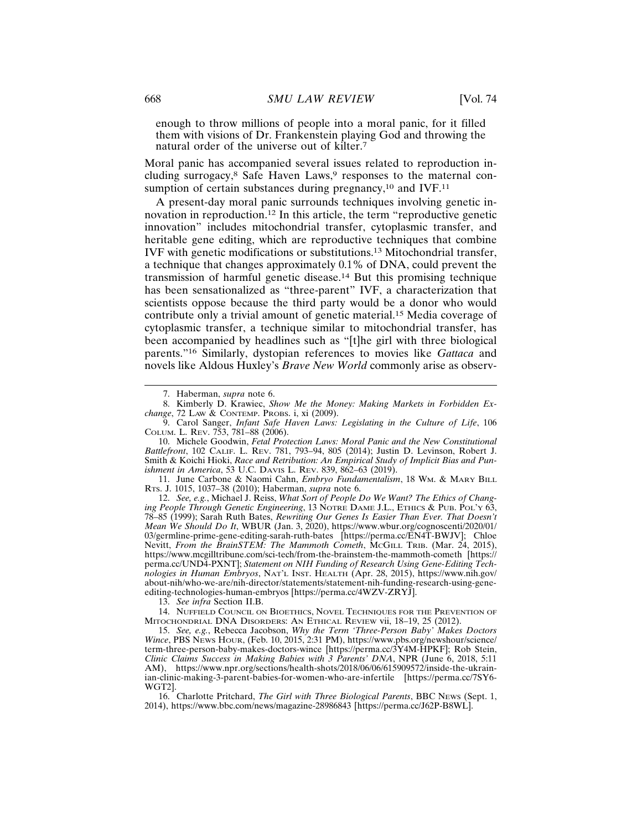enough to throw millions of people into a moral panic, for it filled them with visions of Dr. Frankenstein playing God and throwing the natural order of the universe out of kilter.<sup>7</sup>

Moral panic has accompanied several issues related to reproduction including surrogacy,<sup>8</sup> Safe Haven Laws,<sup>9</sup> responses to the maternal consumption of certain substances during pregnancy, $10$  and IVF. $11$ 

A present-day moral panic surrounds techniques involving genetic innovation in reproduction.12 In this article, the term "reproductive genetic innovation" includes mitochondrial transfer, cytoplasmic transfer, and heritable gene editing, which are reproductive techniques that combine IVF with genetic modifications or substitutions.13 Mitochondrial transfer, a technique that changes approximately 0.1% of DNA, could prevent the transmission of harmful genetic disease.14 But this promising technique has been sensationalized as "three-parent" IVF, a characterization that scientists oppose because the third party would be a donor who would contribute only a trivial amount of genetic material.15 Media coverage of cytoplasmic transfer, a technique similar to mitochondrial transfer, has been accompanied by headlines such as "[t]he girl with three biological parents."16 Similarly, dystopian references to movies like *Gattaca* and novels like Aldous Huxley's *Brave New World* commonly arise as observ-

10. Michele Goodwin, *Fetal Protection Laws: Moral Panic and the New Constitutional Battlefront*, 102 CALIF. L. REV. 781, 793–94, 805 (2014); Justin D. Levinson, Robert J. Smith & Koichi Hioki, *Race and Retribution: An Empirical Study of Implicit Bias and Punishment in America*, 53 U.C. DAVIS L. REV. 839, 862–63 (2019).

11. June Carbone & Naomi Cahn, *Embryo Fundamentalism*, 18 WM. & MARY BILL RTS. J. 1015, 1037–38 (2010); Haberman, *supra* note 6.

12. *See, e.g.*, Michael J. Reiss, *What Sort of People Do We Want? The Ethics of Changing People Through Genetic Engineering*, 13 NOTRE DAME J.L., ETHICS & PUB. POL'Y 63, 78–85 (1999); Sarah Ruth Bates, *Rewriting Our Genes Is Easier Than Ever. That Doesn't Mean We Should Do It*, WBUR (Jan. 3, 2020), https://www.wbur.org/cognoscenti/2020/01/ 03/germline-prime-gene-editing-sarah-ruth-bates [https://perma.cc/EN4T-BWJV]; Chloe Nevitt, *From the BrainSTEM: The Mammoth Cometh*, MCGILL TRIB. (Mar. 24, 2015), https://www.mcgilltribune.com/sci-tech/from-the-brainstem-the-mammoth-cometh [https:// perma.cc/UND4-PXNT]; *Statement on NIH Funding of Research Using Gene-Editing Technologies in Human Embryos*, NAT'L INST. HEALTH (Apr. 28, 2015), https://www.nih.gov/ about-nih/who-we-are/nih-director/statements/statement-nih-funding-research-using-geneediting-technologies-human-embryos [https://perma.cc/4WZV-ZRYJ].

13. *See infra* Section II.B.

14. NUFFIELD COUNCIL ON BIOETHICS, NOVEL TECHNIQUES FOR THE PREVENTION OF MITOCHONDRIAL DNA DISORDERS: AN ETHICAL REVIEW vii, 18–19, 25 (2012).

15. *See, e.g.*, Rebecca Jacobson, *Why the Term 'Three-Person Baby' Makes Doctors Wince*, PBS NEWS HOUR, (Feb. 10, 2015, 2:31 PM), https://www.pbs.org/newshour/science/ term-three-person-baby-makes-doctors-wince [https://perma.cc/3Y4M-HPKF]; Rob Stein, *Clinic Claims Success in Making Babies with 3 Parents' DNA*, NPR (June 6, 2018, 5:11 AM), https://www.npr.org/sections/health-shots/2018/06/06/615909572/inside-the-ukrainian-clinic-making-3-parent-babies-for-women-who-are-infertile [https://perma.cc/7SY6- WGT2].

16. Charlotte Pritchard, *The Girl with Three Biological Parents*, BBC NEWS (Sept. 1, 2014), https://www.bbc.com/news/magazine-28986843 [https://perma.cc/J62P-B8WL].

<sup>7.</sup> Haberman, *supra* note 6.

<sup>8.</sup> Kimberly D. Krawiec, *Show Me the Money: Making Markets in Forbidden Exchange*, 72 LAW & CONTEMP. PROBS. i, xi (2009).

<sup>9.</sup> Carol Sanger, *Infant Safe Haven Laws: Legislating in the Culture of Life*, 106 COLUM. L. REV. 753, 781–88 (2006).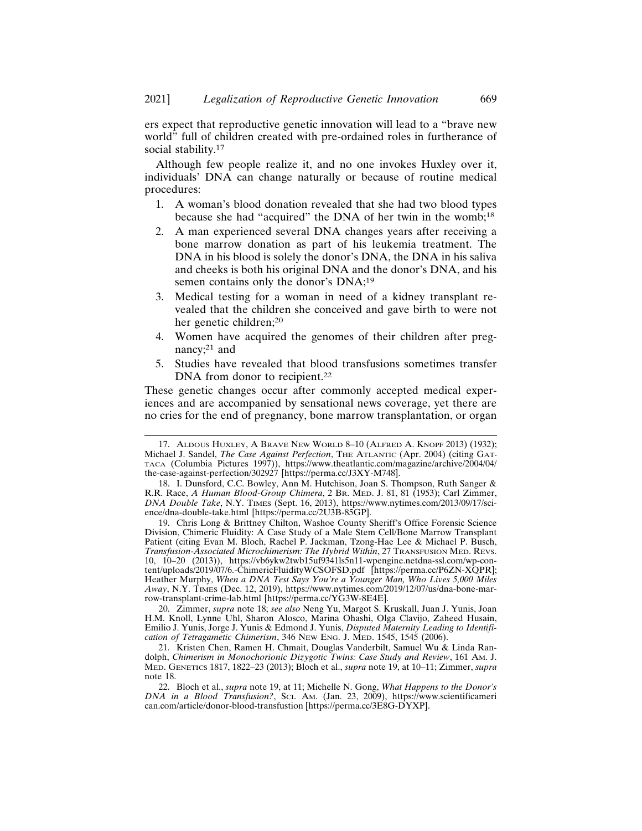ers expect that reproductive genetic innovation will lead to a "brave new world" full of children created with pre-ordained roles in furtherance of social stability.<sup>17</sup>

Although few people realize it, and no one invokes Huxley over it, individuals' DNA can change naturally or because of routine medical procedures:

- 1. A woman's blood donation revealed that she had two blood types because she had "acquired" the DNA of her twin in the womb;<sup>18</sup>
- 2. A man experienced several DNA changes years after receiving a bone marrow donation as part of his leukemia treatment. The DNA in his blood is solely the donor's DNA, the DNA in his saliva and cheeks is both his original DNA and the donor's DNA, and his semen contains only the donor's DNA;<sup>19</sup>
- 3. Medical testing for a woman in need of a kidney transplant revealed that the children she conceived and gave birth to were not her genetic children;<sup>20</sup>
- 4. Women have acquired the genomes of their children after pregnancy;<sup>21</sup> and
- 5. Studies have revealed that blood transfusions sometimes transfer DNA from donor to recipient.<sup>22</sup>

These genetic changes occur after commonly accepted medical experiences and are accompanied by sensational news coverage, yet there are no cries for the end of pregnancy, bone marrow transplantation, or organ

20. Zimmer, *supra* note 18; *see also* Neng Yu, Margot S. Kruskall, Juan J. Yunis, Joan H.M. Knoll, Lynne Uhl, Sharon Alosco, Marina Ohashi, Olga Clavijo, Zaheed Husain, Emilio J. Yunis, Jorge J. Yunis & Edmond J. Yunis, *Disputed Maternity Leading to Identification of Tetragametic Chimerism*, 346 NEW ENG. J. MED. 1545, 1545 (2006).

<sup>17.</sup> ALDOUS HUXLEY, A BRAVE NEW WORLD 8–10 (ALFRED A. KNOPF 2013) (1932); Michael J. Sandel, *The Case Against Perfection*, THE ATLANTIC (Apr. 2004) (citing GAT-TACA (Columbia Pictures 1997)), https://www.theatlantic.com/magazine/archive/2004/04/ the-case-against-perfection/302927 [https://perma.cc/J3XY-M748].

<sup>18.</sup> I. Dunsford, C.C. Bowley, Ann M. Hutchison, Joan S. Thompson, Ruth Sanger & R.R. Race, *A Human Blood-Group Chimera*, 2 BR. MED. J. 81, 81 (1953); Carl Zimmer, *DNA Double Take*, N.Y. TIMES (Sept. 16, 2013), https://www.nytimes.com/2013/09/17/science/dna-double-take.html [https://perma.cc/2U3B-85GP].

<sup>19.</sup> Chris Long & Brittney Chilton, Washoe County Sheriff's Office Forensic Science Division, Chimeric Fluidity: A Case Study of a Male Stem Cell/Bone Marrow Transplant Patient (citing Evan M. Bloch, Rachel P. Jackman, Tzong-Hae Lee & Michael P. Busch, *Transfusion-Associated Microchimerism: The Hybrid Within*, 27 TRANSFUSION MED. REVS. 10, 10–20 (2013)), https://vb6ykw2twb15uf9341ls5n11-wpengine.netdna-ssl.com/wp-content/uploads/2019/07/6.-ChimericFluidityWCSOFSD.pdf [https://perma.cc/P6ZN-XQPR]; Heather Murphy, *When a DNA Test Says You're a Younger Man, Who Lives 5,000 Miles Away*, N.Y. TIMES (Dec. 12, 2019), https://www.nytimes.com/2019/12/07/us/dna-bone-marrow-transplant-crime-lab.html [https://perma.cc/YG3W-8E4E].

<sup>21.</sup> Kristen Chen, Ramen H. Chmait, Douglas Vanderbilt, Samuel Wu & Linda Randolph, *Chimerism in Monochorionic Dizygotic Twins: Case Study and Review*, 161 AM. J. MED. GENETICS 1817, 1822–23 (2013); Bloch et al., *supra* note 19, at 10–11; Zimmer, *supra* note 18.

<sup>22.</sup> Bloch et al., *supra* note 19, at 11; Michelle N. Gong, *What Happens to the Donor's DNA in a Blood Transfusion?*, SCI. AM. (Jan. 23, 2009), https://www.scientificameri can.com/article/donor-blood-transfustion [https://perma.cc/3E8G-DYXP].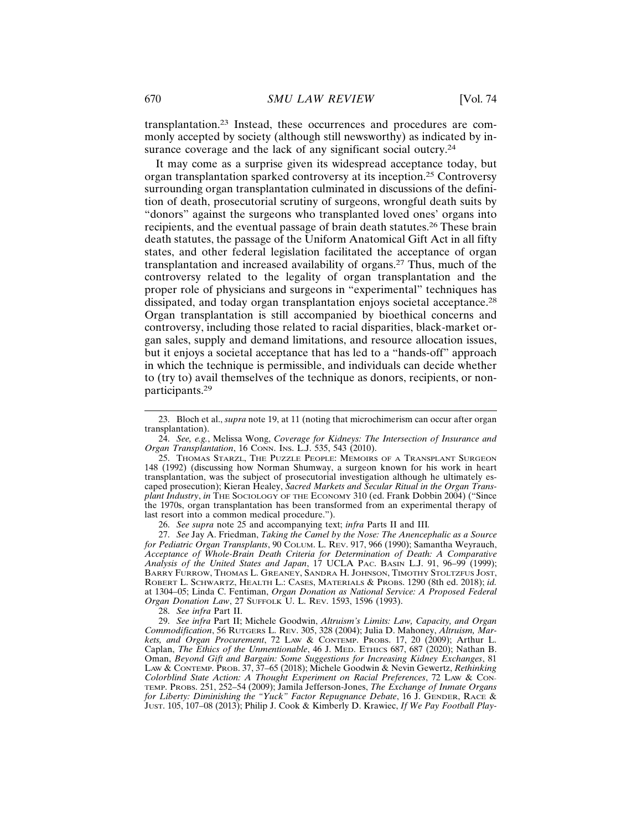transplantation.23 Instead, these occurrences and procedures are commonly accepted by society (although still newsworthy) as indicated by insurance coverage and the lack of any significant social outcry.<sup>24</sup>

It may come as a surprise given its widespread acceptance today, but organ transplantation sparked controversy at its inception.25 Controversy surrounding organ transplantation culminated in discussions of the definition of death, prosecutorial scrutiny of surgeons, wrongful death suits by "donors" against the surgeons who transplanted loved ones' organs into recipients, and the eventual passage of brain death statutes.26 These brain death statutes, the passage of the Uniform Anatomical Gift Act in all fifty states, and other federal legislation facilitated the acceptance of organ transplantation and increased availability of organs.27 Thus, much of the controversy related to the legality of organ transplantation and the proper role of physicians and surgeons in "experimental" techniques has dissipated, and today organ transplantation enjoys societal acceptance.<sup>28</sup> Organ transplantation is still accompanied by bioethical concerns and controversy, including those related to racial disparities, black-market organ sales, supply and demand limitations, and resource allocation issues, but it enjoys a societal acceptance that has led to a "hands-off" approach in which the technique is permissible, and individuals can decide whether to (try to) avail themselves of the technique as donors, recipients, or nonparticipants.<sup>29</sup>

24. *See, e.g.*, Melissa Wong, *Coverage for Kidneys: The Intersection of Insurance and Organ Transplantation*, 16 CONN. INS. L.J. 535, 543 (2010).

26. *See supra* note 25 and accompanying text; *infra* Parts II and III*.*

27. *See* Jay A. Friedman, *Taking the Camel by the Nose: The Anencephalic as a Source for Pediatric Organ Transplants*, 90 COLUM. L. REV. 917, 966 (1990); Samantha Weyrauch, *Acceptance of Whole-Brain Death Criteria for Determination of Death: A Comparative Analysis of the United States and Japan*, 17 UCLA PAC. BASIN L.J. 91, 96–99 (1999); BARRY FURROW, THOMAS L. GREANEY, SANDRA H. JOHNSON, TIMOTHY STOLTZFUS JOST, ROBERT L. SCHWARTZ, HEALTH L.: CASES, MATERIALS & PROBS. 1290 (8th ed. 2018); *id.* at 1304–05; Linda C. Fentiman, *Organ Donation as National Service: A Proposed Federal Organ Donation Law*, 27 SUFFOLK U. L. REV. 1593, 1596 (1993).

28. *See infra* Part II.

29. *See infra* Part II; Michele Goodwin, *Altruism's Limits: Law, Capacity, and Organ Commodification*, 56 RUTGERS L. REV. 305, 328 (2004); Julia D. Mahoney, *Altruism, Markets, and Organ Procurement*, 72 LAW & CONTEMP. PROBS. 17, 20 (2009); Arthur L. Caplan, *The Ethics of the Unmentionable*, 46 J. MED. ETHICS 687, 687 (2020); Nathan B. Oman, *Beyond Gift and Bargain: Some Suggestions for Increasing Kidney Exchanges*, 81 LAW & CONTEMP. PROB. 37, 37–65 (2018); Michele Goodwin & Nevin Gewertz, *Rethinking Colorblind State Action: A Thought Experiment on Racial Preferences*, 72 LAW & CON-TEMP. PROBS. 251, 252–54 (2009); Jamila Jefferson-Jones, *The Exchange of Inmate Organs for Liberty: Diminishing the "Yuck" Factor Repugnance Debate*, 16 J. GENDER, RACE & JUST. 105, 107–08 (2013); Philip J. Cook & Kimberly D. Krawiec, *If We Pay Football Play-*

<sup>23.</sup> Bloch et al., *supra* note 19, at 11 (noting that microchimerism can occur after organ transplantation).

<sup>25.</sup> THOMAS STARZL, THE PUZZLE PEOPLE: MEMOIRS OF A TRANSPLANT SURGEON 148 (1992) (discussing how Norman Shumway, a surgeon known for his work in heart transplantation, was the subject of prosecutorial investigation although he ultimately escaped prosecution); Kieran Healey, *Sacred Markets and Secular Ritual in the Organ Transplant Industry*, *in* THE SOCIOLOGY OF THE ECONOMY 310 (ed. Frank Dobbin 2004) ("Since the 1970s, organ transplantation has been transformed from an experimental therapy of last resort into a common medical procedure.").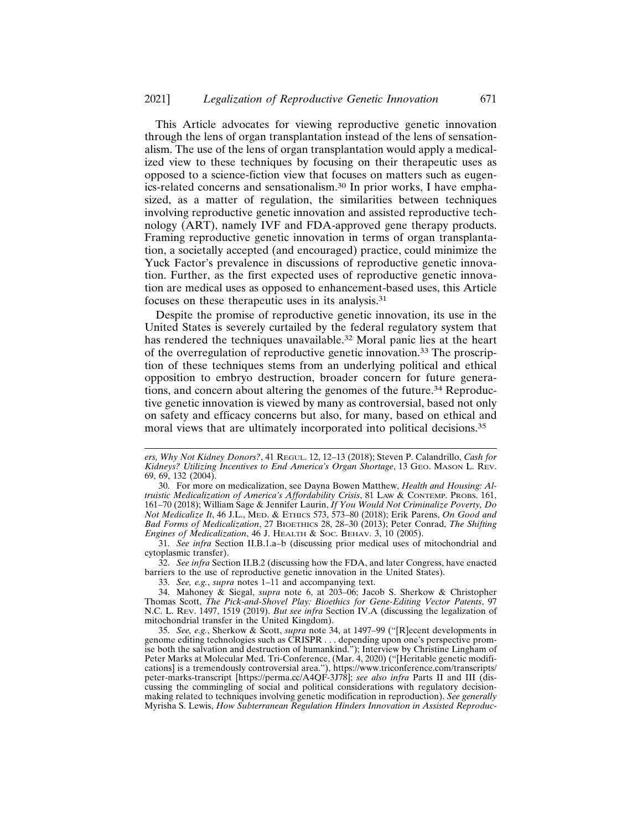This Article advocates for viewing reproductive genetic innovation through the lens of organ transplantation instead of the lens of sensationalism. The use of the lens of organ transplantation would apply a medicalized view to these techniques by focusing on their therapeutic uses as opposed to a science-fiction view that focuses on matters such as eugenics-related concerns and sensationalism.30 In prior works, I have emphasized, as a matter of regulation, the similarities between techniques involving reproductive genetic innovation and assisted reproductive technology (ART), namely IVF and FDA-approved gene therapy products. Framing reproductive genetic innovation in terms of organ transplantation, a societally accepted (and encouraged) practice, could minimize the Yuck Factor's prevalence in discussions of reproductive genetic innovation. Further, as the first expected uses of reproductive genetic innovation are medical uses as opposed to enhancement-based uses, this Article focuses on these therapeutic uses in its analysis.<sup>31</sup>

Despite the promise of reproductive genetic innovation, its use in the United States is severely curtailed by the federal regulatory system that has rendered the techniques unavailable.<sup>32</sup> Moral panic lies at the heart of the overregulation of reproductive genetic innovation.33 The proscription of these techniques stems from an underlying political and ethical opposition to embryo destruction, broader concern for future generations, and concern about altering the genomes of the future.34 Reproductive genetic innovation is viewed by many as controversial, based not only on safety and efficacy concerns but also, for many, based on ethical and moral views that are ultimately incorporated into political decisions.<sup>35</sup>

32. *See infra* Section II.B.2 (discussing how the FDA, and later Congress, have enacted barriers to the use of reproductive genetic innovation in the United States).

33. *See, e.g.*, *supra* notes 1–11 and accompanying text.

*ers, Why Not Kidney Donors?*, 41 REGUL. 12, 12–13 (2018); Steven P. Calandrillo, *Cash for Kidneys? Utilizing Incentives to End America's Organ Shortage*, 13 GEO. MASON L. REV. 69, 69, 132 (2004).

<sup>30.</sup> For more on medicalization, see Dayna Bowen Matthew, *Health and Housing: Altruistic Medicalization of America's Affordability Crisis*, 81 LAW & CONTEMP. PROBS. 161, 161–70 (2018); William Sage & Jennifer Laurin, *If You Would Not Criminalize Poverty, Do Not Medicalize It*, 46 J.L., MED. & ETHICS 573, 573–80 (2018); Erik Parens, *On Good and Bad Forms of Medicalization*, 27 BIOETHICS 28, 28–30 (2013); Peter Conrad, *The Shifting Engines of Medicalization*, 46 J. HEALTH & SOC. BEHAV. 3, 10 (2005).

<sup>31.</sup> *See infra* Section II.B.1.a–b (discussing prior medical uses of mitochondrial and cytoplasmic transfer).

<sup>34.</sup> Mahoney & Siegal, *supra* note 6, at 203–06; Jacob S. Sherkow & Christopher Thomas Scott, *The Pick-and-Shovel Play: Bioethics for Gene-Editing Vector Patents*, 97 N.C. L. REV. 1497, 1519 (2019). *But see infra* Section IV.A (discussing the legalization of mitochondrial transfer in the United Kingdom).

<sup>35.</sup> *See, e.g.*, Sherkow & Scott, *supra* note 34, at 1497–99 ("[R]ecent developments in genome editing technologies such as CRISPR . . . depending upon one's perspective promise both the salvation and destruction of humankind."); Interview by Christine Lingham of Peter Marks at Molecular Med. Tri-Conference, (Mar. 4, 2020) ("[Heritable genetic modifications] is a tremendously controversial area."), https://www.triconference.com/transcripts/ peter-marks-transcript [https://perma.cc/A4QF-3J78]; *see also infra* Parts II and III (discussing the commingling of social and political considerations with regulatory decisionmaking related to techniques involving genetic modification in reproduction). *See generally* Myrisha S. Lewis, *How Subterranean Regulation Hinders Innovation in Assisted Reproduc-*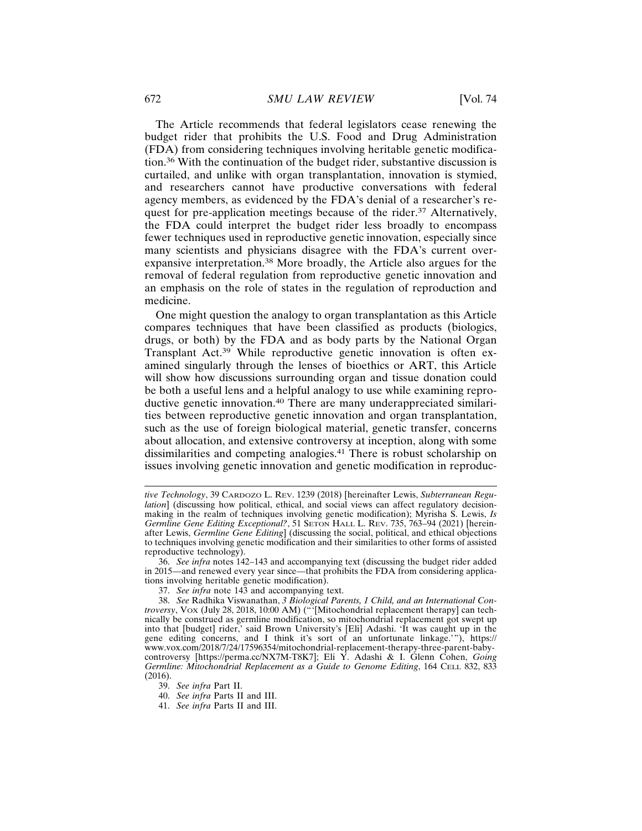The Article recommends that federal legislators cease renewing the budget rider that prohibits the U.S. Food and Drug Administration (FDA) from considering techniques involving heritable genetic modification.36 With the continuation of the budget rider, substantive discussion is curtailed, and unlike with organ transplantation, innovation is stymied, and researchers cannot have productive conversations with federal agency members, as evidenced by the FDA's denial of a researcher's request for pre-application meetings because of the rider.37 Alternatively, the FDA could interpret the budget rider less broadly to encompass fewer techniques used in reproductive genetic innovation, especially since many scientists and physicians disagree with the FDA's current overexpansive interpretation.38 More broadly, the Article also argues for the removal of federal regulation from reproductive genetic innovation and an emphasis on the role of states in the regulation of reproduction and medicine.

One might question the analogy to organ transplantation as this Article compares techniques that have been classified as products (biologics, drugs, or both) by the FDA and as body parts by the National Organ Transplant Act.39 While reproductive genetic innovation is often examined singularly through the lenses of bioethics or ART, this Article will show how discussions surrounding organ and tissue donation could be both a useful lens and a helpful analogy to use while examining reproductive genetic innovation.40 There are many underappreciated similarities between reproductive genetic innovation and organ transplantation, such as the use of foreign biological material, genetic transfer, concerns about allocation, and extensive controversy at inception, along with some dissimilarities and competing analogies.41 There is robust scholarship on issues involving genetic innovation and genetic modification in reproduc-

*tive Technology*, 39 CARDOZO L. REV. 1239 (2018) [hereinafter Lewis, *Subterranean Regulation*] (discussing how political, ethical, and social views can affect regulatory decisionmaking in the realm of techniques involving genetic modification); Myrisha S. Lewis, *Is Germline Gene Editing Exceptional?*, 51 SETON HALL L. REV. 735, 763–94 (2021) [hereinafter Lewis, *Germline Gene Editing*] (discussing the social, political, and ethical objections to techniques involving genetic modification and their similarities to other forms of assisted reproductive technology).

<sup>36.</sup> *See infra* notes 142–143 and accompanying text (discussing the budget rider added in 2015—and renewed every year since—that prohibits the FDA from considering applications involving heritable genetic modification).

<sup>37.</sup> *See infra* note 143 and accompanying text.

<sup>38.</sup> *See* Radhika Viswanathan, *3 Biological Parents, 1 Child, and an International Controversy*, VOX (July 28, 2018, 10:00 AM) ("'[Mitochondrial replacement therapy] can technically be construed as germline modification, so mitochondrial replacement got swept up into that [budget] rider,' said Brown University's [Eli] Adashi. 'It was caught up in the gene editing concerns, and I think it's sort of an unfortunate linkage.'"), https:// www.vox.com/2018/7/24/17596354/mitochondrial-replacement-therapy-three-parent-babycontroversy [https://perma.cc/NX7M-T8K7]; Eli Y. Adashi & I. Glenn Cohen, *Going Germline: Mitochondrial Replacement as a Guide to Genome Editing*, 164 CELL 832, 833 (2016).

<sup>39.</sup> *See infra* Part II.

<sup>40.</sup> *See infra* Parts II and III.

<sup>41.</sup> *See infra* Parts II and III.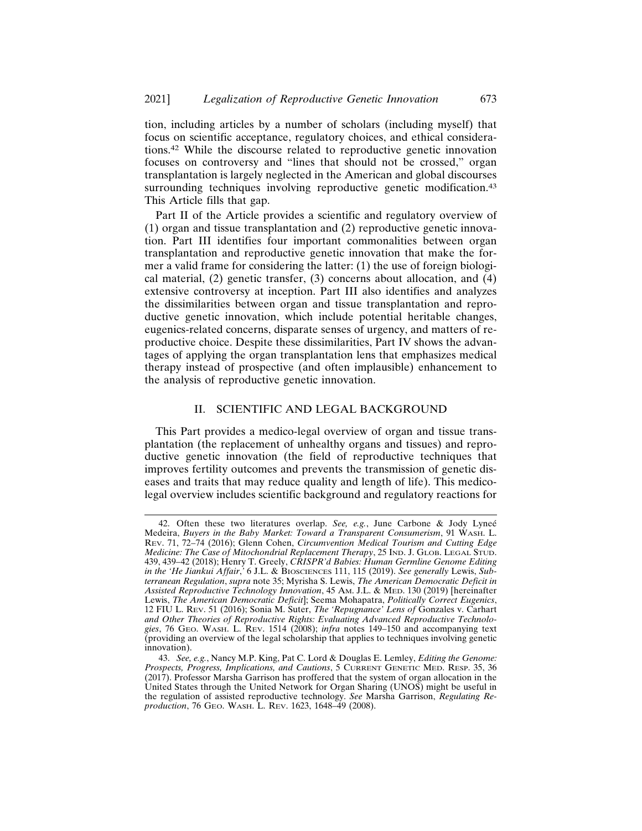tion, including articles by a number of scholars (including myself) that focus on scientific acceptance, regulatory choices, and ethical considerations.42 While the discourse related to reproductive genetic innovation focuses on controversy and "lines that should not be crossed," organ transplantation is largely neglected in the American and global discourses surrounding techniques involving reproductive genetic modification.<sup>43</sup> This Article fills that gap.

Part II of the Article provides a scientific and regulatory overview of (1) organ and tissue transplantation and (2) reproductive genetic innovation. Part III identifies four important commonalities between organ transplantation and reproductive genetic innovation that make the former a valid frame for considering the latter: (1) the use of foreign biological material, (2) genetic transfer, (3) concerns about allocation, and (4) extensive controversy at inception. Part III also identifies and analyzes the dissimilarities between organ and tissue transplantation and reproductive genetic innovation, which include potential heritable changes, eugenics-related concerns, disparate senses of urgency, and matters of reproductive choice. Despite these dissimilarities, Part IV shows the advantages of applying the organ transplantation lens that emphasizes medical therapy instead of prospective (and often implausible) enhancement to the analysis of reproductive genetic innovation.

# II. SCIENTIFIC AND LEGAL BACKGROUND

This Part provides a medico-legal overview of organ and tissue transplantation (the replacement of unhealthy organs and tissues) and reproductive genetic innovation (the field of reproductive techniques that improves fertility outcomes and prevents the transmission of genetic diseases and traits that may reduce quality and length of life). This medicolegal overview includes scientific background and regulatory reactions for

<sup>42.</sup> Often these two literatures overlap. *See, e.g.*, June Carbone & Jody Lyneé Medeira, *Buyers in the Baby Market: Toward a Transparent Consumerism*, 91 WASH. L. REV. 71, 72–74 (2016); Glenn Cohen, *Circumvention Medical Tourism and Cutting Edge Medicine: The Case of Mitochondrial Replacement Therapy*, 25 IND. J. GLOB. LEGAL STUD. 439, 439–42 (2018); Henry T. Greely, *CRISPR'd Babies: Human Germline Genome Editing in the 'He Jiankui Affair*,*'* 6 J.L. & BIOSCIENCES 111, 115 (2019). *See generally* Lewis, *Subterranean Regulation*, *supra* note 35; Myrisha S. Lewis, *The American Democratic Deficit in Assisted Reproductive Technology Innovation*, 45 AM. J.L. & MED. 130 (2019) [hereinafter Lewis, *The American Democratic Deficit*]; Seema Mohapatra, *Politically Correct Eugenics*, 12 FIU L. REV. 51 (2016); Sonia M. Suter, *The 'Repugnance' Lens of* Gonzales v. Carhart *and Other Theories of Reproductive Rights: Evaluating Advanced Reproductive Technologies*, 76 GEO. WASH. L. REV. 1514 (2008); *infra* notes 149–150 and accompanying text (providing an overview of the legal scholarship that applies to techniques involving genetic innovation).

<sup>43.</sup> *See, e.g.*, Nancy M.P. King, Pat C. Lord & Douglas E. Lemley, *Editing the Genome: Prospects, Progress, Implications, and Cautions*, 5 CURRENT GENETIC MED. RESP. 35, 36 (2017). Professor Marsha Garrison has proffered that the system of organ allocation in the United States through the United Network for Organ Sharing (UNOS) might be useful in the regulation of assisted reproductive technology. *See* Marsha Garrison, *Regulating Reproduction*, 76 GEO. WASH. L. REV. 1623, 1648–49 (2008).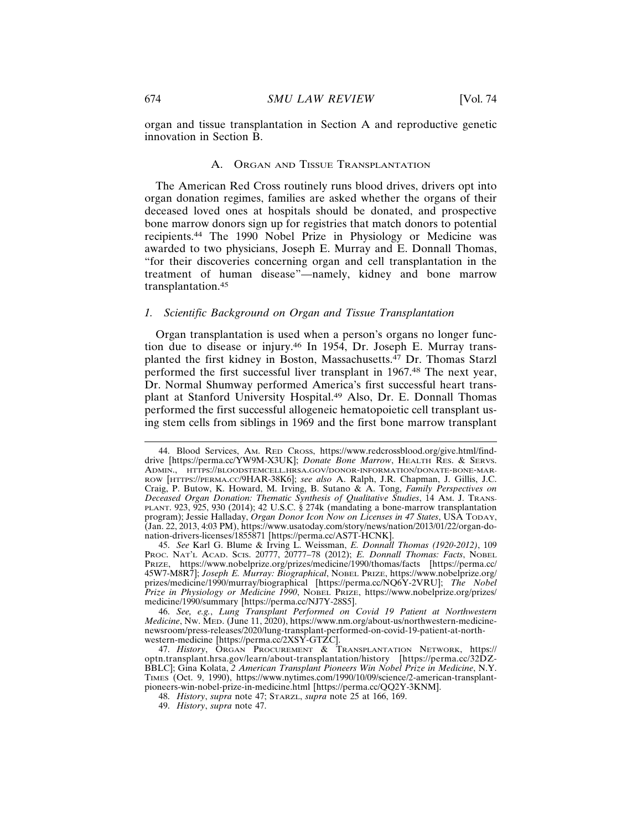organ and tissue transplantation in Section A and reproductive genetic innovation in Section B.

# A. ORGAN AND TISSUE TRANSPLANTATION

The American Red Cross routinely runs blood drives, drivers opt into organ donation regimes, families are asked whether the organs of their deceased loved ones at hospitals should be donated, and prospective bone marrow donors sign up for registries that match donors to potential recipients.44 The 1990 Nobel Prize in Physiology or Medicine was awarded to two physicians, Joseph E. Murray and E. Donnall Thomas, "for their discoveries concerning organ and cell transplantation in the treatment of human disease"—namely, kidney and bone marrow transplantation.<sup>45</sup>

#### *1. Scientific Background on Organ and Tissue Transplantation*

Organ transplantation is used when a person's organs no longer function due to disease or injury.46 In 1954, Dr. Joseph E. Murray transplanted the first kidney in Boston, Massachusetts.47 Dr. Thomas Starzl performed the first successful liver transplant in 1967.48 The next year, Dr. Normal Shumway performed America's first successful heart transplant at Stanford University Hospital.49 Also, Dr. E. Donnall Thomas performed the first successful allogeneic hematopoietic cell transplant using stem cells from siblings in 1969 and the first bone marrow transplant

<sup>44.</sup> Blood Services, AM. RED CROSS, https://www.redcrossblood.org/give.html/finddrive [https://perma.cc/YW9M-X3UK]; *Donate Bone Marrow*, HEALTH RES. & SERVS. ADMIN., HTTPS://BLOODSTEMCELL.HRSA.GOV/DONOR-INFORMATION/DONATE-BONE-MAR-ROW [HTTPS://PERMA.CC/9HAR-38K6]; *see also* A. Ralph, J.R. Chapman, J. Gillis, J.C. Craig, P. Butow, K. Howard, M. Irving, B. Sutano & A. Tong, *Family Perspectives on Deceased Organ Donation: Thematic Synthesis of Qualitative Studies*, 14 AM. J. TRANS-PLANT. 923, 925, 930 (2014); 42 U.S.C. § 274k (mandating a bone-marrow transplantation program); Jessie Halladay, *Organ Donor Icon Now on Licenses in 47 States*, USA TODAY, (Jan. 22, 2013, 4:03 PM), https://www.usatoday.com/story/news/nation/2013/01/22/organ-donation-drivers-licenses/1855871 [https://perma.cc/AS7T-HCNK].

<sup>45.</sup> *See* Karl G. Blume & Irving L. Weissman, *E. Donnall Thomas (1920-2012)*, 109 PROC. NAT'L ACAD. SCIS. 20777, 20777–78 (2012); *E. Donnall Thomas: Facts*, NOBEL PRIZE, https://www.nobelprize.org/prizes/medicine/1990/thomas/facts [https://perma.cc/ 45W7-M8R7]; *Joseph E. Murray: Biographical*, NOBEL PRIZE, https://www.nobelprize.org/ prizes/medicine/1990/murray/biographical [https://perma.cc/NQ6Y-2VRU]; *The Nobel Prize in Physiology or Medicine 1990*, NOBEL PRIZE, https://www.nobelprize.org/prizes/ medicine/1990/summary [https://perma.cc/NJ7Y-28S5].

<sup>46.</sup> *See, e.g.*, *Lung Transplant Performed on Covid 19 Patient at Northwestern Medicine*, NW. MED. (June 11, 2020), https://www.nm.org/about-us/northwestern-medicinenewsroom/press-releases/2020/lung-transplant-performed-on-covid-19-patient-at-northwestern-medicine [https://perma.cc/2XSY-GTZC].

<sup>47.</sup> *History*, ORGAN PROCUREMENT & TRANSPLANTATION NETWORK, https:// optn.transplant.hrsa.gov/learn/about-transplantation/history [https://perma.cc/32DZ-BBLC]; Gina Kolata, *2 American Transplant Pioneers Win Nobel Prize in Medicine*, N.Y. TIMES (Oct. 9, 1990), https://www.nytimes.com/1990/10/09/science/2-american-transplantpioneers-win-nobel-prize-in-medicine.html [https://perma.cc/QQ2Y-3KNM].

<sup>48.</sup> *History*, *supra* note 47; STARZL, *supra* note 25 at 166, 169.

<sup>49.</sup> *History*, *supra* note 47.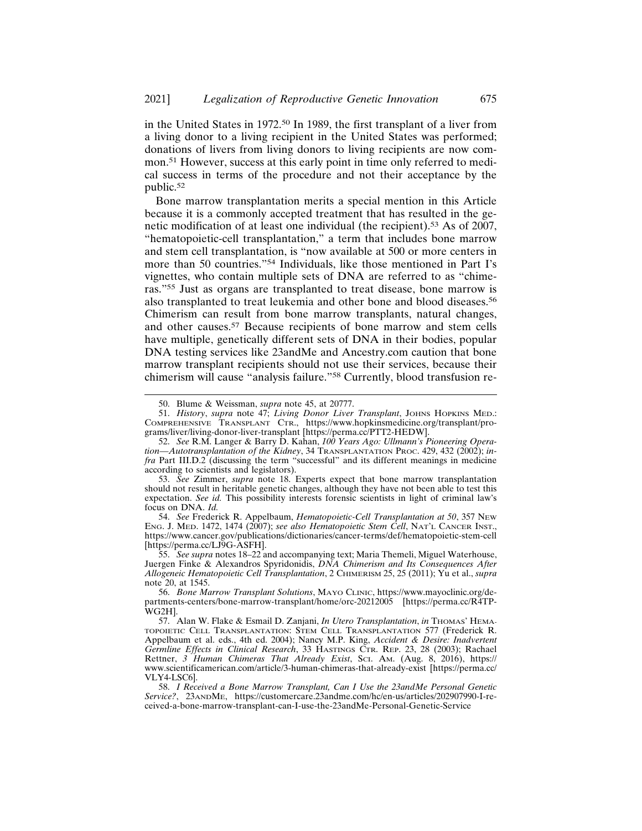in the United States in 1972.50 In 1989, the first transplant of a liver from a living donor to a living recipient in the United States was performed; donations of livers from living donors to living recipients are now common.51 However, success at this early point in time only referred to medical success in terms of the procedure and not their acceptance by the public.<sup>52</sup>

Bone marrow transplantation merits a special mention in this Article because it is a commonly accepted treatment that has resulted in the genetic modification of at least one individual (the recipient).53 As of 2007, "hematopoietic-cell transplantation," a term that includes bone marrow and stem cell transplantation, is "now available at 500 or more centers in more than 50 countries."54 Individuals, like those mentioned in Part I's vignettes, who contain multiple sets of DNA are referred to as "chimeras."55 Just as organs are transplanted to treat disease, bone marrow is also transplanted to treat leukemia and other bone and blood diseases.<sup>56</sup> Chimerism can result from bone marrow transplants, natural changes, and other causes.57 Because recipients of bone marrow and stem cells have multiple, genetically different sets of DNA in their bodies, popular DNA testing services like 23andMe and Ancestry.com caution that bone marrow transplant recipients should not use their services, because their chimerism will cause "analysis failure."58 Currently, blood transfusion re-

54. *See* Frederick R. Appelbaum, *Hematopoietic-Cell Transplantation at 50*, 357 NEW ENG. J. MED. 1472, 1474 (2007); *see also Hematopoietic Stem Cell*, NAT'L CANCER INST., https://www.cancer.gov/publications/dictionaries/cancer-terms/def/hematopoietic-stem-cell [https://perma.cc/LJ9G-ASFH].

<sup>50.</sup> Blume & Weissman, *supra* note 45, at 20777.

<sup>51.</sup> *History*, *supra* note 47; *Living Donor Liver Transplant*, JOHNS HOPKINS MED.: COMPREHENSIVE TRANSPLANT CTR., https://www.hopkinsmedicine.org/transplant/programs/liver/living-donor-liver-transplant [https://perma.cc/PTT2-HEDW].

<sup>52.</sup> *See* R.M. Langer & Barry D. Kahan, *100 Years Ago: Ullmann's Pioneering Operation—Autotransplantation of the Kidney*, 34 TRANSPLANTATION PROC. 429, 432 (2002); *infra* Part III.D.2 (discussing the term "successful" and its different meanings in medicine according to scientists and legislators).

<sup>53.</sup> *See* Zimmer, *supra* note 18. Experts expect that bone marrow transplantation should not result in heritable genetic changes, although they have not been able to test this expectation. *See id.* This possibility interests forensic scientists in light of criminal law's focus on DNA. *Id.*

<sup>55.</sup> *See supra* notes 18–22 and accompanying text; Maria Themeli, Miguel Waterhouse, Juergen Finke & Alexandros Spyridonidis, *DNA Chimerism and Its Consequences After Allogeneic Hematopoietic Cell Transplantation*, 2 CHIMERISM 25, 25 (2011); Yu et al., *supra* note 20, at 1545.

<sup>56.</sup> *Bone Marrow Transplant Solutions*, MAYO CLINIC, https://www.mayoclinic.org/departments-centers/bone-marrow-transplant/home/orc-20212005 [https://perma.cc/R4TP-WG2H].

<sup>57.</sup> Alan W. Flake & Esmail D. Zanjani, *In Utero Transplantation*, *in* THOMAS' HEMA-TOPOIETIC CELL TRANSPLANTATION: STEM CELL TRANSPLANTATION 577 (Frederick R. Appelbaum et al. eds., 4th ed. 2004); Nancy M.P. King, *Accident & Desire: Inadvertent Germline Effects in Clinical Research*, 33 HASTINGS CTR. REP. 23, 28 (2003); Rachael Rettner, *3 Human Chimeras That Already Exist*, SCI. AM. (Aug. 8, 2016), https:// www.scientificamerican.com/article/3-human-chimeras-that-already-exist [https://perma.cc/ VLY4-LSC6].

<sup>58.</sup> *I Received a Bone Marrow Transplant, Can I Use the 23andMe Personal Genetic Service?*, 23ANDME, https://customercare.23andme.com/hc/en-us/articles/202907990-I-received-a-bone-marrow-transplant-can-I-use-the-23andMe-Personal-Genetic-Service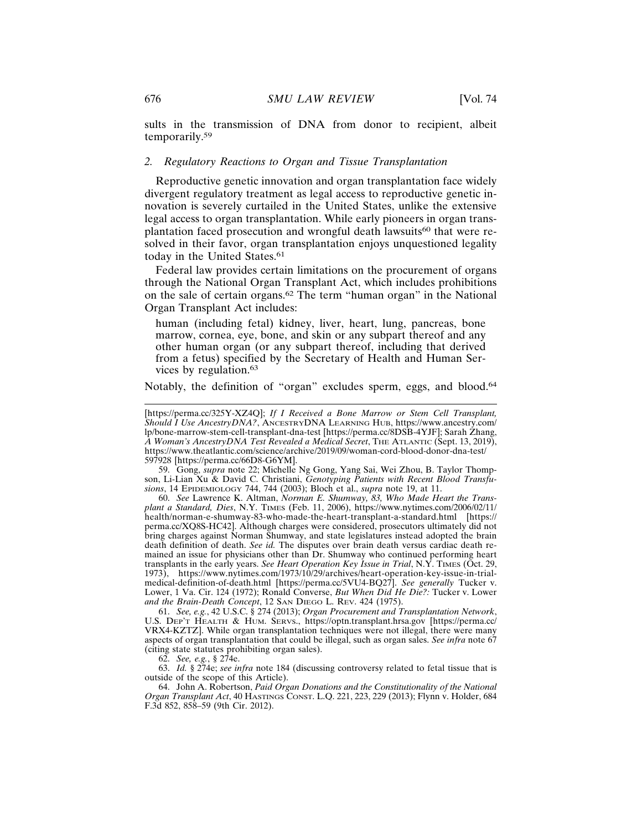sults in the transmission of DNA from donor to recipient, albeit temporarily.<sup>59</sup>

# *2. Regulatory Reactions to Organ and Tissue Transplantation*

Reproductive genetic innovation and organ transplantation face widely divergent regulatory treatment as legal access to reproductive genetic innovation is severely curtailed in the United States, unlike the extensive legal access to organ transplantation. While early pioneers in organ transplantation faced prosecution and wrongful death lawsuits<sup>60</sup> that were resolved in their favor, organ transplantation enjoys unquestioned legality today in the United States.<sup>61</sup>

Federal law provides certain limitations on the procurement of organs through the National Organ Transplant Act, which includes prohibitions on the sale of certain organs.62 The term "human organ" in the National Organ Transplant Act includes:

human (including fetal) kidney, liver, heart, lung, pancreas, bone marrow, cornea, eye, bone, and skin or any subpart thereof and any other human organ (or any subpart thereof, including that derived from a fetus) specified by the Secretary of Health and Human Services by regulation.<sup>63</sup>

Notably, the definition of "organ" excludes sperm, eggs, and blood.<sup>64</sup>

59. Gong, *supra* note 22; Michelle Ng Gong, Yang Sai, Wei Zhou, B. Taylor Thompson, Li-Lian Xu & David C. Christiani, *Genotyping Patients with Recent Blood Transfusions*, 14 EPIDEMIOLOGY 744, 744 (2003); Bloch et al., *supra* note 19, at 11.

60. *See* Lawrence K. Altman, *Norman E. Shumway, 83, Who Made Heart the Transplant a Standard, Dies*, N.Y. TIMES (Feb. 11, 2006), https://www.nytimes.com/2006/02/11/ health/norman-e-shumway-83-who-made-the-heart-transplant-a-standard.html [https:// perma.cc/XQ8S-HC42]. Although charges were considered, prosecutors ultimately did not bring charges against Norman Shumway, and state legislatures instead adopted the brain death definition of death. *See id.* The disputes over brain death versus cardiac death remained an issue for physicians other than Dr. Shumway who continued performing heart transplants in the early years. *See Heart Operation Key Issue in Trial*, N.Y. TIMES (Oct. 29, 1973), https://www.nytimes.com/1973/10/29/archives/heart-operation-key-issue-in-trialmedical-definition-of-death.html [https://perma.cc/5VU4-BQ27]. *See generally* Tucker v. Lower, 1 Va. Cir. 124 (1972); Ronald Converse, *But When Did He Die?:* Tucker v. Lower *and the Brain-Death Concept*, 12 SAN DIEGO L. REV. 424 (1975).

61. *See, e.g.*, 42 U.S.C. § 274 (2013); *Organ Procurement and Transplantation Network*, U.S. DEP'T HEALTH & HUM. SERVS., https://optn.transplant.hrsa.gov [https://perma.cc/ VRX4-KZTZ]. While organ transplantation techniques were not illegal, there were many aspects of organ transplantation that could be illegal, such as organ sales. *See infra* note 67 (citing state statutes prohibiting organ sales).

62. *See, e.g.*, § 274e.

63. *Id.* § 274e; *see infra* note 184 (discussing controversy related to fetal tissue that is outside of the scope of this Article).

64. John A. Robertson, *Paid Organ Donations and the Constitutionality of the National Organ Transplant Act*, 40 HASTINGS CONST. L.Q. 221, 223, 229 (2013); Flynn v. Holder, 684 F.3d 852, 858–59 (9th Cir. 2012).

<sup>[</sup>https://perma.cc/325Y-XZ4Q]; *If I Received a Bone Marrow or Stem Cell Transplant, Should I Use AncestryDNA?*, ANCESTRYDNA LEARNING HUB, https://www.ancestry.com/ lp/bone-marrow-stem-cell-transplant-dna-test [https://perma.cc/8DSB-4YJF]; Sarah Zhang, *A Woman's AncestryDNA Test Revealed a Medical Secret*, THE ATLANTIC (Sept. 13, 2019), https://www.theatlantic.com/science/archive/2019/09/woman-cord-blood-donor-dna-test/ 597928 [https://perma.cc/66D8-G6YM].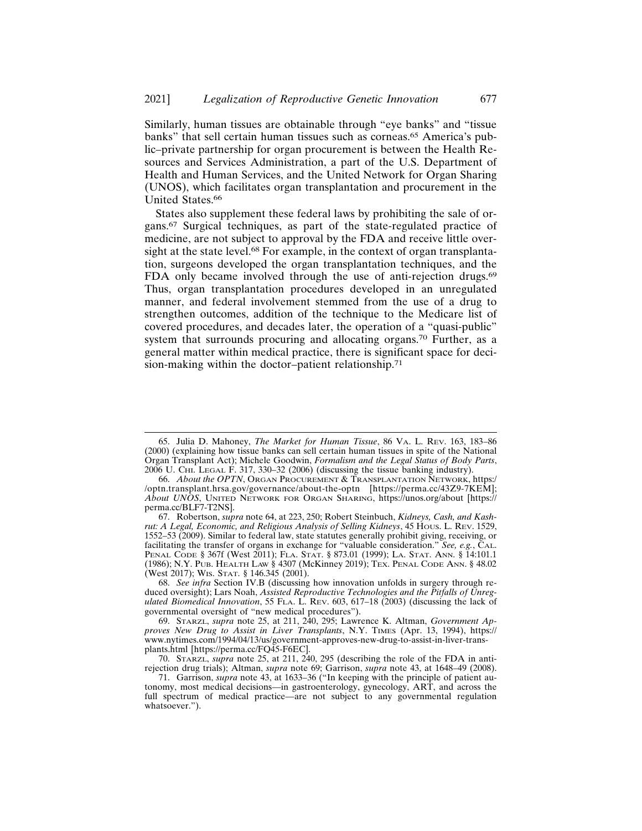Similarly, human tissues are obtainable through "eye banks" and "tissue banks" that sell certain human tissues such as corneas.65 America's public–private partnership for organ procurement is between the Health Resources and Services Administration, a part of the U.S. Department of Health and Human Services, and the United Network for Organ Sharing (UNOS), which facilitates organ transplantation and procurement in the United States.<sup>66</sup>

States also supplement these federal laws by prohibiting the sale of organs.67 Surgical techniques, as part of the state-regulated practice of medicine, are not subject to approval by the FDA and receive little oversight at the state level.<sup>68</sup> For example, in the context of organ transplantation, surgeons developed the organ transplantation techniques, and the FDA only became involved through the use of anti-rejection drugs.<sup>69</sup> Thus, organ transplantation procedures developed in an unregulated manner, and federal involvement stemmed from the use of a drug to strengthen outcomes, addition of the technique to the Medicare list of covered procedures, and decades later, the operation of a "quasi-public" system that surrounds procuring and allocating organs.<sup>70</sup> Further, as a general matter within medical practice, there is significant space for decision-making within the doctor–patient relationship.<sup>71</sup>

<sup>65.</sup> Julia D. Mahoney, *The Market for Human Tissue*, 86 VA. L. REV. 163, 183–86 (2000) (explaining how tissue banks can sell certain human tissues in spite of the National Organ Transplant Act); Michele Goodwin, *Formalism and the Legal Status of Body Parts*, 2006 U. CHI. LEGAL F. 317, 330–32 (2006) (discussing the tissue banking industry).

<sup>66.</sup> *About the OPTN*, ORGAN PROCUREMENT & TRANSPLANTATION NETWORK, https:/ /optn.transplant.hrsa.gov/governance/about-the-optn [https://perma.cc/43Z9-7KEM]; *About UNOS*, UNITED NETWORK FOR ORGAN SHARING, https://unos.org/about [https:// perma.cc/BLF7-T2NS].

<sup>67.</sup> Robertson, *supra* note 64, at 223, 250; Robert Steinbuch, *Kidneys, Cash, and Kashrut: A Legal, Economic, and Religious Analysis of Selling Kidneys*, 45 HOUS. L. REV. 1529, 1552–53 (2009). Similar to federal law, state statutes generally prohibit giving, receiving, or facilitating the transfer of organs in exchange for "valuable consideration." *See, e.g.*, CAL. PENAL CODE § 367f (West 2011); FLA. STAT. § 873.01 (1999); LA. STAT. ANN. § 14:101.1 (1986); N.Y. PUB. HEALTH LAW § 4307 (McKinney 2019); TEX. PENAL CODE ANN. § 48.02 (West 2017); WIS. STAT. § 146.345 (2001).

<sup>68.</sup> *See infra* Section IV.B (discussing how innovation unfolds in surgery through reduced oversight); Lars Noah, *Assisted Reproductive Technologies and the Pitfalls of Unregulated Biomedical Innovation*, 55 FLA. L. REV. 603, 617–18 (2003) (discussing the lack of governmental oversight of "new medical procedures").

<sup>69.</sup> STARZL, *supra* note 25, at 211, 240, 295; Lawrence K. Altman, *Government Approves New Drug to Assist in Liver Transplants*, N.Y. TIMES (Apr. 13, 1994), https:// www.nytimes.com/1994/04/13/us/government-approves-new-drug-to-assist-in-liver-transplants.html [https://perma.cc/FQ45-F6EC].

<sup>70.</sup> STARZL, *supra* note 25, at 211, 240, 295 (describing the role of the FDA in antirejection drug trials); Altman, *supra* note 69; Garrison, *supra* note 43, at 1648–49 (2008).

<sup>71.</sup> Garrison, *supra* note 43, at 1633–36 ("In keeping with the principle of patient autonomy, most medical decisions—in gastroenterology, gynecology, ART, and across the full spectrum of medical practice—are not subject to any governmental regulation whatsoever.").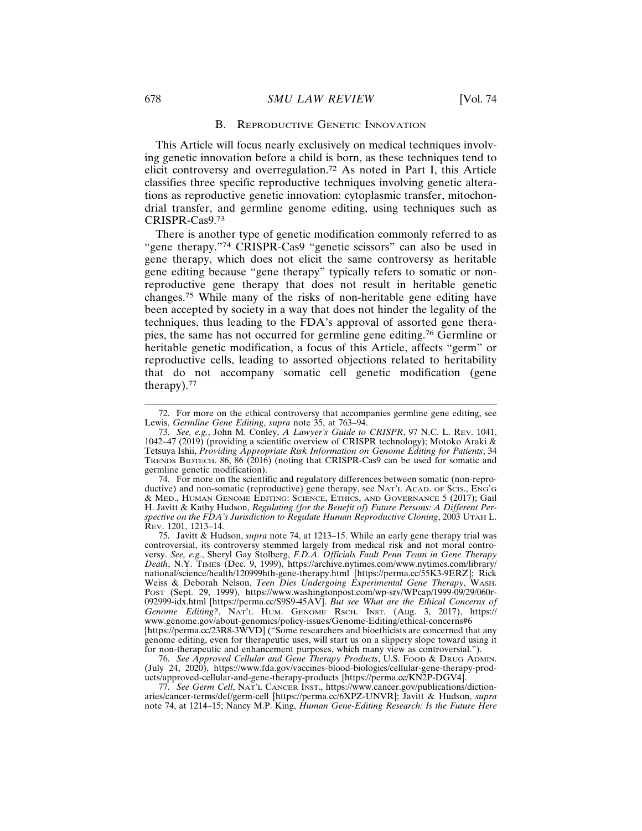#### B. REPRODUCTIVE GENETIC INNOVATION

This Article will focus nearly exclusively on medical techniques involving genetic innovation before a child is born, as these techniques tend to elicit controversy and overregulation.72 As noted in Part I, this Article classifies three specific reproductive techniques involving genetic alterations as reproductive genetic innovation: cytoplasmic transfer, mitochondrial transfer, and germline genome editing, using techniques such as CRISPR-Cas9.<sup>73</sup>

There is another type of genetic modification commonly referred to as "gene therapy."74 CRISPR-Cas9 "genetic scissors" can also be used in gene therapy, which does not elicit the same controversy as heritable gene editing because "gene therapy" typically refers to somatic or nonreproductive gene therapy that does not result in heritable genetic changes.75 While many of the risks of non-heritable gene editing have been accepted by society in a way that does not hinder the legality of the techniques, thus leading to the FDA's approval of assorted gene therapies, the same has not occurred for germline gene editing.76 Germline or heritable genetic modification, a focus of this Article, affects "germ" or reproductive cells, leading to assorted objections related to heritability that do not accompany somatic cell genetic modification (gene therapy).<sup>77</sup>

<sup>72.</sup> For more on the ethical controversy that accompanies germline gene editing, see Lewis, *Germline Gene Editing*, *supra* note 35, at 763–94.

<sup>73.</sup> *See, e.g.*, John M. Conley, *A Lawyer's Guide to CRISPR*, 97 N.C. L. REV. 1041, 1042–47 (2019) (providing a scientific overview of CRISPR technology); Motoko Araki & Tetsuya Ishii, *Providing Appropriate Risk Information on Genome Editing for Patients*, 34 TRENDS BIOTECH. 86, 86 (2016) (noting that CRISPR-Cas9 can be used for somatic and germline genetic modification).

<sup>74.</sup> For more on the scientific and regulatory differences between somatic (non-reproductive) and non-somatic (reproductive) gene therapy, see NAT'L ACAD. OF SCIS., ENG'G & MED., HUMAN GENOME EDITING: SCIENCE, ETHICS, AND GOVERNANCE 5 (2017); Gail H. Javitt & Kathy Hudson, *Regulating (for the Benefit of) Future Persons: A Different Perspective on the FDA's Jurisdiction to Regulate Human Reproductive Cloning*, 2003 UTAH L. REV. 1201, 1213–14.

<sup>75.</sup> Javitt & Hudson, *supra* note 74, at 1213–15. While an early gene therapy trial was controversial, its controversy stemmed largely from medical risk and not moral controversy. *See, e.g.*, Sheryl Gay Stolberg, *F.D.A. Officials Fault Penn Team in Gene Therapy Death*, N.Y. TIMES (Dec. 9, 1999), https://archive.nytimes.com/www.nytimes.com/library/ national/science/health/120999hth-gene-therapy.html [https://perma.cc/55K3-9ERZ]; Rick Weiss & Deborah Nelson, *Teen Dies Undergoing Experimental Gene Therapy*, WASH. POST (Sept. 29, 1999), https://www.washingtonpost.com/wp-srv/WPcap/1999-09/29/060r-092999-idx.html [https://perma.cc/S9S9-45AV]. *But see What are the Ethical Concerns of Genome Editing?*, NAT'L HUM. GENOME RSCH. INST. (Aug. 3, 2017), https:// www.genome.gov/about-genomics/policy-issues/Genome-Editing/ethical-concerns#6 [https://perma.cc/23R8-3WVD] ("Some researchers and bioethicists are concerned that any genome editing, even for therapeutic uses, will start us on a slippery slope toward using it

for non-therapeutic and enhancement purposes, which many view as controversial."). 76. *See Approved Cellular and Gene Therapy Products*, U.S. FOOD & DRUG ADMIN. (July 24, 2020), https://www.fda.gov/vaccines-blood-biologics/cellular-gene-therapy-products/approved-cellular-and-gene-therapy-products [https://perma.cc/KN2P-DGV4].

<sup>77.</sup> *See Germ Cell*, NAT'L CANCER INST., https://www.cancer.gov/publications/dictionaries/cancer-terms/def/germ-cell [https://perma.cc/6XPZ-UNVR]; Javitt & Hudson, *supra* note 74, at 1214–15; Nancy M.P. King, *Human Gene-Editing Research: Is the Future Here*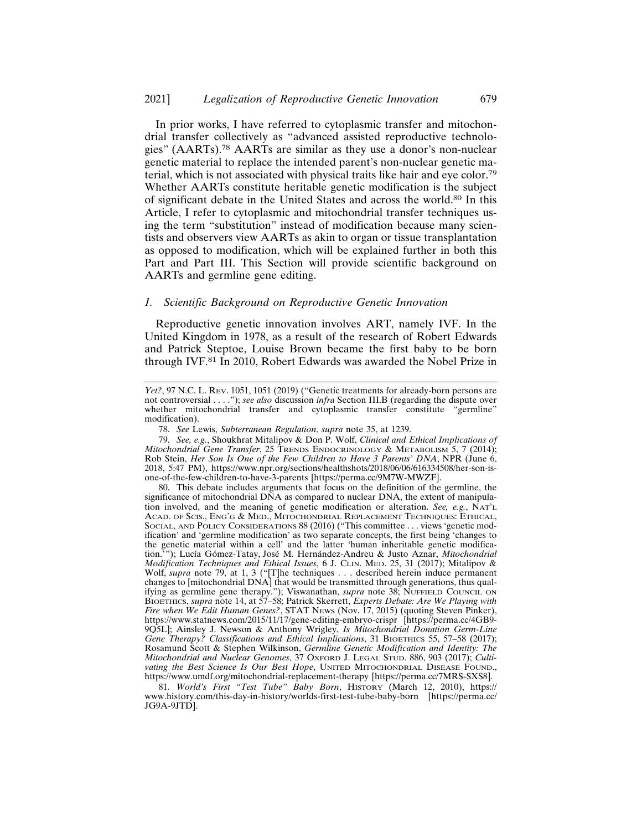In prior works, I have referred to cytoplasmic transfer and mitochondrial transfer collectively as "advanced assisted reproductive technologies" (AARTs).78 AARTs are similar as they use a donor's non-nuclear genetic material to replace the intended parent's non-nuclear genetic material, which is not associated with physical traits like hair and eye color.<sup>79</sup> Whether AARTs constitute heritable genetic modification is the subject of significant debate in the United States and across the world.80 In this Article, I refer to cytoplasmic and mitochondrial transfer techniques using the term "substitution" instead of modification because many scientists and observers view AARTs as akin to organ or tissue transplantation as opposed to modification, which will be explained further in both this Part and Part III. This Section will provide scientific background on AARTs and germline gene editing.

#### *1. Scientific Background on Reproductive Genetic Innovation*

Reproductive genetic innovation involves ART, namely IVF. In the United Kingdom in 1978, as a result of the research of Robert Edwards and Patrick Steptoe, Louise Brown became the first baby to be born through IVF.81 In 2010, Robert Edwards was awarded the Nobel Prize in

80. This debate includes arguments that focus on the definition of the germline, the significance of mitochondrial DNA as compared to nuclear DNA, the extent of manipulation involved, and the meaning of genetic modification or alteration. *See, e.g.*, NAT'L ACAD. OF SCIS., ENG'G & MED., MITOCHONDRIAL REPLACEMENT TECHNIQUES: ETHICAL, SOCIAL, AND POLICY CONSIDERATIONS 88 (2016) ("This committee . . . views 'genetic modification' and 'germline modification' as two separate concepts, the first being 'changes to the genetic material within a cell' and the latter 'human inheritable genetic modification.'"); Lucía Gómez-Tatay, José M. Hernández-Andreu & Justo Aznar, *Mitochondrial Modification Techniques and Ethical Issues*, 6 J. CLIN. MED. 25, 31 (2017); Mitalipov & Wolf, *supra* note 79, at 1, 3 ("[T]he techniques . . . described herein induce permanent changes to [mitochondrial DNA] that would be transmitted through generations, thus qualifying as germline gene therapy."); Viswanathan, *supra* note 38; NUFFIELD COUNCIL ON BIOETHICS, *supra* note 14, at 57–58; Patrick Skerrett, *Experts Debate: Are We Playing with Fire when We Edit Human Genes?*, STAT NEWS (Nov. 17, 2015) (quoting Steven Pinker), https://www.statnews.com/2015/11/17/gene-editing-embryo-crispr [https://perma.cc/4GB9- 9Q5L]; Ainsley J. Newson & Anthony Wrigley, *Is Mitochondrial Donation Germ-Line Gene Therapy? Classifications and Ethical Implications*, 31 BIOETHICS 55, 57–58 (2017); Rosamund Scott & Stephen Wilkinson, *Germline Genetic Modification and Identity: The Mitochondrial and Nuclear Genomes*, 37 OXFORD J. LEGAL STUD. 886, 903 (2017); *Cultivating the Best Science Is Our Best Hope*, UNITED MITOCHONDRIAL DISEASE FOUND., https://www.umdf.org/mitochondrial-replacement-therapy [https://perma.cc/7MRS-SXS8].

81. *World's First "Test Tube" Baby Born*, HISTORY (March 12, 2010), https:// www.history.com/this-day-in-history/worlds-first-test-tube-baby-born [https://perma.cc/ JG9A-9JTD].

*Yet?*, 97 N.C. L. Rev. 1051, 1051 (2019) ("Genetic treatments for already-born persons are not controversial . . . ."); *see also* discussion *infra* Section III.B (regarding the dispute over whether mitochondrial transfer and cytoplasmic transfer constitute "germline" modification).

<sup>78.</sup> *See* Lewis, *Subterranean Regulation*, *supra* note 35, at 1239.

<sup>79.</sup> *See, e.g.*, Shoukhrat Mitalipov & Don P. Wolf, *Clinical and Ethical Implications of Mitochondrial Gene Transfer*, 25 TRENDS ENDOCRINOLOGY & METABOLISM 5, 7 (2014); Rob Stein, *Her Son Is One of the Few Children to Have 3 Parents' DNA*, NPR (June 6, 2018, 5:47 PM), https://www.npr.org/sections/healthshots/2018/06/06/616334508/her-son-isone-of-the-few-children-to-have-3-parents [https://perma.cc/9M7W-MWZF].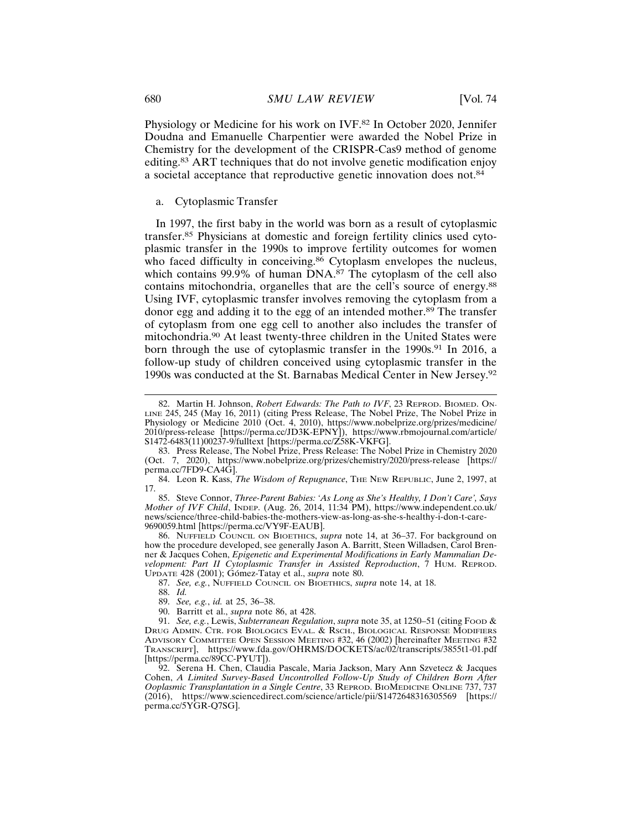Physiology or Medicine for his work on IVF.82 In October 2020, Jennifer Doudna and Emanuelle Charpentier were awarded the Nobel Prize in Chemistry for the development of the CRISPR-Cas9 method of genome editing.83 ART techniques that do not involve genetic modification enjoy a societal acceptance that reproductive genetic innovation does not.<sup>84</sup>

# a. Cytoplasmic Transfer

In 1997, the first baby in the world was born as a result of cytoplasmic transfer.85 Physicians at domestic and foreign fertility clinics used cytoplasmic transfer in the 1990s to improve fertility outcomes for women who faced difficulty in conceiving.<sup>86</sup> Cytoplasm envelopes the nucleus, which contains 99.9% of human  $\text{DNA}$ .<sup>87</sup> The cytoplasm of the cell also contains mitochondria, organelles that are the cell's source of energy.<sup>88</sup> Using IVF, cytoplasmic transfer involves removing the cytoplasm from a donor egg and adding it to the egg of an intended mother.89 The transfer of cytoplasm from one egg cell to another also includes the transfer of mitochondria.90 At least twenty-three children in the United States were born through the use of cytoplasmic transfer in the 1990s.<sup>91</sup> In 2016, a follow-up study of children conceived using cytoplasmic transfer in the 1990s was conducted at the St. Barnabas Medical Center in New Jersey.<sup>92</sup>

85. Steve Connor, *Three-Parent Babies: 'As Long as She's Healthy, I Don't Care', Says Mother of IVF Child*, INDEP. (Aug. 26, 2014, 11:34 PM), https://www.independent.co.uk/ news/science/three-child-babies-the-mothers-view-as-long-as-she-s-healthy-i-don-t-care-9690059.html [https://perma.cc/VY9F-EAUB].

86. NUFFIELD COUNCIL ON BIOETHICS, *supra* note 14, at 36–37. For background on how the procedure developed, see generally Jason A. Barritt, Steen Willadsen, Carol Brenner & Jacques Cohen, *Epigenetic and Experimental Modifications in Early Mammalian Development: Part II Cytoplasmic Transfer in Assisted Reproduction*, 7 HUM. REPROD. UPDATE 428 (2001); Gómez-Tatay et al., *supra* note 80.

87. *See, e.g.*, NUFFIELD COUNCIL ON BIOETHICS, *supra* note 14, at 18.

88. *Id.*

89. *See, e.g.*, *id.* at 25, 36–38.

90. Barritt et al., *supra* note 86, at 428.

91. *See, e.g.*, Lewis, *Subterranean Regulation*, *supra* note 35, at 1250–51 (citing FOOD & DRUG ADMIN. CTR. FOR BIOLOGICS EVAL. & RSCH., BIOLOGICAL RESPONSE MODIFIERS ADVISORY COMMITTEE OPEN SESSION MEETING #32, 46 (2002) [hereinafter MEETING #32 TRANSCRIPT], https://www.fda.gov/OHRMS/DOCKETS/ac/02/transcripts/3855t1-01.pdf [https://perma.cc/89CC-PYUT]).

92. Serena H. Chen, Claudia Pascale, Maria Jackson, Mary Ann Szvetecz & Jacques Cohen, *A Limited Survey-Based Uncontrolled Follow-Up Study of Children Born After Ooplasmic Transplantation in a Single Centre*, 33 REPROD. BIOMEDICINE ONLINE 737, 737 (2016), https://www.sciencedirect.com/science/article/pii/S1472648316305569 [https:// perma.cc/5YGR-Q7SG].

<sup>82.</sup> Martin H. Johnson, *Robert Edwards: The Path to IVF*, 23 REPROD. BIOMED. ON-LINE 245, 245 (May 16, 2011) (citing Press Release, The Nobel Prize, The Nobel Prize in Physiology or Medicine 2010 (Oct. 4, 2010), https://www.nobelprize.org/prizes/medicine/ 2010/press-release [https://perma.cc/JD3K-EPNY]), https://www.rbmojournal.com/article/ S1472-6483(11)00237-9/fulltext [https://perma.cc/Z58K-VKFG].

<sup>83.</sup> Press Release, The Nobel Prize, Press Release: The Nobel Prize in Chemistry 2020 (Oct. 7, 2020), https://www.nobelprize.org/prizes/chemistry/2020/press-release [https:// perma.cc/7FD9-CA4G].

<sup>84.</sup> Leon R. Kass, *The Wisdom of Repugnance*, THE NEW REPUBLIC, June 2, 1997, at 17.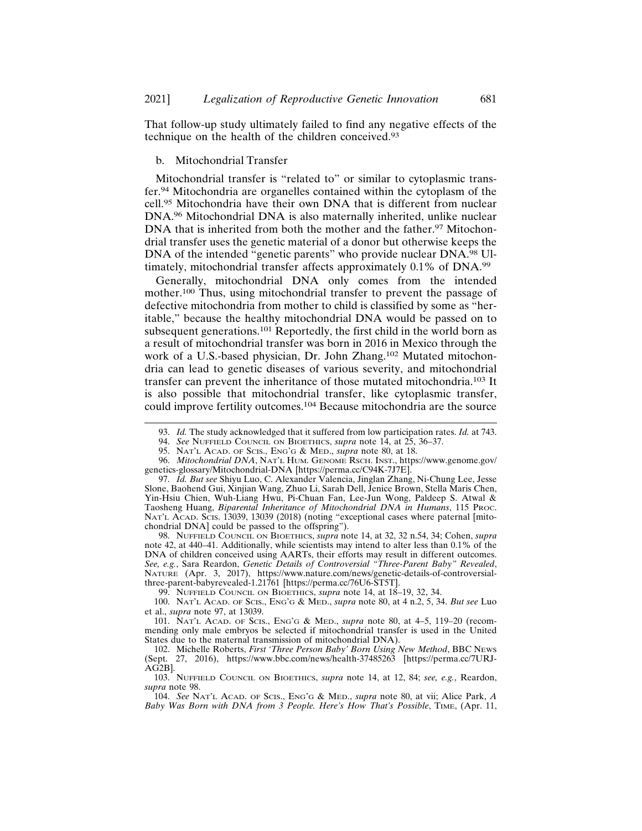That follow-up study ultimately failed to find any negative effects of the technique on the health of the children conceived.<sup>93</sup>

## b. Mitochondrial Transfer

Mitochondrial transfer is "related to" or similar to cytoplasmic transfer.94 Mitochondria are organelles contained within the cytoplasm of the cell.95 Mitochondria have their own DNA that is different from nuclear DNA.96 Mitochondrial DNA is also maternally inherited, unlike nuclear DNA that is inherited from both the mother and the father.<sup>97</sup> Mitochondrial transfer uses the genetic material of a donor but otherwise keeps the DNA of the intended "genetic parents" who provide nuclear DNA.<sup>98</sup> Ultimately, mitochondrial transfer affects approximately 0.1% of DNA.<sup>99</sup>

Generally, mitochondrial DNA only comes from the intended mother.100 Thus, using mitochondrial transfer to prevent the passage of defective mitochondria from mother to child is classified by some as "heritable," because the healthy mitochondrial DNA would be passed on to subsequent generations.<sup>101</sup> Reportedly, the first child in the world born as a result of mitochondrial transfer was born in 2016 in Mexico through the work of a U.S.-based physician, Dr. John Zhang.102 Mutated mitochondria can lead to genetic diseases of various severity, and mitochondrial transfer can prevent the inheritance of those mutated mitochondria.103 It is also possible that mitochondrial transfer, like cytoplasmic transfer, could improve fertility outcomes.104 Because mitochondria are the source

98. NUFFIELD COUNCIL ON BIOETHICS, *supra* note 14, at 32, 32 n.54, 34; Cohen, *supra* note 42, at 440–41. Additionally, while scientists may intend to alter less than 0.1% of the DNA of children conceived using AARTs, their efforts may result in different outcomes. *See, e.g.*, Sara Reardon, *Genetic Details of Controversial "Three-Parent Baby" Revealed*, NATURE (Apr. 3, 2017), https://www.nature.com/news/genetic-details-of-controversialthree-parent-babyrevealed-1.21761 [https://perma.cc/76U6-ST5T].

99. NUFFIELD COUNCIL ON BIOETHICS, *supra* note 14, at 18–19, 32, 34.

100. NAT'L ACAD. OF SCIS., ENG'G & MED., *supra* note 80, at 4 n.2, 5, 34. *But see* Luo et al., *supra* note 97, at 13039.

101. NAT'L ACAD. OF SCIS., ENG'G & MED., *supra* note 80, at 4–5, 119–20 (recommending only male embryos be selected if mitochondrial transfer is used in the United States due to the maternal transmission of mitochondrial DNA).

103. NUFFIELD COUNCIL ON BIOETHICS, *supra* note 14, at 12, 84; *see, e.g.*, Reardon, *supra* note 98.

104. *See* NAT'L ACAD. OF SCIS., ENG'G & MED., *supra* note 80, at vii; Alice Park, *A Baby Was Born with DNA from 3 People. Here's How That's Possible*, TIME, (Apr. 11,

<sup>93.</sup> *Id.* The study acknowledged that it suffered from low participation rates. *Id.* at 743.

<sup>94.</sup> *See* NUFFIELD COUNCIL ON BIOETHICS, *supra* note 14, at 25, 36–37.

<sup>95.</sup> NAT'L ACAD. OF SCIS., ENG'G & MED., *supra* note 80, at 18.

<sup>96.</sup> *Mitochondrial DNA*, NAT'L HUM. GENOME RSCH. INST., https://www.genome.gov/ genetics-glossary/Mitochondrial-DNA [https://perma.cc/C94K-7J7E].

<sup>97.</sup> *Id. But see* Shiyu Luo, C. Alexander Valencia, Jinglan Zhang, Ni-Chung Lee, Jesse Slone, Baohend Gui, Xinjian Wang, Zhuo Li, Sarah Dell, Jenice Brown, Stella Maris Chen, Yin-Hsiu Chien, Wuh-Liang Hwu, Pi-Chuan Fan, Lee-Jun Wong, Paldeep S. Atwal & Taosheng Huang, *Biparental Inheritance of Mitochondrial DNA in Humans*, 115 PROC. NAT'L ACAD. SCIS. 13039, 13039 (2018) (noting "exceptional cases where paternal [mitochondrial DNA] could be passed to the offspring").

<sup>102.</sup> Michelle Roberts, *First 'Three Person Baby' Born Using New Method*, BBC NEWS (Sept. 27, 2016), https://www.bbc.com/news/health-37485263 [https://perma.cc/7URJ- $AG2B$ ].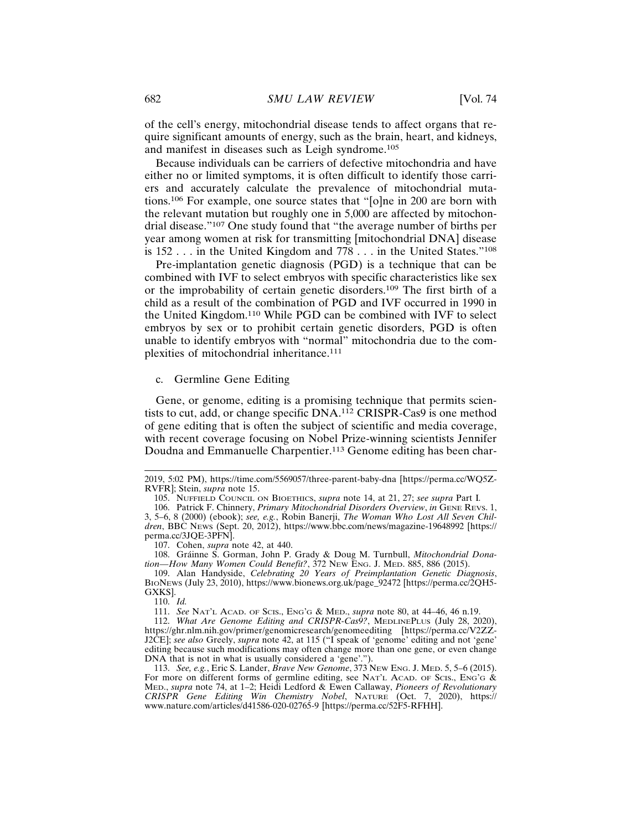of the cell's energy, mitochondrial disease tends to affect organs that require significant amounts of energy, such as the brain, heart, and kidneys, and manifest in diseases such as Leigh syndrome.<sup>105</sup>

Because individuals can be carriers of defective mitochondria and have either no or limited symptoms, it is often difficult to identify those carriers and accurately calculate the prevalence of mitochondrial mutations.106 For example, one source states that "[o]ne in 200 are born with the relevant mutation but roughly one in 5,000 are affected by mitochondrial disease."107 One study found that "the average number of births per year among women at risk for transmitting [mitochondrial DNA] disease is 152 . . . in the United Kingdom and 778 . . . in the United States."<sup>108</sup>

Pre-implantation genetic diagnosis (PGD) is a technique that can be combined with IVF to select embryos with specific characteristics like sex or the improbability of certain genetic disorders.109 The first birth of a child as a result of the combination of PGD and IVF occurred in 1990 in the United Kingdom.110 While PGD can be combined with IVF to select embryos by sex or to prohibit certain genetic disorders, PGD is often unable to identify embryos with "normal" mitochondria due to the complexities of mitochondrial inheritance.<sup>111</sup>

#### c. Germline Gene Editing

Gene, or genome, editing is a promising technique that permits scientists to cut, add, or change specific DNA.112 CRISPR-Cas9 is one method of gene editing that is often the subject of scientific and media coverage, with recent coverage focusing on Nobel Prize-winning scientists Jennifer Doudna and Emmanuelle Charpentier.<sup>113</sup> Genome editing has been char-

107. Cohen, *supra* note 42, at 440.

108. Gráinne S. Gorman, John P. Grady & Doug M. Turnbull, *Mitochondrial Donation—How Many Women Could Benefit?*, 372 NEW ENG. J. MED. 885, 886 (2015).

109. Alan Handyside, *Celebrating 20 Years of Preimplantation Genetic Diagnosis*, BIONEWS (July 23, 2010), https://www.bionews.org.uk/page\_92472 [https://perma.cc/2QH5- GXKS].

110. *Id.*

111. *See* NAT'L ACAD. OF SCIS., ENG'G & MED., *supra* note 80, at 44–46, 46 n.19.

112. *What Are Genome Editing and CRISPR-Cas9?*, MEDLINEPLUS (July 28, 2020), https://ghr.nlm.nih.gov/primer/genomicresearch/genomeediting [https://perma.cc/V2ZZ-J2CE]; *see also* Greely, *supra* note 42, at 115 ("I speak of 'genome' editing and not 'gene' editing because such modifications may often change more than one gene, or even change DNA that is not in what is usually considered a 'gene'.").

113. *See, e.g.*, Eric S. Lander, *Brave New Genome*, 373 NEW ENG. J. MED. 5, 5–6 (2015). For more on different forms of germline editing, see NAT'L ACAD. OF SCIS., ENG'G & MED., *supra* note 74, at 1–2; Heidi Ledford & Ewen Callaway, *Pioneers of Revolutionary CRISPR Gene Editing Win Chemistry Nobel*, NATURE (Oct. 7, 2020), https:// www.nature.com/articles/d41586-020-02765-9 [https://perma.cc/52F5-RFHH].

<sup>2019, 5:02</sup> PM), https://time.com/5569057/three-parent-baby-dna [https://perma.cc/WQ5Z-RVFR]; Stein, *supra* note 15.

<sup>105.</sup> NUFFIELD COUNCIL ON BIOETHICS, *supra* note 14, at 21, 27; *see supra* Part I*.*

<sup>106.</sup> Patrick F. Chinnery, *Primary Mitochondrial Disorders Overview*, *in* GENE REVS. 1, 3, 5–6, 8 (2000) (ebook); *see, e.g.*, Robin Banerji, *The Woman Who Lost All Seven Children*, BBC NEWS (Sept. 20, 2012), https://www.bbc.com/news/magazine-19648992 [https:// perma.cc/3JQE-3PFN].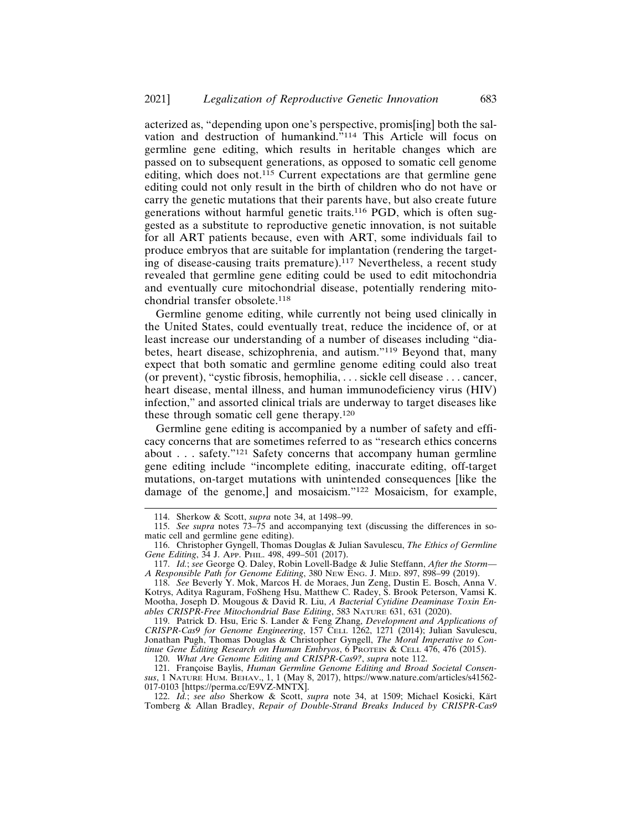acterized as, "depending upon one's perspective, promis[ing] both the salvation and destruction of humankind."114 This Article will focus on germline gene editing, which results in heritable changes which are passed on to subsequent generations, as opposed to somatic cell genome editing, which does not.<sup>115</sup> Current expectations are that germline gene editing could not only result in the birth of children who do not have or carry the genetic mutations that their parents have, but also create future generations without harmful genetic traits.116 PGD, which is often suggested as a substitute to reproductive genetic innovation, is not suitable for all ART patients because, even with ART, some individuals fail to produce embryos that are suitable for implantation (rendering the targeting of disease-causing traits premature).117 Nevertheless, a recent study revealed that germline gene editing could be used to edit mitochondria and eventually cure mitochondrial disease, potentially rendering mitochondrial transfer obsolete.<sup>118</sup>

Germline genome editing, while currently not being used clinically in the United States, could eventually treat, reduce the incidence of, or at least increase our understanding of a number of diseases including "diabetes, heart disease, schizophrenia, and autism."119 Beyond that, many expect that both somatic and germline genome editing could also treat (or prevent), "cystic fibrosis, hemophilia, . . . sickle cell disease . . . cancer, heart disease, mental illness, and human immunodeficiency virus (HIV) infection," and assorted clinical trials are underway to target diseases like these through somatic cell gene therapy.<sup>120</sup>

Germline gene editing is accompanied by a number of safety and efficacy concerns that are sometimes referred to as "research ethics concerns about . . . safety."121 Safety concerns that accompany human germline gene editing include "incomplete editing, inaccurate editing, off-target mutations, on-target mutations with unintended consequences [like the damage of the genome,] and mosaicism."122 Mosaicism, for example,

119. Patrick D. Hsu, Eric S. Lander & Feng Zhang, *Development and Applications of CRISPR-Cas9 for Genome Engineering*, 157 CELL 1262, 1271 (2014); Julian Savulescu, Jonathan Pugh, Thomas Douglas & Christopher Gyngell, *The Moral Imperative to Continue Gene Editing Research on Human Embryos*, 6 PROTEIN & CELL 476, 476 (2015).

<sup>114.</sup> Sherkow & Scott, *supra* note 34, at 1498–99.

<sup>115.</sup> *See supra* notes 73–75 and accompanying text (discussing the differences in somatic cell and germline gene editing).

<sup>116.</sup> Christopher Gyngell, Thomas Douglas & Julian Savulescu, *The Ethics of Germline Gene Editing*, 34 J. APP. PHIL. 498, 499–501 (2017).

<sup>117.</sup> *Id.*; *see* George Q. Daley, Robin Lovell-Badge & Julie Steffann, *After the Storm— A Responsible Path for Genome Editing*, 380 NEW ENG. J. MED. 897, 898–99 (2019).

<sup>118.</sup> *See* Beverly Y. Mok, Marcos H. de Moraes, Jun Zeng, Dustin E. Bosch, Anna V. Kotrys, Aditya Raguram, FoSheng Hsu, Matthew C. Radey, S. Brook Peterson, Vamsi K. Mootha, Joseph D. Mougous & David R. Liu, *A Bacterial Cytidine Deaminase Toxin Enables CRISPR-Free Mitochondrial Base Editing*, 583 NATURE 631, 631 (2020).

<sup>120.</sup> *What Are Genome Editing and CRISPR-Cas9?*, *supra* note 112.

<sup>121.</sup> Françoise Baylis, *Human Germline Genome Editing and Broad Societal Consensus*, 1 NATURE HUM. BEHAV., 1, 1 (May 8, 2017), https://www.nature.com/articles/s41562- 017-0103 [https://perma.cc/E9VZ-MNTX].

<sup>122.</sup> *Id.*; see also Sherkow & Scott, *supra* note 34, at 1509; Michael Kosicki, Kärt Tomberg & Allan Bradley, *Repair of Double-Strand Breaks Induced by CRISPR-Cas9*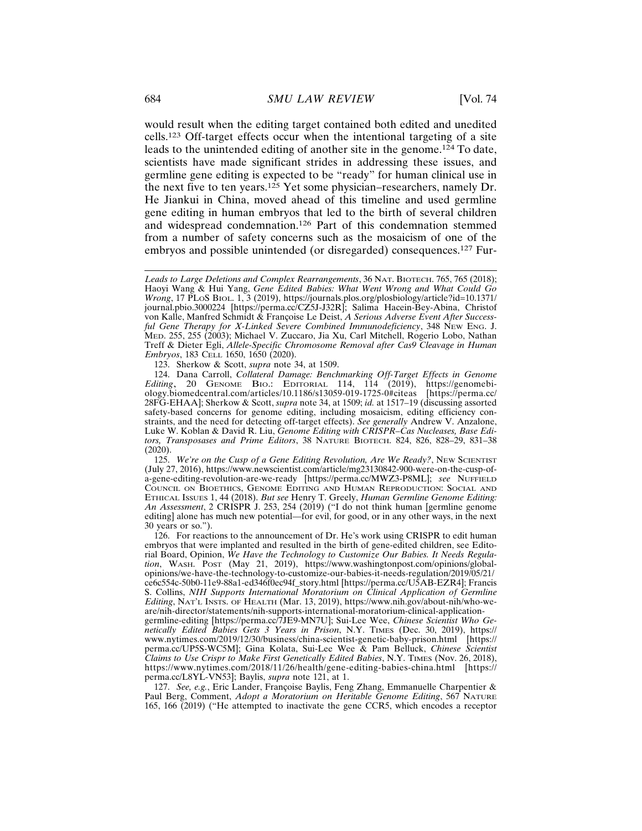would result when the editing target contained both edited and unedited cells.123 Off-target effects occur when the intentional targeting of a site leads to the unintended editing of another site in the genome.124 To date, scientists have made significant strides in addressing these issues, and germline gene editing is expected to be "ready" for human clinical use in the next five to ten years.125 Yet some physician–researchers, namely Dr. He Jiankui in China, moved ahead of this timeline and used germline gene editing in human embryos that led to the birth of several children and widespread condemnation.126 Part of this condemnation stemmed from a number of safety concerns such as the mosaicism of one of the embryos and possible unintended (or disregarded) consequences.127 Fur-

123. Sherkow & Scott, *supra* note 34, at 1509.

124. Dana Carroll, *Collateral Damage: Benchmarking Off-Target Effects in Genome Editing*, 20 GENOME BIO.: EDITORIAL 114, 114 (2019), https://genomebi-<br>ology.biomedcentral.com/articles/10.1186/s13059-019-1725-0#citeas [https://perma.cc/ ology.biomedcentral.com/articles/10.1186/s13059-019-1725-0#citeas 28FG-EHAA]; Sherkow & Scott, *supra* note 34, at 1509; *id.* at 1517–19 (discussing assorted safety-based concerns for genome editing, including mosaicism, editing efficiency constraints, and the need for detecting off-target effects). *See generally* Andrew V. Anzalone, Luke W. Koblan & David R. Liu, *Genome Editing with CRISPR–Cas Nucleases, Base Editors, Transposases and Prime Editors*, 38 NATURE BIOTECH. 824, 826, 828–29, 831–38 (2020).

125. *We're on the Cusp of a Gene Editing Revolution, Are We Ready?*, NEW SCIENTIST (July 27, 2016), https://www.newscientist.com/article/mg23130842-900-were-on-the-cusp-ofa-gene-editing-revolution-are-we-ready [https://perma.cc/MWZ3-P8ML]; *see* NUFFIELD COUNCIL ON BIOETHICS, GENOME EDITING AND HUMAN REPRODUCTION: SOCIAL AND ETHICAL ISSUES 1, 44 (2018). *But see* Henry T. Greely, *Human Germline Genome Editing: An Assessment*, 2 CRISPR J. 253, 254 (2019) ("I do not think human [germline genome editing] alone has much new potential—for evil, for good, or in any other ways, in the next 30 years or so.").

126. For reactions to the announcement of Dr. He's work using CRISPR to edit human embryos that were implanted and resulted in the birth of gene-edited children, see Editorial Board, Opinion, *We Have the Technology to Customize Our Babies. It Needs Regulation*, WASH. POST (May 21, 2019), https://www.washingtonpost.com/opinions/globalopinions/we-have-the-technology-to-customize-our-babies-it-needs-regulation/2019/05/21/ ce6c554c-50b0-11e9-88a1-ed346f0ec94f\_story.html [https://perma.cc/U5AB-EZR4]; Francis S. Collins, *NIH Supports International Moratorium on Clinical Application of Germline Editing*, NAT'L INSTS. OF HEALTH (Mar. 13, 2019), https://www.nih.gov/about-nih/who-weare/nih-director/statements/nih-supports-international-moratorium-clinical-applicationgermline-editing [https://perma.cc/7JE9-MN7U]; Sui-Lee Wee, *Chinese Scientist Who Genetically Edited Babies Gets 3 Years in Prison*, N.Y. TIMES (Dec. 30, 2019), https:// www.nytimes.com/2019/12/30/business/china-scientist-genetic-baby-prison.html [https:// perma.cc/UP5S-WC5M]; Gina Kolata, Sui-Lee Wee & Pam Belluck, *Chinese Scientist*

*Claims to Use Crispr to Make First Genetically Edited Babies*, N.Y. TIMES (Nov. 26, 2018), https://www.nytimes.com/2018/11/26/health/gene-editing-babies-china.html [https:// perma.cc/L8YL-VN53]; Baylis, *supra* note 121, at 1. 127. *See, e.g.*, Eric Lander, Françoise Baylis, Feng Zhang, Emmanuelle Charpentier &

Paul Berg, Comment, *Adopt a Moratorium on Heritable Genome Editing*, 567 NATURE 165, 166 (2019) ("He attempted to inactivate the gene CCR5, which encodes a receptor

Leads to Large Deletions and Complex Rearrangements, 36 NAT. BIOTECH. 765, 765 (2018); Haoyi Wang & Hui Yang, *Gene Edited Babies: What Went Wrong and What Could Go Wrong*, 17 PLoS BIOL. 1, 3 (2019), https://journals.plos.org/plosbiology/article?id=10.1371/ journal.pbio.3000224 [https://perma.cc/CZ5J-J32R]; Salima Hacein-Bey-Abina, Christof von Kalle, Manfred Schmidt & Françoise Le Deist, A Serious Adverse Event After Success*ful Gene Therapy for X-Linked Severe Combined Immunodeficiency*, 348 NEW ENG. J. MED. 255, 255 (2003); Michael V. Zuccaro, Jia Xu, Carl Mitchell, Rogerio Lobo, Nathan Treff & Dieter Egli, *Allele-Specific Chromosome Removal after Cas9 Cleavage in Human Embryos*, 183 CELL 1650, 1650 (2020).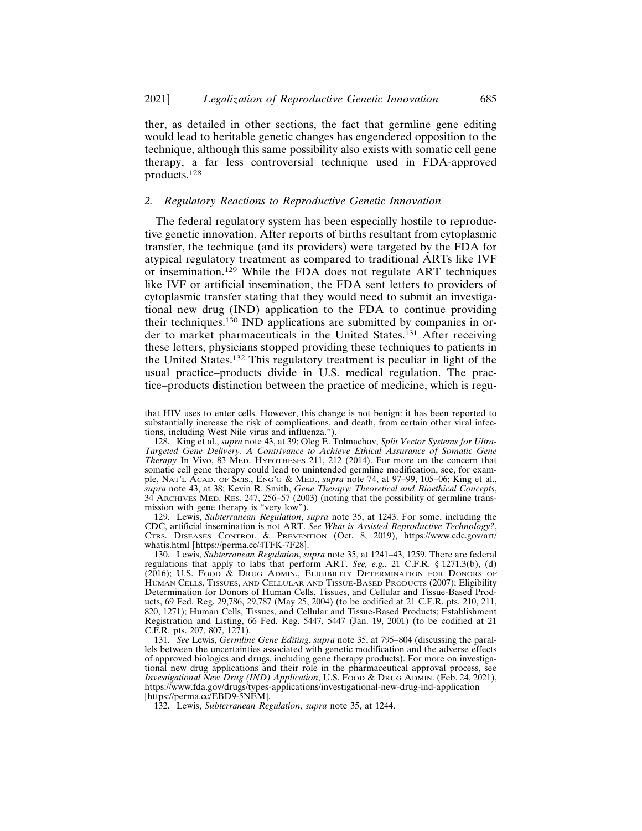ther, as detailed in other sections, the fact that germline gene editing would lead to heritable genetic changes has engendered opposition to the technique, although this same possibility also exists with somatic cell gene therapy, a far less controversial technique used in FDA-approved products.<sup>128</sup>

# *2. Regulatory Reactions to Reproductive Genetic Innovation*

The federal regulatory system has been especially hostile to reproductive genetic innovation. After reports of births resultant from cytoplasmic transfer, the technique (and its providers) were targeted by the FDA for atypical regulatory treatment as compared to traditional ARTs like IVF or insemination.129 While the FDA does not regulate ART techniques like IVF or artificial insemination, the FDA sent letters to providers of cytoplasmic transfer stating that they would need to submit an investigational new drug (IND) application to the FDA to continue providing their techniques.130 IND applications are submitted by companies in order to market pharmaceuticals in the United States.131 After receiving these letters, physicians stopped providing these techniques to patients in the United States.132 This regulatory treatment is peculiar in light of the usual practice–products divide in U.S. medical regulation. The practice–products distinction between the practice of medicine, which is regu-

129. Lewis, *Subterranean Regulation*, *supra* note 35, at 1243. For some, including the CDC, artificial insemination is not ART. *See What is Assisted Reproductive Technology?*, CTRS. DISEASES CONTROL & PREVENTION (Oct. 8, 2019), https://www.cdc.gov/art/ whatis.html [https://perma.cc/4TFK-7F28].

130. Lewis, *Subterranean Regulation*, *supra* note 35, at 1241–43, 1259. There are federal regulations that apply to labs that perform ART. *See, e.g.*, 21 C.F.R. § 1271.3(b), (d) (2016); U.S. FOOD & DRUG ADMIN., ELIGIBILITY DETERMINATION FOR DONORS OF HUMAN CELLS, TISSUES, AND CELLULAR AND TISSUE-BASED PRODUCTS (2007); Eligibility Determination for Donors of Human Cells, Tissues, and Cellular and Tissue-Based Products, 69 Fed. Reg. 29,786, 29,787 (May 25, 2004) (to be codified at 21 C.F.R. pts. 210, 211, 820, 1271); Human Cells, Tissues, and Cellular and Tissue-Based Products; Establishment Registration and Listing, 66 Fed. Reg. 5447, 5447 (Jan. 19, 2001) (to be codified at 21 C.F.R. pts. 207, 807, 1271).

131. *See* Lewis, *Germline Gene Editing*, *supra* note 35, at 795–804 (discussing the parallels between the uncertainties associated with genetic modification and the adverse effects of approved biologics and drugs, including gene therapy products). For more on investigational new drug applications and their role in the pharmaceutical approval process, see *Investigational New Drug (IND) Application*, U.S. FOOD & DRUG ADMIN. (Feb. 24, 2021), https://www.fda.gov/drugs/types-applications/investigational-new-drug-ind-application [https://perma.cc/EBD9-5NEM].

132. Lewis, *Subterranean Regulation*, *supra* note 35, at 1244.

that HIV uses to enter cells. However, this change is not benign: it has been reported to substantially increase the risk of complications, and death, from certain other viral infections, including West Nile virus and influenza.").

<sup>128.</sup> King et al., *supra* note 43, at 39; Oleg E. Tolmachov, *Split Vector Systems for Ultra-Targeted Gene Delivery: A Contrivance to Achieve Ethical Assurance of Somatic Gene Therapy* In Vivo, 83 MED. HYPOTHESES 211, 212 (2014). For more on the concern that somatic cell gene therapy could lead to unintended germline modification, see, for example, NAT'L ACAD. OF SCIS., ENG'G & MED., *supra* note 74, at 97–99, 105–06; King et al., *supra* note 43, at 38; Kevin R. Smith, *Gene Therapy: Theoretical and Bioethical Concepts*, 34 ARCHIVES MED. RES. 247, 256–57 (2003) (noting that the possibility of germline transmission with gene therapy is "very low").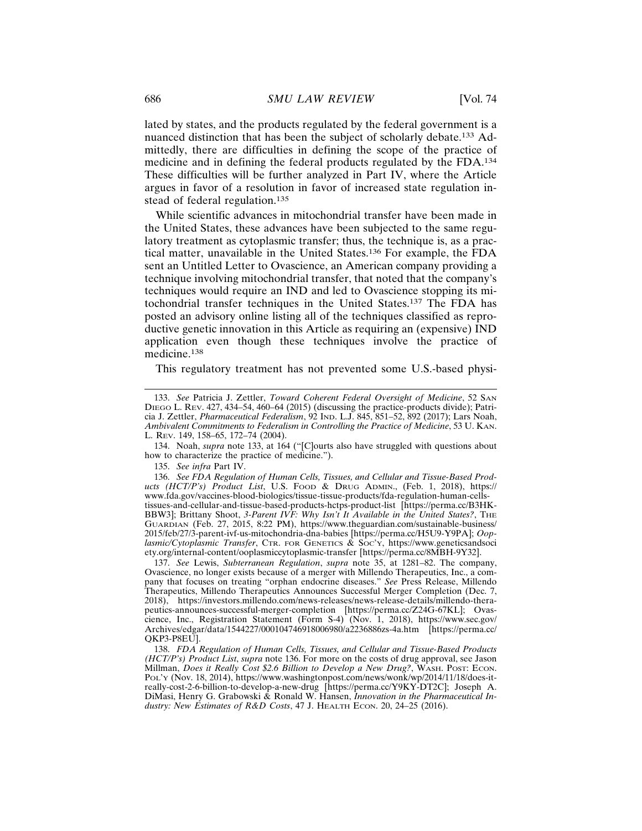lated by states, and the products regulated by the federal government is a nuanced distinction that has been the subject of scholarly debate.133 Admittedly, there are difficulties in defining the scope of the practice of medicine and in defining the federal products regulated by the FDA.<sup>134</sup> These difficulties will be further analyzed in Part IV, where the Article argues in favor of a resolution in favor of increased state regulation instead of federal regulation.<sup>135</sup>

While scientific advances in mitochondrial transfer have been made in the United States, these advances have been subjected to the same regulatory treatment as cytoplasmic transfer; thus, the technique is, as a practical matter, unavailable in the United States.136 For example, the FDA sent an Untitled Letter to Ovascience, an American company providing a technique involving mitochondrial transfer, that noted that the company's techniques would require an IND and led to Ovascience stopping its mitochondrial transfer techniques in the United States.137 The FDA has posted an advisory online listing all of the techniques classified as reproductive genetic innovation in this Article as requiring an (expensive) IND application even though these techniques involve the practice of medicine.138

This regulatory treatment has not prevented some U.S.-based physi-

134. Noah, *supra* note 133, at 164 ("[C]ourts also have struggled with questions about how to characterize the practice of medicine.").

135. *See infra* Part IV.

136. *See FDA Regulation of Human Cells, Tissues, and Cellular and Tissue-Based Products (HCT/P's) Product List*, U.S. FOOD & DRUG ADMIN., (Feb. 1, 2018), https:// www.fda.gov/vaccines-blood-biologics/tissue-tissue-products/fda-regulation-human-cellstissues-and-cellular-and-tissue-based-products-hctps-product-list [https://perma.cc/B3HK-BBW3]; Brittany Shoot, 3-Parent IVF: Why Isn't It Available in the United States?, THE GUARDIAN (Feb. 27, 2015, 8:22 PM), https://www.theguardian.com/sustainable-business/ 2015/feb/27/3-parent-ivf-us-mitochondria-dna-babies [https://perma.cc/H5U9-Y9PA]; *Ooplasmic/Cytoplasmic Transfer*, CTR. FOR GENETICS & SOC'Y, https://www.geneticsandsoci ety.org/internal-content/ooplasmiccytoplasmic-transfer [https://perma.cc/8MBH-9Y32].

137. *See* Lewis, *Subterranean Regulation*, *supra* note 35, at 1281–82. The company, Ovascience, no longer exists because of a merger with Millendo Therapeutics, Inc., a company that focuses on treating "orphan endocrine diseases." *See* Press Release, Millendo Therapeutics, Millendo Therapeutics Announces Successful Merger Completion (Dec. 7, 2018), https://investors.millendo.com/news-releases/news-release-details/millendo-therapeutics-announces-successful-merger-completion [https://perma.cc/Z24G-67KL]; Ovascience, Inc., Registration Statement (Form S-4) (Nov. 1, 2018), https://www.sec.gov/ Archives/edgar/data/1544227/000104746918006980/a2236886zs-4a.htm [https://perma.cc/ QKP3-P8EU].

138. *FDA Regulation of Human Cells, Tissues, and Cellular and Tissue-Based Products (HCT/P's) Product List*, *supra* note 136. For more on the costs of drug approval, see Jason Millman, *Does it Really Cost \$2.6 Billion to Develop a New Drug?*, WASH. POST: ECON. POL'Y (Nov. 18, 2014), https://www.washingtonpost.com/news/wonk/wp/2014/11/18/does-itreally-cost-2-6-billion-to-develop-a-new-drug [https://perma.cc/Y9KY-DT2C]; Joseph A. DiMasi, Henry G. Grabowski & Ronald W. Hansen, *Innovation in the Pharmaceutical Industry: New Estimates of R&D Costs*, 47 J. HEALTH ECON. 20, 24–25 (2016).

<sup>133.</sup> *See* Patricia J. Zettler, *Toward Coherent Federal Oversight of Medicine*, 52 SAN DIEGO L. REV. 427, 434–54, 460–64 (2015) (discussing the practice-products divide); Patricia J. Zettler, *Pharmaceutical Federalism*, 92 IND. L.J. 845, 851–52, 892 (2017); Lars Noah, *Ambivalent Commitments to Federalism in Controlling the Practice of Medicine*, 53 U. KAN. L. REV. 149, 158–65, 172–74 (2004).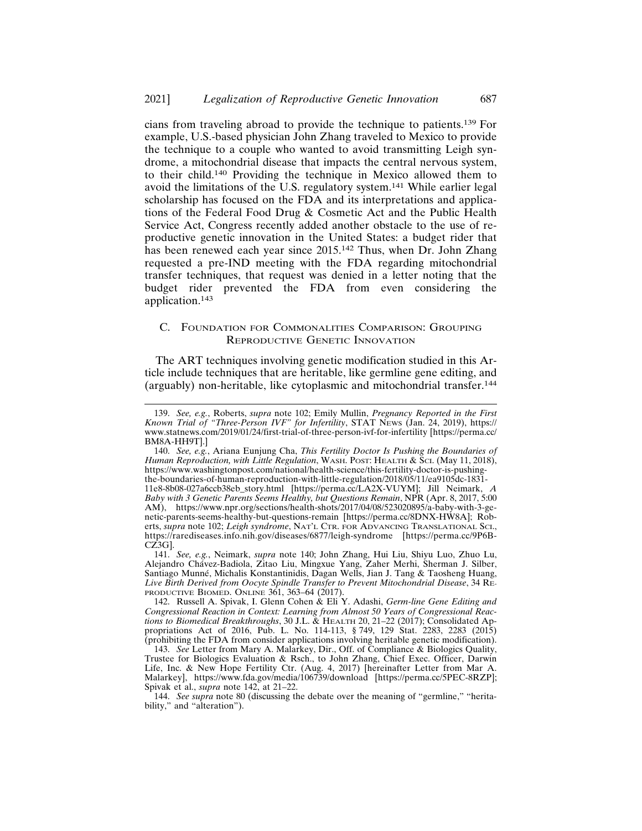cians from traveling abroad to provide the technique to patients.139 For example, U.S.-based physician John Zhang traveled to Mexico to provide the technique to a couple who wanted to avoid transmitting Leigh syndrome, a mitochondrial disease that impacts the central nervous system, to their child.140 Providing the technique in Mexico allowed them to avoid the limitations of the U.S. regulatory system.141 While earlier legal scholarship has focused on the FDA and its interpretations and applications of the Federal Food Drug & Cosmetic Act and the Public Health Service Act, Congress recently added another obstacle to the use of reproductive genetic innovation in the United States: a budget rider that has been renewed each year since 2015.142 Thus, when Dr. John Zhang requested a pre-IND meeting with the FDA regarding mitochondrial transfer techniques, that request was denied in a letter noting that the budget rider prevented the FDA from even considering the application.<sup>143</sup>

# C. FOUNDATION FOR COMMONALITIES COMPARISON: GROUPING REPRODUCTIVE GENETIC INNOVATION

The ART techniques involving genetic modification studied in this Article include techniques that are heritable, like germline gene editing, and (arguably) non-heritable, like cytoplasmic and mitochondrial transfer.<sup>144</sup>

<sup>139.</sup> *See, e.g.*, Roberts, *supra* note 102; Emily Mullin, *Pregnancy Reported in the First Known Trial of "Three-Person IVF" for Infertility*, STAT NEWS (Jan. 24, 2019), https:// www.statnews.com/2019/01/24/first-trial-of-three-person-ivf-for-infertility [https://perma.cc/ BM8A-HH9T].]

<sup>140.</sup> *See, e.g.*, Ariana Eunjung Cha, *This Fertility Doctor Is Pushing the Boundaries of Human Reproduction, with Little Regulation*, WASH. POST: HEALTH & SCI. (May 11, 2018), https://www.washingtonpost.com/national/health-science/this-fertility-doctor-is-pushingthe-boundaries-of-human-reproduction-with-little-regulation/2018/05/11/ea9105dc-1831- 11e8-8b08-027a6ccb38eb\_story.html [https://perma.cc/LA2X-VUYM]; Jill Neimark, *A Baby with 3 Genetic Parents Seems Healthy, but Questions Remain*, NPR (Apr. 8, 2017, 5:00 AM), https://www.npr.org/sections/health-shots/2017/04/08/523020895/a-baby-with-3-genetic-parents-seems-healthy-but-questions-remain [https://perma.cc/8DNX-HW8A]; Roberts, *supra* note 102; *Leigh syndrome*, NAT'L CTR. FOR ADVANCING TRANSLATIONAL SCI., https://rarediseases.info.nih.gov/diseases/6877/leigh-syndrome [https://perma.cc/9P6B-CZ3G].

<sup>141.</sup> *See, e.g.*, Neimark, *supra* note 140; John Zhang, Hui Liu, Shiyu Luo, Zhuo Lu, Alejandro Chávez-Badiola, Zitao Liu, Mingxue Yang, Zaher Merhi, Sherman J. Silber, Santiago Munné, Michalis Konstantinidis, Dagan Wells, Jian J. Tang & Taosheng Huang, *Live Birth Derived from Oocyte Spindle Transfer to Prevent Mitochondrial Disease*, 34 RE-PRODUCTIVE BIOMED. ONLINE 361, 363–64 (2017).

<sup>142.</sup> Russell A. Spivak, I. Glenn Cohen & Eli Y. Adashi, *Germ-line Gene Editing and Congressional Reaction in Context: Learning from Almost 50 Years of Congressional Reactions to Biomedical Breakthroughs*, 30 J.L. & HEALTH 20, 21–22 (2017); Consolidated Appropriations Act of 2016, Pub. L. No. 114-113, § 749, 129 Stat. 2283, 2283 (2015) (prohibiting the FDA from consider applications involving heritable genetic modification).

<sup>143.</sup> *See* Letter from Mary A. Malarkey, Dir., Off. of Compliance & Biologics Quality, Trustee for Biologics Evaluation & Rsch., to John Zhang, Chief Exec. Officer, Darwin Life, Inc. & New Hope Fertility Ctr. (Aug. 4, 2017) [hereinafter Letter from Mar A. Malarkey], https://www.fda.gov/media/106739/download [https://perma.cc/5PEC-8RZP]; Spivak et al., *supra* note 142, at 21–22.

<sup>144.</sup> *See supra* note 80 (discussing the debate over the meaning of "germline," "heritability," and "alteration").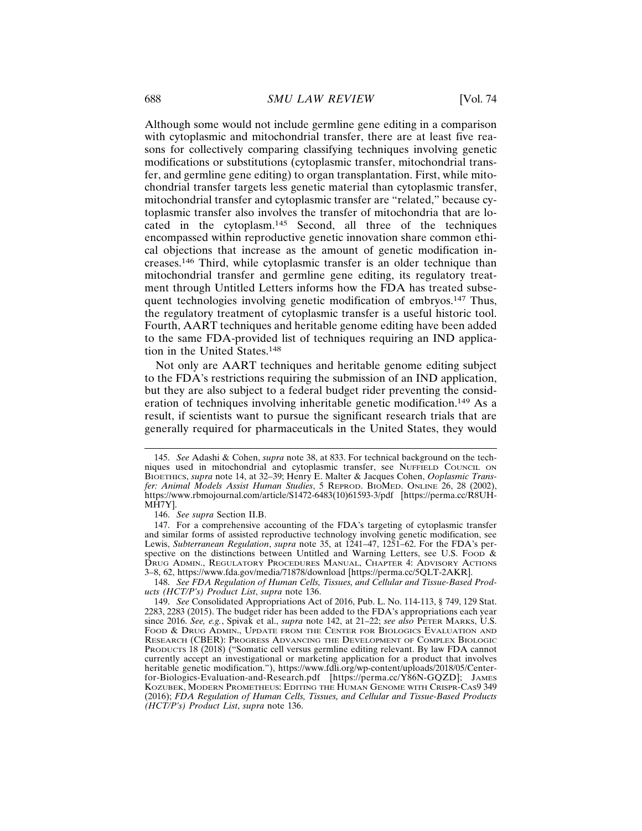Although some would not include germline gene editing in a comparison with cytoplasmic and mitochondrial transfer, there are at least five reasons for collectively comparing classifying techniques involving genetic modifications or substitutions (cytoplasmic transfer, mitochondrial transfer, and germline gene editing) to organ transplantation. First, while mitochondrial transfer targets less genetic material than cytoplasmic transfer, mitochondrial transfer and cytoplasmic transfer are "related," because cytoplasmic transfer also involves the transfer of mitochondria that are located in the cytoplasm.145 Second, all three of the techniques encompassed within reproductive genetic innovation share common ethical objections that increase as the amount of genetic modification increases.146 Third, while cytoplasmic transfer is an older technique than mitochondrial transfer and germline gene editing, its regulatory treatment through Untitled Letters informs how the FDA has treated subsequent technologies involving genetic modification of embryos.147 Thus, the regulatory treatment of cytoplasmic transfer is a useful historic tool. Fourth, AART techniques and heritable genome editing have been added to the same FDA-provided list of techniques requiring an IND application in the United States.<sup>148</sup>

Not only are AART techniques and heritable genome editing subject to the FDA's restrictions requiring the submission of an IND application, but they are also subject to a federal budget rider preventing the consideration of techniques involving inheritable genetic modification.<sup>149</sup> As a result, if scientists want to pursue the significant research trials that are generally required for pharmaceuticals in the United States, they would

148. *See FDA Regulation of Human Cells, Tissues, and Cellular and Tissue-Based Products (HCT/P's) Product List*, *supra* note 136.

<sup>145.</sup> *See* Adashi & Cohen, *supra* note 38, at 833. For technical background on the techniques used in mitochondrial and cytoplasmic transfer, see NUFFIELD COUNCIL ON BIOETHICS, *supra* note 14, at 32–39; Henry E. Malter & Jacques Cohen, *Ooplasmic Transfer: Animal Models Assist Human Studies*, 5 REPROD. BIOMED. ONLINE 26, 28 (2002), https://www.rbmojournal.com/article/S1472-6483(10)61593-3/pdf [https://perma.cc/R8UH-MĤ7Y].

<sup>146.</sup> *See supra* Section II.B.

<sup>147.</sup> For a comprehensive accounting of the FDA's targeting of cytoplasmic transfer and similar forms of assisted reproductive technology involving genetic modification, see Lewis, *Subterranean Regulation*, *supra* note 35, at 1241-47, 1251-62. For the FDA's perspective on the distinctions between Untitled and Warning Letters, see U.S. Food  $\&$ DRUG ADMIN., REGULATORY PROCEDURES MANUAL, CHAPTER 4: ADVISORY ACTIONS 3–8, 62, https://www.fda.gov/media/71878/download [https://perma.cc/5QLT-2AKR].

<sup>149.</sup> *See* Consolidated Appropriations Act of 2016, Pub. L. No. 114-113, § 749, 129 Stat. 2283, 2283 (2015). The budget rider has been added to the FDA's appropriations each year since 2016. *See, e.g.*, Spivak et al., *supra* note 142, at 21-22; *see also* PETER MARKS, U.S. FOOD & DRUG ADMIN., UPDATE FROM THE CENTER FOR BIOLOGICS EVALUATION AND RESEARCH (CBER): PROGRESS ADVANCING THE DEVELOPMENT OF COMPLEX BIOLOGIC PRODUCTS 18 (2018) ("Somatic cell versus germline editing relevant. By law FDA cannot currently accept an investigational or marketing application for a product that involves heritable genetic modification."), https://www.fdli.org/wp-content/uploads/2018/05/Centerfor-Biologics-Evaluation-and-Research.pdf [https://perma.cc/Y86N-GQZD]; JAMES KOZUBEK, MODERN PROMETHEUS: EDITING THE HUMAN GENOME WITH CRISPR-CAS9 349 (2016); *FDA Regulation of Human Cells, Tissues, and Cellular and Tissue-Based Products (HCT/P's) Product List*, *supra* note 136.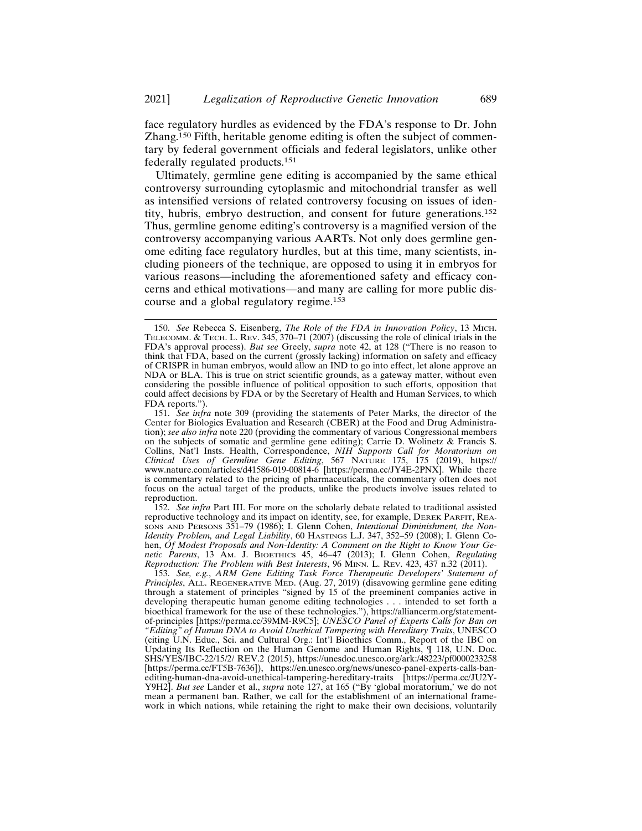face regulatory hurdles as evidenced by the FDA's response to Dr. John Zhang.150 Fifth, heritable genome editing is often the subject of commentary by federal government officials and federal legislators, unlike other federally regulated products.<sup>151</sup>

Ultimately, germline gene editing is accompanied by the same ethical controversy surrounding cytoplasmic and mitochondrial transfer as well as intensified versions of related controversy focusing on issues of identity, hubris, embryo destruction, and consent for future generations.<sup>152</sup> Thus, germline genome editing's controversy is a magnified version of the controversy accompanying various AARTs. Not only does germline genome editing face regulatory hurdles, but at this time, many scientists, including pioneers of the technique, are opposed to using it in embryos for various reasons—including the aforementioned safety and efficacy concerns and ethical motivations—and many are calling for more public discourse and a global regulatory regime.<sup>153</sup>

152. *See infra* Part III. For more on the scholarly debate related to traditional assisted reproductive technology and its impact on identity, see, for example, DEREK PARFIT, REAsons AND PERSONS 351-79 (1986); I. Glenn Cohen, *Intentional Diminishment*, the Non-*Identity Problem, and Legal Liability*, 60 HASTINGS L.J. 347, 352–59 (2008); I. Glenn Cohen, *Of Modest Proposals and Non-Identity: A Comment on the Right to Know Your Genetic Parents*, 13 AM. J. BIOETHICS 45, 46–47 (2013); I. Glenn Cohen, *Regulating Reproduction: The Problem with Best Interests*, 96 MINN. L. REV. 423, 437 n.32 (2011).

153. *See, e.g.*, *ARM Gene Editing Task Force Therapeutic Developers' Statement of Principles*, ALL. REGENERATIVE MED. (Aug. 27, 2019) (disavowing germline gene editing through a statement of principles "signed by 15 of the preeminent companies active in developing therapeutic human genome editing technologies . . . intended to set forth a bioethical framework for the use of these technologies."), https://alliancerm.org/statementof-principles [https://perma.cc/39MM-R9C5]; *UNESCO Panel of Experts Calls for Ban on "Editing" of Human DNA to Avoid Unethical Tampering with Hereditary Traits*, UNESCO (citing U.N. Educ., Sci. and Cultural Org.: Int'l Bioethics Comm., Report of the IBC on Updating Its Reflection on the Human Genome and Human Rights, ¶ 118, U.N. Doc. SHS/YES/IBC-22/15/2/ REV.2 (2015), https://unesdoc.unesco.org/ark:/48223/pf0000233258 [https://perma.cc/FT5B-7636]), https://en.unesco.org/news/unesco-panel-experts-calls-banediting-human-dna-avoid-unethical-tampering-hereditary-traits [https://perma.cc/JU2Y-Y9H2]. *But see* Lander et al., *supra* note 127, at 165 ("By 'global moratorium,' we do not mean a permanent ban. Rather, we call for the establishment of an international framework in which nations, while retaining the right to make their own decisions, voluntarily

<sup>150.</sup> *See* Rebecca S. Eisenberg, *The Role of the FDA in Innovation Policy*, 13 MICH. TELECOMM. & TECH. L. REV. 345, 370–71 (2007) (discussing the role of clinical trials in the FDA's approval process). *But see* Greely, *supra* note 42, at 128 ("There is no reason to think that FDA, based on the current (grossly lacking) information on safety and efficacy of CRISPR in human embryos, would allow an IND to go into effect, let alone approve an NDA or BLA. This is true on strict scientific grounds, as a gateway matter, without even considering the possible influence of political opposition to such efforts, opposition that could affect decisions by FDA or by the Secretary of Health and Human Services, to which FDA reports.").

<sup>151.</sup> *See infra* note 309 (providing the statements of Peter Marks, the director of the Center for Biologics Evaluation and Research (CBER) at the Food and Drug Administration); *see also infra* note 220 (providing the commentary of various Congressional members on the subjects of somatic and germline gene editing); Carrie D. Wolinetz & Francis S. Collins, Nat'l Insts. Health, Correspondence, *NIH Supports Call for Moratorium on Clinical Uses of Germline Gene Editing*, 567 NATURE 175, 175 (2019), https:// www.nature.com/articles/d41586-019-00814-6 [https://perma.cc/JY4E-2PNX]. While there is commentary related to the pricing of pharmaceuticals, the commentary often does not focus on the actual target of the products, unlike the products involve issues related to reproduction.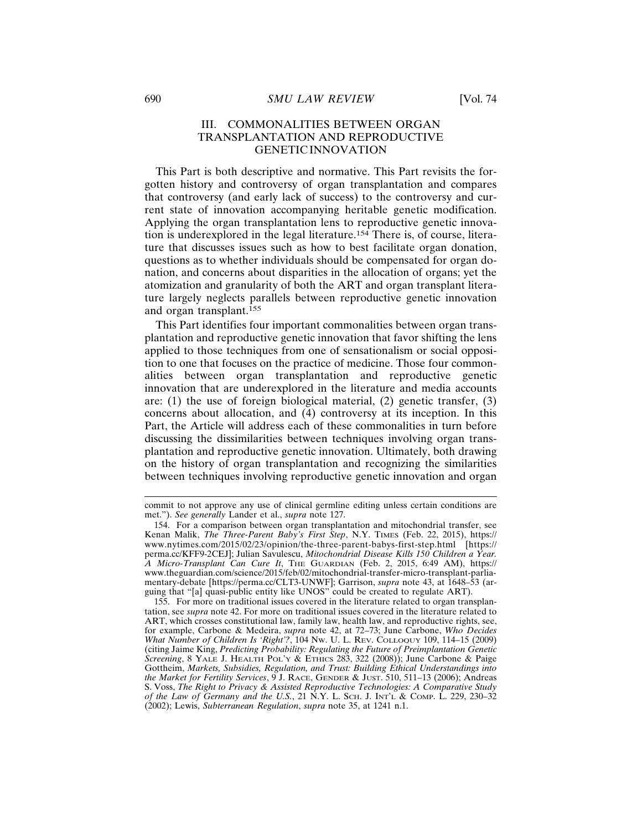This Part is both descriptive and normative. This Part revisits the forgotten history and controversy of organ transplantation and compares that controversy (and early lack of success) to the controversy and current state of innovation accompanying heritable genetic modification. Applying the organ transplantation lens to reproductive genetic innovation is underexplored in the legal literature.154 There is, of course, literature that discusses issues such as how to best facilitate organ donation, questions as to whether individuals should be compensated for organ donation, and concerns about disparities in the allocation of organs; yet the atomization and granularity of both the ART and organ transplant literature largely neglects parallels between reproductive genetic innovation and organ transplant.<sup>155</sup>

This Part identifies four important commonalities between organ transplantation and reproductive genetic innovation that favor shifting the lens applied to those techniques from one of sensationalism or social opposition to one that focuses on the practice of medicine. Those four commonalities between organ transplantation and reproductive genetic innovation that are underexplored in the literature and media accounts are: (1) the use of foreign biological material, (2) genetic transfer, (3) concerns about allocation, and (4) controversy at its inception. In this Part, the Article will address each of these commonalities in turn before discussing the dissimilarities between techniques involving organ transplantation and reproductive genetic innovation. Ultimately, both drawing on the history of organ transplantation and recognizing the similarities between techniques involving reproductive genetic innovation and organ

commit to not approve any use of clinical germline editing unless certain conditions are met."). *See generally* Lander et al., *supra* note 127.

<sup>154.</sup> For a comparison between organ transplantation and mitochondrial transfer, see Kenan Malik, *The Three-Parent Baby's First Step*, N.Y. TIMES (Feb. 22, 2015), https:// www.nytimes.com/2015/02/23/opinion/the-three-parent-babys-first-step.html [https:// perma.cc/KFF9-2CEJ]; Julian Savulescu, *Mitochondrial Disease Kills 150 Children a Year. A Micro-Transplant Can Cure It*, THE GUARDIAN (Feb. 2, 2015, 6:49 AM), https:// www.theguardian.com/science/2015/feb/02/mitochondrial-transfer-micro-transplant-parliamentary-debate [https://perma.cc/CLT3-UNWF]; Garrison, *supra* note 43, at 1648–53 (arguing that "[a] quasi-public entity like UNOS" could be created to regulate ART).

<sup>155.</sup> For more on traditional issues covered in the literature related to organ transplantation, see *supra* note 42. For more on traditional issues covered in the literature related to ART, which crosses constitutional law, family law, health law, and reproductive rights, see, for example, Carbone & Medeira, *supra* note 42, at 72–73; June Carbone, *Who Decides What Number of Children Is 'Right'?*, 104 NW. U. L. REV. COLLOQUY 109, 114–15 (2009) (citing Jaime King, *Predicting Probability: Regulating the Future of Preimplantation Genetic Screening*, 8 YALE J. HEALTH POL'Y & ETHICS 283, 322 (2008)); June Carbone & Paige Gottheim, *Markets, Subsidies, Regulation, and Trust: Building Ethical Understandings into the Market for Fertility Services*, 9 J. RACE, GENDER & JUST. 510, 511–13 (2006); Andreas S. Voss, *The Right to Privacy & Assisted Reproductive Technologies: A Comparative Study of the Law of Germany and the U.S.*, 21 N.Y. L. SCH. J. INT'L & COMP. L. 229, 230–32 (2002); Lewis, *Subterranean Regulation*, *supra* note 35, at 1241 n.1.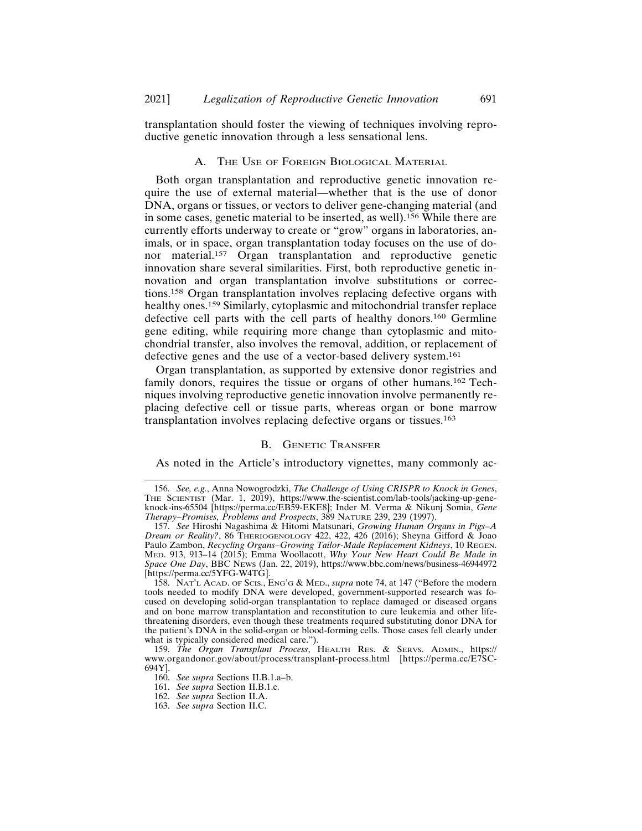transplantation should foster the viewing of techniques involving reproductive genetic innovation through a less sensational lens.

# A. THE USE OF FOREIGN BIOLOGICAL MATERIAL

Both organ transplantation and reproductive genetic innovation require the use of external material—whether that is the use of donor DNA, organs or tissues, or vectors to deliver gene-changing material (and in some cases, genetic material to be inserted, as well).156 While there are currently efforts underway to create or "grow" organs in laboratories, animals, or in space, organ transplantation today focuses on the use of donor material.<sup>157</sup> Organ transplantation and reproductive genetic innovation share several similarities. First, both reproductive genetic innovation and organ transplantation involve substitutions or corrections.158 Organ transplantation involves replacing defective organs with healthy ones.<sup>159</sup> Similarly, cytoplasmic and mitochondrial transfer replace defective cell parts with the cell parts of healthy donors.160 Germline gene editing, while requiring more change than cytoplasmic and mitochondrial transfer, also involves the removal, addition, or replacement of defective genes and the use of a vector-based delivery system.<sup>161</sup>

Organ transplantation, as supported by extensive donor registries and family donors, requires the tissue or organs of other humans.162 Techniques involving reproductive genetic innovation involve permanently replacing defective cell or tissue parts, whereas organ or bone marrow transplantation involves replacing defective organs or tissues.<sup>163</sup>

#### B. GENETIC TRANSFER

As noted in the Article's introductory vignettes, many commonly ac-

158. NAT'L ACAD. OF SCIS., ENG'G & MED., *supra* note 74, at 147 ("Before the modern tools needed to modify DNA were developed, government-supported research was focused on developing solid-organ transplantation to replace damaged or diseased organs and on bone marrow transplantation and reconstitution to cure leukemia and other lifethreatening disorders, even though these treatments required substituting donor DNA for the patient's DNA in the solid-organ or blood-forming cells. Those cases fell clearly under what is typically considered medical care.").

159. *The Organ Transplant Process*, HEALTH RES. & SERVS. ADMIN., https:// www.organdonor.gov/about/process/transplant-process.html [https://perma.cc/E7SC-694Y].

160. *See supra* Sections II.B.1.a–b.

<sup>156.</sup> *See, e.g.*, Anna Nowogrodzki, *The Challenge of Using CRISPR to Knock in Genes*, THE SCIENTIST (Mar. 1, 2019), https://www.the-scientist.com/lab-tools/jacking-up-geneknock-ins-65504 [https://perma.cc/EB59-EKE8]; Inder M. Verma & Nikunj Somia, *Gene Therapy–Promises, Problems and Prospects*, 389 NATURE 239, 239 (1997).

<sup>157.</sup> *See* Hiroshi Nagashima & Hitomi Matsunari, *Growing Human Organs in Pigs*–*A Dream or Reality?*, 86 THERIOGENOLOGY 422, 422, 426 (2016); Sheyna Gifford & Joao Paulo Zambon, *Recycling Organs–Growing Tailor-Made Replacement Kidneys*, 10 REGEN. MED. 913, 913–14 (2015); Emma Woollacott, *Why Your New Heart Could Be Made in Space One Day*, BBC NEWS (Jan. 22, 2019), https://www.bbc.com/news/business-46944972 [https://perma.cc/5YFG-W4TG].

<sup>161.</sup> *See supra* Section II.B.1.c.

<sup>162.</sup> *See supra* Section II.A.

<sup>163.</sup> *See supra* Section II.C.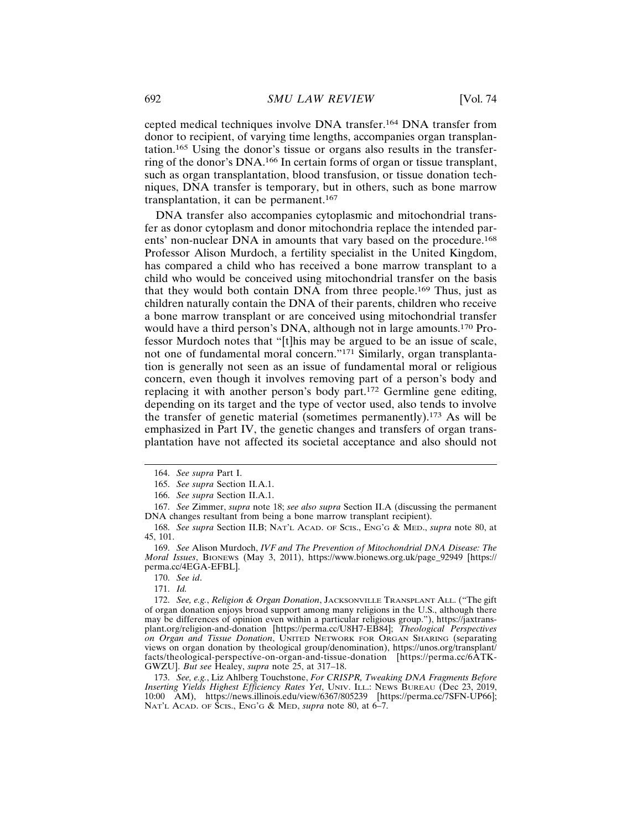cepted medical techniques involve DNA transfer.164 DNA transfer from donor to recipient, of varying time lengths, accompanies organ transplantation.165 Using the donor's tissue or organs also results in the transferring of the donor's DNA.166 In certain forms of organ or tissue transplant, such as organ transplantation, blood transfusion, or tissue donation techniques, DNA transfer is temporary, but in others, such as bone marrow transplantation, it can be permanent.<sup>167</sup>

DNA transfer also accompanies cytoplasmic and mitochondrial transfer as donor cytoplasm and donor mitochondria replace the intended parents' non-nuclear DNA in amounts that vary based on the procedure.<sup>168</sup> Professor Alison Murdoch, a fertility specialist in the United Kingdom, has compared a child who has received a bone marrow transplant to a child who would be conceived using mitochondrial transfer on the basis that they would both contain DNA from three people.169 Thus, just as children naturally contain the DNA of their parents, children who receive a bone marrow transplant or are conceived using mitochondrial transfer would have a third person's DNA, although not in large amounts.170 Professor Murdoch notes that "[t]his may be argued to be an issue of scale, not one of fundamental moral concern."171 Similarly, organ transplantation is generally not seen as an issue of fundamental moral or religious concern, even though it involves removing part of a person's body and replacing it with another person's body part.172 Germline gene editing, depending on its target and the type of vector used, also tends to involve the transfer of genetic material (sometimes permanently).173 As will be emphasized in Part IV, the genetic changes and transfers of organ transplantation have not affected its societal acceptance and also should not

<sup>164.</sup> *See supra* Part I.

<sup>165.</sup> *See supra* Section II*.*A.1.

<sup>166.</sup> *See supra* Section II.A.1.

<sup>167.</sup> *See* Zimmer, *supra* note 18; *see also supra* Section II.A (discussing the permanent DNA changes resultant from being a bone marrow transplant recipient).

<sup>168.</sup> *See supra* Section II.B; NAT'L ACAD. OF SCIS., ENG'G & MED., *supra* note 80, at 45, 101.

<sup>169.</sup> *See* Alison Murdoch, *IVF and The Prevention of Mitochondrial DNA Disease: The Moral Issues*, BIONEWS (May 3, 2011), https://www.bionews.org.uk/page\_92949 [https:// perma.cc/4EGA-EFBL].

<sup>170.</sup> *See id*.

<sup>171.</sup> *Id.*

<sup>172.</sup> *See, e.g.*, *Religion & Organ Donation*, JACKSONVILLE TRANSPLANT ALL. ("The gift of organ donation enjoys broad support among many religions in the U.S., although there may be differences of opinion even within a particular religious group."), https://jaxtransplant.org/religion-and-donation [https://perma.cc/U8H7-EB84]; *Theological Perspectives on Organ and Tissue Donation*, UNITED NETWORK FOR ORGAN SHARING (separating views on organ donation by theological group/denomination), https://unos.org/transplant/ facts/theological-perspective-on-organ-and-tissue-donation [https://perma.cc/6ATK-GWZU]. *But see* Healey, *supra* note 25, at 317–18.

<sup>173.</sup> *See, e.g.*, Liz Ahlberg Touchstone, *For CRISPR, Tweaking DNA Fragments Before Inserting Yields Highest Efficiency Rates Yet*, UNIV. ILL.: NEWS BUREAU (Dec 23, 2019, 10:00 AM), https://news.illinois.edu/view/6367/805239 [https://perma.cc/7SFN-UP66]; NAT'L ACAD. OF SCIS., ENG'G & MED, *supra* note 80, at 6–7.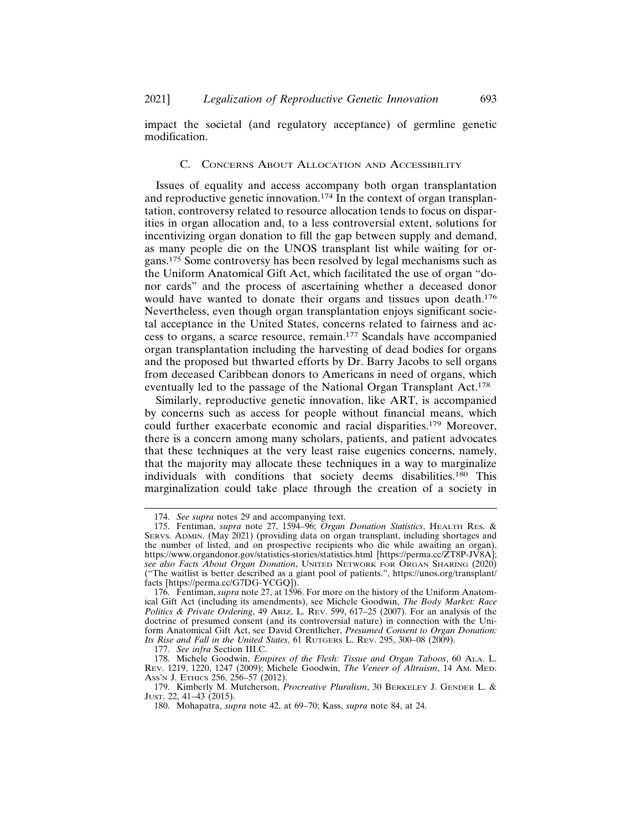impact the societal (and regulatory acceptance) of germline genetic modification.

#### C. CONCERNS ABOUT ALLOCATION AND ACCESSIBILITY

Issues of equality and access accompany both organ transplantation and reproductive genetic innovation.<sup>174</sup> In the context of organ transplantation, controversy related to resource allocation tends to focus on disparities in organ allocation and, to a less controversial extent, solutions for incentivizing organ donation to fill the gap between supply and demand, as many people die on the UNOS transplant list while waiting for organs.175 Some controversy has been resolved by legal mechanisms such as the Uniform Anatomical Gift Act, which facilitated the use of organ "donor cards" and the process of ascertaining whether a deceased donor would have wanted to donate their organs and tissues upon death.<sup>176</sup> Nevertheless, even though organ transplantation enjoys significant societal acceptance in the United States, concerns related to fairness and access to organs, a scarce resource, remain.177 Scandals have accompanied organ transplantation including the harvesting of dead bodies for organs and the proposed but thwarted efforts by Dr. Barry Jacobs to sell organs from deceased Caribbean donors to Americans in need of organs, which eventually led to the passage of the National Organ Transplant Act.<sup>178</sup>

Similarly, reproductive genetic innovation, like ART, is accompanied by concerns such as access for people without financial means, which could further exacerbate economic and racial disparities.179 Moreover, there is a concern among many scholars, patients, and patient advocates that these techniques at the very least raise eugenics concerns, namely, that the majority may allocate these techniques in a way to marginalize individuals with conditions that society deems disabilities.180 This marginalization could take place through the creation of a society in

<sup>174.</sup> *See supra* notes 29 and accompanying text.

<sup>175.</sup> Fentiman, *supra* note 27, 1594–96; *Organ Donation Statistics*, HEALTH RES. & SERVS. ADMIN. (May 2021) (providing data on organ transplant, including shortages and the number of listed, and on prospective recipients who die while awaiting an organ), https://www.organdonor.gov/statistics-stories/statistics.html [https://perma.cc/ZT8P-JV8A]; *see also Facts About Organ Donation*, UNITED NETWORK FOR ORGAN SHARING (2020) ("The waitlist is better described as a giant pool of patients.", https://unos.org/transplant/ facts [https://perma.cc/G7DG-YCGQ]).

<sup>176.</sup> Fentiman, *supra* note 27, at 1596. For more on the history of the Uniform Anatomical Gift Act (including its amendments), see Michele Goodwin, *The Body Market: Race Politics & Private Ordering*, 49 ARIZ. L. REV. 599, 617–25 (2007). For an analysis of the doctrine of presumed consent (and its controversial nature) in connection with the Uniform Anatomical Gift Act, see David Orentlicher, *Presumed Consent to Organ Donation: Its Rise and Fall in the United States*, 61 RUTGERS L. REV. 295, 300–08 (2009).

<sup>177.</sup> *See infra* Section III.C.

<sup>178.</sup> Michele Goodwin, *Empires of the Flesh: Tissue and Organ Taboos*, 60 ALA. L. REV. 1219, 1220, 1247 (2009); Michele Goodwin, *The Veneer of Altruism*, 14 AM. MED. ASS'N J. ETHICS 256, 256–57 (2012).

<sup>179.</sup> Kimberly M. Mutcherson, *Procreative Pluralism*, 30 BERKELEY J. GENDER L. & JUST. 22, 41–43 (2015).

<sup>180.</sup> Mohapatra, *supra* note 42, at 69–70; Kass, *supra* note 84, at 24.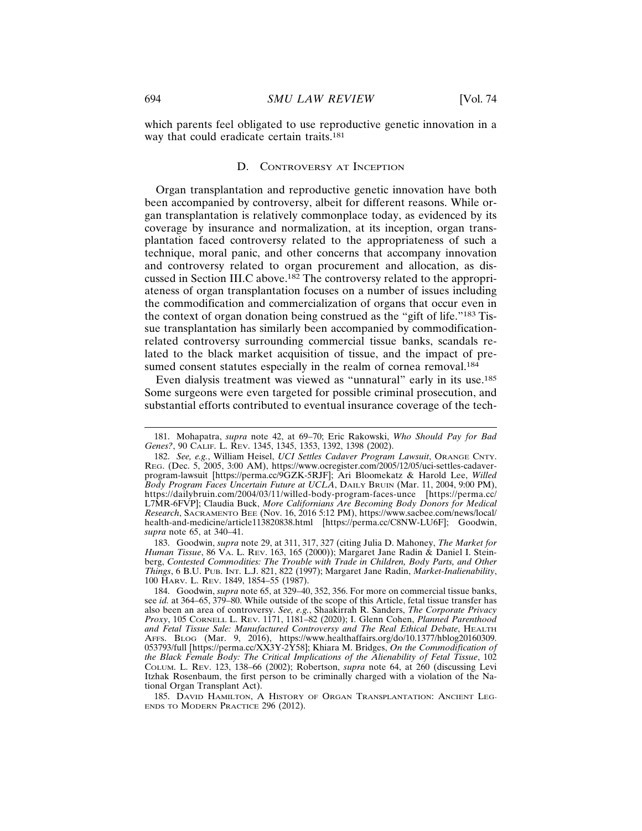which parents feel obligated to use reproductive genetic innovation in a way that could eradicate certain traits.<sup>181</sup>

# D. CONTROVERSY AT INCEPTION

Organ transplantation and reproductive genetic innovation have both been accompanied by controversy, albeit for different reasons. While organ transplantation is relatively commonplace today, as evidenced by its coverage by insurance and normalization, at its inception, organ transplantation faced controversy related to the appropriateness of such a technique, moral panic, and other concerns that accompany innovation and controversy related to organ procurement and allocation, as discussed in Section III.C above.182 The controversy related to the appropriateness of organ transplantation focuses on a number of issues including the commodification and commercialization of organs that occur even in the context of organ donation being construed as the "gift of life."183 Tissue transplantation has similarly been accompanied by commodificationrelated controversy surrounding commercial tissue banks, scandals related to the black market acquisition of tissue, and the impact of presumed consent statutes especially in the realm of cornea removal.<sup>184</sup>

Even dialysis treatment was viewed as "unnatural" early in its use.<sup>185</sup> Some surgeons were even targeted for possible criminal prosecution, and substantial efforts contributed to eventual insurance coverage of the tech-

183. Goodwin, *supra* note 29, at 311, 317, 327 (citing Julia D. Mahoney, *The Market for Human Tissue*, 86 VA. L. REV. 163, 165 (2000)); Margaret Jane Radin & Daniel I. Steinberg, *Contested Commodities: The Trouble with Trade in Children, Body Parts, and Other Things*, 6 B.U. PUB. INT. L.J. 821, 822 (1997); Margaret Jane Radin, *Market-Inalienability*, 100 HARV. L. REV. 1849, 1854–55 (1987).

<sup>181.</sup> Mohapatra, *supra* note 42, at 69–70; Eric Rakowski, *Who Should Pay for Bad Genes?*, 90 CALIF. L. REV. 1345, 1345, 1353, 1392, 1398 (2002).

<sup>182.</sup> *See, e.g.*, William Heisel, *UCI Settles Cadaver Program Lawsuit*, ORANGE CNTY. REG. (Dec. 5, 2005, 3:00 AM), https://www.ocregister.com/2005/12/05/uci-settles-cadaverprogram-lawsuit [https://perma.cc/9GZK-5RJF]; Ari Bloomekatz & Harold Lee, *Willed Body Program Faces Uncertain Future at UCLA*, DAILY BRUIN (Mar. 11, 2004, 9:00 PM), https://dailybruin.com/2004/03/11/willed-body-program-faces-unce [https://perma.cc/ L7MR-6FVP]; Claudia Buck, *More Californians Are Becoming Body Donors for Medical Research*, SACRAMENTO BEE (Nov. 16, 2016 5:12 PM), https://www.sacbee.com/news/local/ health-and-medicine/article113820838.html [https://perma.cc/C8NW-LU6F]; Goodwin, *supra* note 65, at 340–41.

<sup>184.</sup> Goodwin, *supra* note 65, at 329–40, 352, 356. For more on commercial tissue banks, see *id.* at 364–65, 379–80. While outside of the scope of this Article, fetal tissue transfer has also been an area of controversy. *See, e.g.*, Shaakirrah R. Sanders, *The Corporate Privacy Proxy*, 105 CORNELL L. REV. 1171, 1181–82 (2020); I. Glenn Cohen, *Planned Parenthood and Fetal Tissue Sale: Manufactured Controversy and The Real Ethical Debate*, HEALTH AFFS. BLOG (Mar. 9, 2016), https://www.healthaffairs.org/do/10.1377/hblog20160309. 053793/full [https://perma.cc/XX3Y-2Y58]; Khiara M. Bridges, *On the Commodification of the Black Female Body: The Critical Implications of the Alienability of Fetal Tissue*, 102 COLUM. L. REV. 123, 138–66 (2002); Robertson, *supra* note 64, at 260 (discussing Levi Itzhak Rosenbaum, the first person to be criminally charged with a violation of the National Organ Transplant Act).

<sup>185.</sup> DAVID HAMILTON, A HISTORY OF ORGAN TRANSPLANTATION: ANCIENT LEG-ENDS TO MODERN PRACTICE 296 (2012).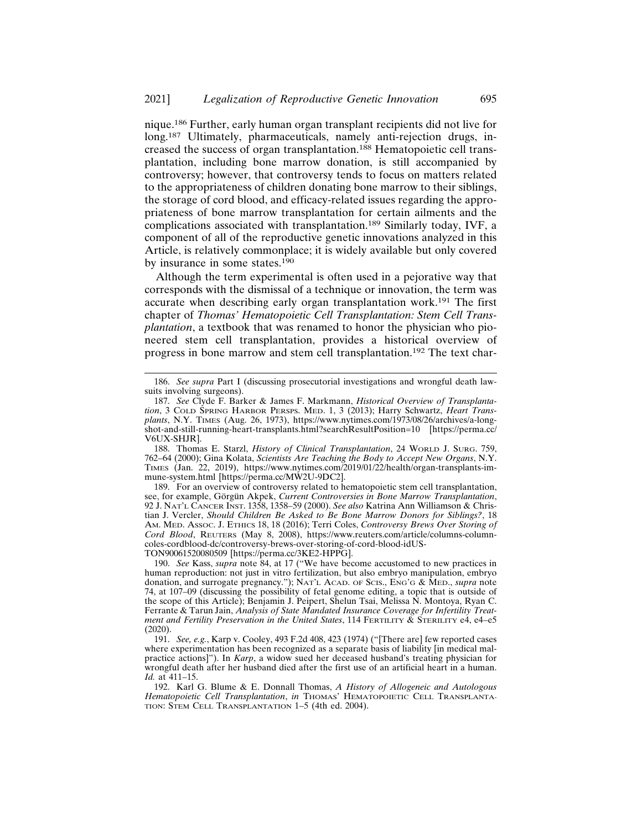nique.186 Further, early human organ transplant recipients did not live for long.<sup>187</sup> Ultimately, pharmaceuticals, namely anti-rejection drugs, increased the success of organ transplantation.188 Hematopoietic cell transplantation, including bone marrow donation, is still accompanied by controversy; however, that controversy tends to focus on matters related to the appropriateness of children donating bone marrow to their siblings, the storage of cord blood, and efficacy-related issues regarding the appropriateness of bone marrow transplantation for certain ailments and the complications associated with transplantation.189 Similarly today, IVF, a component of all of the reproductive genetic innovations analyzed in this Article, is relatively commonplace; it is widely available but only covered by insurance in some states.<sup>190</sup>

Although the term experimental is often used in a pejorative way that corresponds with the dismissal of a technique or innovation, the term was accurate when describing early organ transplantation work.191 The first chapter of *Thomas' Hematopoietic Cell Transplantation: Stem Cell Transplantation*, a textbook that was renamed to honor the physician who pioneered stem cell transplantation, provides a historical overview of progress in bone marrow and stem cell transplantation.192 The text char-

189. For an overview of controversy related to hematopoietic stem cell transplantation, see, for example, Görgün Akpek, *Current Controversies in Bone Marrow Transplantation*, 92 J. NAT'L CANCER INST. 1358, 1358–59 (2000). *See also* Katrina Ann Williamson & Christian J. Vercler, *Should Children Be Asked to Be Bone Marrow Donors for Siblings?*, 18 AM. MED. ASSOC. J. ETHICS 18, 18 (2016); Terri Coles, *Controversy Brews Over Storing of Cord Blood*, REUTERS (May 8, 2008), https://www.reuters.com/article/columns-columncoles-cordblood-dc/controversy-brews-over-storing-of-cord-blood-idUS-TON90061520080509 [https://perma.cc/3KE2-HPPG].

<sup>186.</sup> *See supra* Part I (discussing prosecutorial investigations and wrongful death lawsuits involving surgeons).

<sup>187.</sup> *See* Clyde F. Barker & James F. Markmann, *Historical Overview of Transplantation*, 3 COLD SPRING HARBOR PERSPS. MED. 1, 3 (2013); Harry Schwartz, *Heart Transplants*, N.Y. TIMES (Aug. 26, 1973), https://www.nytimes.com/1973/08/26/archives/a-longshot-and-still-running-heart-transplants.html?searchResultPosition=10 [https://perma.cc/ V6UX-SHJR].

<sup>188.</sup> Thomas E. Starzl, *History of Clinical Transplantation*, 24 WORLD J. SURG. 759, 762–64 (2000); Gina Kolata, *Scientists Are Teaching the Body to Accept New Organs*, N.Y. TIMES (Jan. 22, 2019), https://www.nytimes.com/2019/01/22/health/organ-transplants-immune-system.html [https://perma.cc/MW2U-9DC2].

<sup>190.</sup> *See* Kass, *supra* note 84, at 17 ("We have become accustomed to new practices in human reproduction: not just in vitro fertilization, but also embryo manipulation, embryo donation, and surrogate pregnancy."); NAT'L ACAD. OF SCIS., ENG'G & MED., *supra* note 74, at 107–09 (discussing the possibility of fetal genome editing, a topic that is outside of the scope of this Article); Benjamin J. Peipert, Shelun Tsai, Melissa N. Montoya, Ryan C. Ferrante & Tarun Jain, *Analysis of State Mandated Insurance Coverage for Infertility Treatment and Fertility Preservation in the United States*, 114 FERTILITY & STERILITY e4, e4–e5 (2020).

<sup>191.</sup> *See, e.g.*, Karp v. Cooley, 493 F.2d 408, 423 (1974) ("[There are] few reported cases where experimentation has been recognized as a separate basis of liability [in medical malpractice actions]"). In *Karp*, a widow sued her deceased husband's treating physician for wrongful death after her husband died after the first use of an artificial heart in a human. *Id.* at 411–15.

<sup>192.</sup> Karl G. Blume & E. Donnall Thomas, *A History of Allogeneic and Autologous* Hematopoietic Cell Transplantation, in THOMAS' HEMATOPOIETIC CELL TRANSPLANTA-TION: STEM CELL TRANSPLANTATION 1–5 (4th ed. 2004).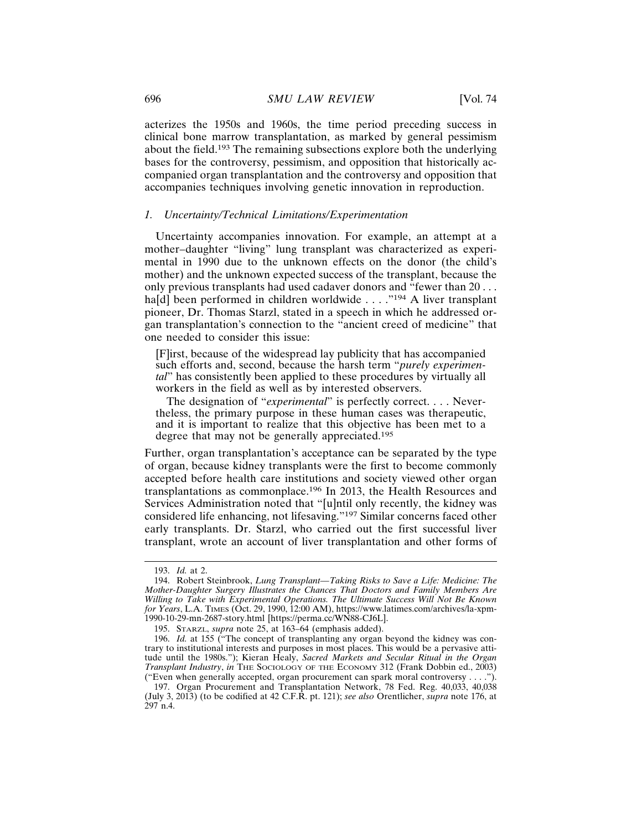acterizes the 1950s and 1960s, the time period preceding success in clinical bone marrow transplantation, as marked by general pessimism about the field.193 The remaining subsections explore both the underlying bases for the controversy, pessimism, and opposition that historically accompanied organ transplantation and the controversy and opposition that accompanies techniques involving genetic innovation in reproduction.

## *1. Uncertainty/Technical Limitations/Experimentation*

Uncertainty accompanies innovation. For example, an attempt at a mother–daughter "living" lung transplant was characterized as experimental in 1990 due to the unknown effects on the donor (the child's mother) and the unknown expected success of the transplant, because the only previous transplants had used cadaver donors and "fewer than 20 . . . ha[d] been performed in children worldwide . . . . "<sup>194</sup> A liver transplant pioneer, Dr. Thomas Starzl, stated in a speech in which he addressed organ transplantation's connection to the "ancient creed of medicine" that one needed to consider this issue:

[F]irst, because of the widespread lay publicity that has accompanied such efforts and, second, because the harsh term "*purely experimental*" has consistently been applied to these procedures by virtually all workers in the field as well as by interested observers.

The designation of "*experimental*" is perfectly correct. . . . Nevertheless, the primary purpose in these human cases was therapeutic, and it is important to realize that this objective has been met to a degree that may not be generally appreciated.<sup>195</sup>

Further, organ transplantation's acceptance can be separated by the type of organ, because kidney transplants were the first to become commonly accepted before health care institutions and society viewed other organ transplantations as commonplace.196 In 2013, the Health Resources and Services Administration noted that "[u]ntil only recently, the kidney was considered life enhancing, not lifesaving."197 Similar concerns faced other early transplants. Dr. Starzl, who carried out the first successful liver transplant, wrote an account of liver transplantation and other forms of

<sup>193.</sup> *Id.* at 2.

<sup>194.</sup> Robert Steinbrook, *Lung Transplant—Taking Risks to Save a Life: Medicine: The Mother-Daughter Surgery Illustrates the Chances That Doctors and Family Members Are Willing to Take with Experimental Operations. The Ultimate Success Will Not Be Known for Years*, L.A. TIMES (Oct. 29, 1990, 12:00 AM), https://www.latimes.com/archives/la-xpm-1990-10-29-mn-2687-story.html [https://perma.cc/WN88-CJ6L].

<sup>195.</sup> STARZL, *supra* note 25, at 163–64 (emphasis added).

<sup>196.</sup> *Id.* at 155 ("The concept of transplanting any organ beyond the kidney was contrary to institutional interests and purposes in most places. This would be a pervasive attitude until the 1980s."); Kieran Healy, *Sacred Markets and Secular Ritual in the Organ Transplant Industry*, *in* THE SOCIOLOGY OF THE ECONOMY 312 (Frank Dobbin ed., 2003) ("Even when generally accepted, organ procurement can spark moral controversy . . . .").

<sup>197.</sup> Organ Procurement and Transplantation Network, 78 Fed. Reg. 40,033, 40,038 (July 3, 2013) (to be codified at 42 C.F.R. pt. 121); *see also* Orentlicher, *supra* note 176, at 297 n.4.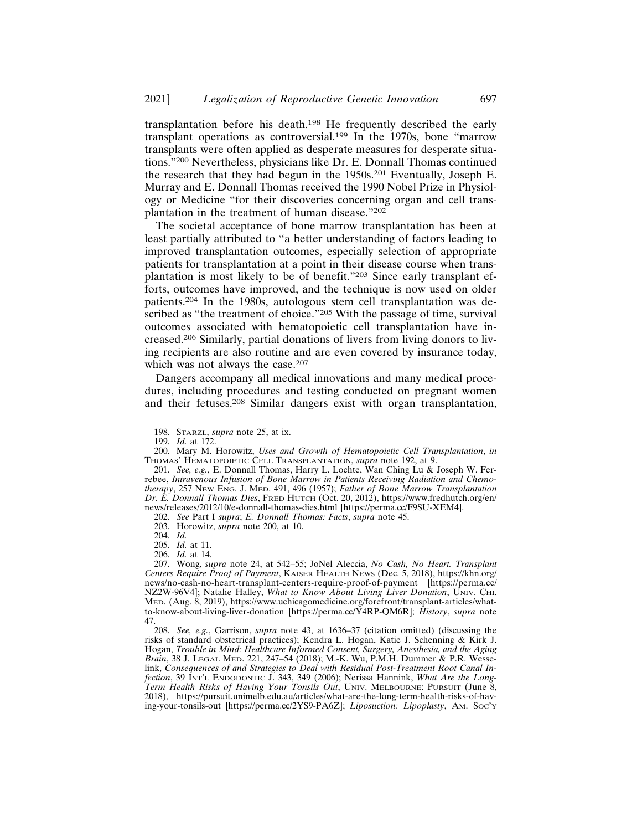transplantation before his death.198 He frequently described the early transplant operations as controversial.199 In the 1970s, bone "marrow transplants were often applied as desperate measures for desperate situations."200 Nevertheless, physicians like Dr. E. Donnall Thomas continued the research that they had begun in the 1950s.201 Eventually, Joseph E. Murray and E. Donnall Thomas received the 1990 Nobel Prize in Physiology or Medicine "for their discoveries concerning organ and cell transplantation in the treatment of human disease."<sup>202</sup>

The societal acceptance of bone marrow transplantation has been at least partially attributed to "a better understanding of factors leading to improved transplantation outcomes, especially selection of appropriate patients for transplantation at a point in their disease course when transplantation is most likely to be of benefit."203 Since early transplant efforts, outcomes have improved, and the technique is now used on older patients.204 In the 1980s, autologous stem cell transplantation was described as "the treatment of choice."<sup>205</sup> With the passage of time, survival outcomes associated with hematopoietic cell transplantation have increased.206 Similarly, partial donations of livers from living donors to living recipients are also routine and are even covered by insurance today, which was not always the case.<sup>207</sup>

Dangers accompany all medical innovations and many medical procedures, including procedures and testing conducted on pregnant women and their fetuses.208 Similar dangers exist with organ transplantation,

203. Horowitz, *supra* note 200, at 10.

204. *Id.*

<sup>198.</sup> STARZL, *supra* note 25, at ix.

<sup>199.</sup> *Id.* at 172.

<sup>200.</sup> Mary M. Horowitz, *Uses and Growth of Hematopoietic Cell Transplantation*, *in* THOMAS' HEMATOPOIETIC CELL TRANSPLANTATION, *supra* note 192, at 9.

<sup>201.</sup> *See, e.g.*, E. Donnall Thomas, Harry L. Lochte, Wan Ching Lu & Joseph W. Ferrebee, *Intravenous Infusion of Bone Marrow in Patients Receiving Radiation and Chemotherapy*, 257 NEW ENG. J. MED. 491, 496 (1957); *Father of Bone Marrow Transplantation Dr. E. Donnall Thomas Dies*, FRED HUTCH (Oct. 20, 2012), https://www.fredhutch.org/en/ news/releases/2012/10/e-donnall-thomas-dies.html [https://perma.cc/F9SU-XEM4].

<sup>202.</sup> *See* Part I *supra*; *E. Donnall Thomas: Facts*, *supra* note 45.

<sup>205.</sup> *Id.* at 11.

<sup>206.</sup> *Id.* at 14.

<sup>207.</sup> Wong, *supra* note 24, at 542–55; JoNel Aleccia, *No Cash, No Heart. Transplant Centers Require Proof of Payment*, KAISER HEALTH NEWS (Dec. 5, 2018), https://khn.org/ news/no-cash-no-heart-transplant-centers-require-proof-of-payment [https://perma.cc/ NZ2W-96V4]; Natalie Halley, *What to Know About Living Liver Donation*, UNIV. CHI. MED. (Aug. 8, 2019), https://www.uchicagomedicine.org/forefront/transplant-articles/whatto-know-about-living-liver-donation [https://perma.cc/Y4RP-QM6R]; *History*, *supra* note 47.

<sup>208.</sup> *See, e.g.*, Garrison, *supra* note 43, at 1636–37 (citation omitted) (discussing the risks of standard obstetrical practices); Kendra L. Hogan, Katie J. Schenning & Kirk J. Hogan, *Trouble in Mind: Healthcare Informed Consent, Surgery, Anesthesia, and the Aging Brain*, 38 J. LEGAL MED. 221, 247–54 (2018); M.-K. Wu, P.M.H. Dummer & P.R. Wesselink, *Consequences of and Strategies to Deal with Residual Post-Treatment Root Canal Infection*, 39 INT'L ENDODONTIC J. 343, 349 (2006); Nerissa Hannink, *What Are the Long-Term Health Risks of Having Your Tonsils Out*, UNIV. MELBOURNE: PURSUIT (June 8, 2018), https://pursuit.unimelb.edu.au/articles/what-are-the-long-term-health-risks-of-having-your-tonsils-out [https://perma.cc/2YS9-PA6Z]; *Liposuction: Lipoplasty*, AM. SOC'Y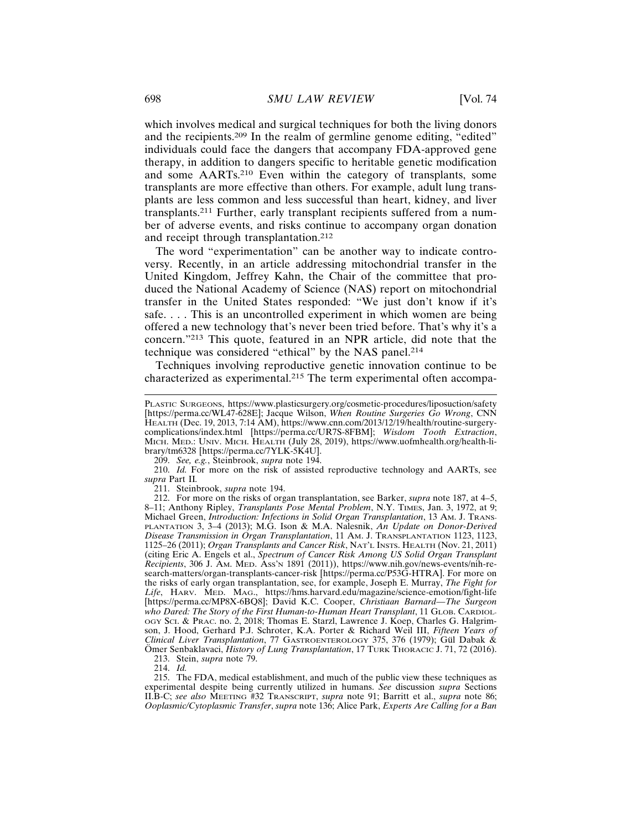which involves medical and surgical techniques for both the living donors and the recipients.209 In the realm of germline genome editing, "edited" individuals could face the dangers that accompany FDA-approved gene therapy, in addition to dangers specific to heritable genetic modification and some AARTs.210 Even within the category of transplants, some transplants are more effective than others. For example, adult lung transplants are less common and less successful than heart, kidney, and liver transplants.211 Further, early transplant recipients suffered from a number of adverse events, and risks continue to accompany organ donation and receipt through transplantation.<sup>212</sup>

The word "experimentation" can be another way to indicate controversy. Recently, in an article addressing mitochondrial transfer in the United Kingdom, Jeffrey Kahn, the Chair of the committee that produced the National Academy of Science (NAS) report on mitochondrial transfer in the United States responded: "We just don't know if it's safe. . . . This is an uncontrolled experiment in which women are being offered a new technology that's never been tried before. That's why it's a concern."213 This quote, featured in an NPR article, did note that the technique was considered "ethical" by the NAS panel.<sup>214</sup>

Techniques involving reproductive genetic innovation continue to be characterized as experimental.215 The term experimental often accompa-

209. *See, e.g.*, Steinbrook, *supra* note 194.

210. *Id.* For more on the risk of assisted reproductive technology and AARTs, see *supra* Part II*.*

211. Steinbrook, *supra* note 194.

213. Stein, *supra* note 79.

214. *Id.*

215. The FDA, medical establishment, and much of the public view these techniques as experimental despite being currently utilized in humans. *See* discussion *supra* Sections II.B-C; *see also* MEETING #32 TRANSCRIPT, *supra* note 91; Barritt et al., *supra* note 86; *Ooplasmic/Cytoplasmic Transfer*, *supra* note 136; Alice Park, *Experts Are Calling for a Ban*

PLASTIC SURGEONS, https://www.plasticsurgery.org/cosmetic-procedures/liposuction/safety [https://perma.cc/WL47-628E]; Jacque Wilson, *When Routine Surgeries Go Wrong*, CNN HEALTH (Dec. 19, 2013, 7:14 AM), https://www.cnn.com/2013/12/19/health/routine-surgerycomplications/index.html [https://perma.cc/UR7S-8FBM]; *Wisdom Tooth Extraction*, MICH. MED.: UNIV. MICH. HEALTH (July 28, 2019), https://www.uofmhealth.org/health-library/tm6328 [https://perma.cc/7YLK-5K4U].

<sup>212.</sup> For more on the risks of organ transplantation, see Barker, *supra* note 187, at 4–5, 8-11; Anthony Ripley, *Transplants Pose Mental Problem*, N.Y. TIMES, Jan. 3, 1972, at 9; Michael Green, *Introduction: Infections in Solid Organ Transplantation*, 13 AM. J. TRANS-PLANTATION 3, 3–4 (2013); M.G. Ison & M.A. Nalesnik, *An Update on Donor-Derived Disease Transmission in Organ Transplantation*, 11 AM. J. TRANSPLANTATION 1123, 1123, 1125–26 (2011); *Organ Transplants and Cancer Risk*, NAT'L INSTS. HEALTH (Nov. 21, 2011) (citing Eric A. Engels et al., *Spectrum of Cancer Risk Among US Solid Organ Transplant Recipients*, 306 J. AM. MED. ASS'N 1891 (2011)), https://www.nih.gov/news-events/nih-research-matters/organ-transplants-cancer-risk [https://perma.cc/P53G-HTRA]. For more on the risks of early organ transplantation, see, for example, Joseph E. Murray, *The Fight for Life*, HARV. MED. MAG., https://hms.harvard.edu/magazine/science-emotion/fight-life [https://perma.cc/MP8X-6BQ8]; David K.C. Cooper, *Christiaan Barnard—The Surgeon who Dared: The Story of the First Human-to-Human Heart Transplant*, 11 GLOB. CARDIOL-OGY SCI. & PRAC. no. 2, 2018; Thomas E. Starzl, Lawrence J. Koep, Charles G. Halgrimson, J. Hood, Gerhard P.J. Schroter, K.A. Porter & Richard Weil III, *Fifteen Years of Clinical Liver Transplantation*, 77 GASTROENTEROLOGY 375, 376 (1979); Gül Dabak & Ömer Senbaklavaci, *History of Lung Transplantation*, 17 TURK THORACIC J. 71, 72 (2016).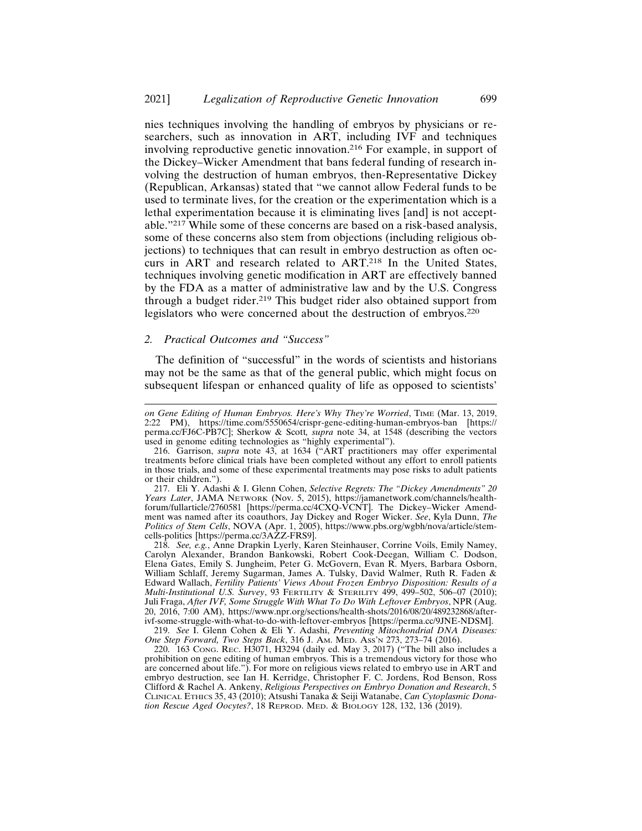nies techniques involving the handling of embryos by physicians or researchers, such as innovation in ART, including IVF and techniques involving reproductive genetic innovation.216 For example, in support of the Dickey–Wicker Amendment that bans federal funding of research involving the destruction of human embryos, then-Representative Dickey (Republican, Arkansas) stated that "we cannot allow Federal funds to be used to terminate lives, for the creation or the experimentation which is a lethal experimentation because it is eliminating lives [and] is not acceptable."217 While some of these concerns are based on a risk-based analysis, some of these concerns also stem from objections (including religious objections) to techniques that can result in embryo destruction as often occurs in ART and research related to ART.218 In the United States, techniques involving genetic modification in ART are effectively banned by the FDA as a matter of administrative law and by the U.S. Congress through a budget rider.219 This budget rider also obtained support from legislators who were concerned about the destruction of embryos.<sup>220</sup>

#### *2. Practical Outcomes and "Success"*

The definition of "successful" in the words of scientists and historians may not be the same as that of the general public, which might focus on subsequent lifespan or enhanced quality of life as opposed to scientists'

*on Gene Editing of Human Embryos. Here's Why They're Worried*, TIME (Mar. 13, 2019, 2:22 PM), https://time.com/5550654/crispr-gene-editing-human-embryos-ban [https:// perma.cc/FJ6C-PB7C]; Sherkow & Scott*, supra* note 34, at 1548 (describing the vectors used in genome editing technologies as "highly experimental").

<sup>216.</sup> Garrison, *supra* note 43, at 1634 ("ART practitioners may offer experimental treatments before clinical trials have been completed without any effort to enroll patients in those trials, and some of these experimental treatments may pose risks to adult patients or their children.").

<sup>217.</sup> Eli Y. Adashi & I. Glenn Cohen, *Selective Regrets: The "Dickey Amendments" 20 Years Later*, JAMA NETWORK (Nov. 5, 2015), https://jamanetwork.com/channels/healthforum/fullarticle/2760581 [https://perma.cc/4CXQ-VCNT]. The Dickey–Wicker Amendment was named after its coauthors, Jay Dickey and Roger Wicker. *See*, Kyla Dunn, *The Politics of Stem Cells*, NOVA (Apr. 1, 2005), https://www.pbs.org/wgbh/nova/article/stemcells-politics [https://perma.cc/3AZZ-FRS9].

<sup>218.</sup> *See, e.g.*, Anne Drapkin Lyerly, Karen Steinhauser, Corrine Voils, Emily Namey, Carolyn Alexander, Brandon Bankowski, Robert Cook-Deegan, William C. Dodson, Elena Gates, Emily S. Jungheim, Peter G. McGovern, Evan R. Myers, Barbara Osborn, William Schlaff, Jeremy Sugarman, James A. Tulsky, David Walmer, Ruth R. Faden & Edward Wallach, *Fertility Patients' Views About Frozen Embryo Disposition: Results of a Multi-Institutional U.S. Survey*, 93 FERTILITY & STERILITY 499, 499–502, 506–07 (2010); Juli Fraga, *After IVF, Some Struggle With What To Do With Leftover Embryos*, NPR (Aug. 20, 2016, 7:00 AM), https://www.npr.org/sections/health-shots/2016/08/20/489232868/afterivf-some-struggle-with-what-to-do-with-leftover-embryos [https://perma.cc/9JNE-NDSM].

<sup>219.</sup> *See* I. Glenn Cohen & Eli Y. Adashi, *Preventing Mitochondrial DNA Diseases: One Step Forward, Two Steps Back*, 316 J. AM. MED. ASS'N 273, 273–74 (2016).

<sup>220. 163</sup> CONG. REC. H3071, H3294 (daily ed. May 3, 2017) ("The bill also includes a prohibition on gene editing of human embryos. This is a tremendous victory for those who are concerned about life."). For more on religious views related to embryo use in ART and embryo destruction, see Ian H. Kerridge, Christopher F. C. Jordens, Rod Benson, Ross Clifford & Rachel A. Ankeny, *Religious Perspectives on Embryo Donation and Research*, 5 CLINICAL ETHICS 35, 43 (2010); Atsushi Tanaka & Seiji Watanabe, *Can Cytoplasmic Donation Rescue Aged Oocytes?*, 18 REPROD. MED. & BIOLOGY 128, 132, 136 (2019).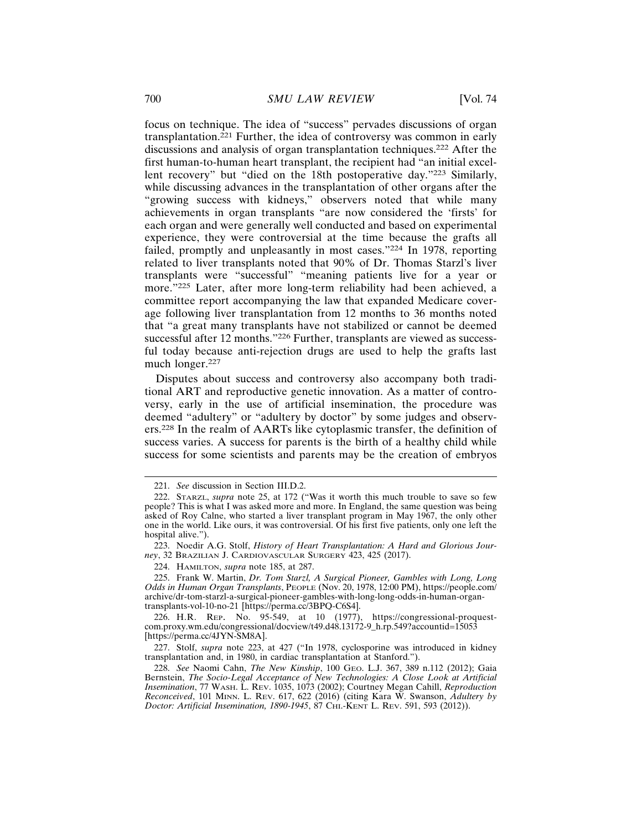focus on technique. The idea of "success" pervades discussions of organ transplantation.221 Further, the idea of controversy was common in early discussions and analysis of organ transplantation techniques.222 After the first human-to-human heart transplant, the recipient had "an initial excellent recovery" but "died on the 18th postoperative day."223 Similarly, while discussing advances in the transplantation of other organs after the "growing success with kidneys," observers noted that while many achievements in organ transplants "are now considered the 'firsts' for each organ and were generally well conducted and based on experimental experience, they were controversial at the time because the grafts all failed, promptly and unpleasantly in most cases."224 In 1978, reporting related to liver transplants noted that 90% of Dr. Thomas Starzl's liver transplants were "successful" "meaning patients live for a year or more."225 Later, after more long-term reliability had been achieved, a committee report accompanying the law that expanded Medicare coverage following liver transplantation from 12 months to 36 months noted that "a great many transplants have not stabilized or cannot be deemed successful after 12 months."<sup>226</sup> Further, transplants are viewed as successful today because anti-rejection drugs are used to help the grafts last much longer.<sup>227</sup>

Disputes about success and controversy also accompany both traditional ART and reproductive genetic innovation. As a matter of controversy, early in the use of artificial insemination, the procedure was deemed "adultery" or "adultery by doctor" by some judges and observers.228 In the realm of AARTs like cytoplasmic transfer, the definition of success varies. A success for parents is the birth of a healthy child while success for some scientists and parents may be the creation of embryos

<sup>221.</sup> *See* discussion in Section III.D.2.

<sup>222.</sup> STARZL, *supra* note 25, at 172 ("Was it worth this much trouble to save so few people? This is what I was asked more and more. In England, the same question was being asked of Roy Calne, who started a liver transplant program in May 1967, the only other one in the world. Like ours, it was controversial. Of his first five patients, only one left the hospital alive.").

<sup>223.</sup> Noedir A.G. Stolf, *History of Heart Transplantation: A Hard and Glorious Journey*, 32 BRAZILIAN J. CARDIOVASCULAR SURGERY 423, 425 (2017).

<sup>224.</sup> HAMILTON, *supra* note 185, at 287.

<sup>225.</sup> Frank W. Martin, *Dr. Tom Starzl, A Surgical Pioneer, Gambles with Long, Long Odds in Human Organ Transplants*, PEOPLE (Nov. 20, 1978, 12:00 PM), https://people.com/ archive/dr-tom-starzl-a-surgical-pioneer-gambles-with-long-long-odds-in-human-organtransplants-vol-10-no-21 [https://perma.cc/3BPQ-C6S4].

<sup>226.</sup> H.R. REP. No. 95-549, at 10 (1977), https://congressional-proquestcom.proxy.wm.edu/congressional/docview/t49.d48.13172-9\_h.rp.549?accountid=15053 [https://perma.cc/4JYN-SM8A].

<sup>227.</sup> Stolf, *supra* note 223, at 427 ("In 1978, cyclosporine was introduced in kidney transplantation and, in 1980, in cardiac transplantation at Stanford.").

<sup>228.</sup> *See* Naomi Cahn, *The New Kinship*, 100 GEO. L.J. 367, 389 n.112 (2012); Gaia Bernstein, *The Socio-Legal Acceptance of New Technologies: A Close Look at Artificial Insemination*, 77 WASH. L. REV. 1035, 1073 (2002); Courtney Megan Cahill, *Reproduction Reconceived*, 101 MINN. L. REV. 617, 622 (2016) (citing Kara W. Swanson, *Adultery by Doctor: Artificial Insemination, 1890-1945*, 87 CHI.-KENT L. REV. 591, 593 (2012)).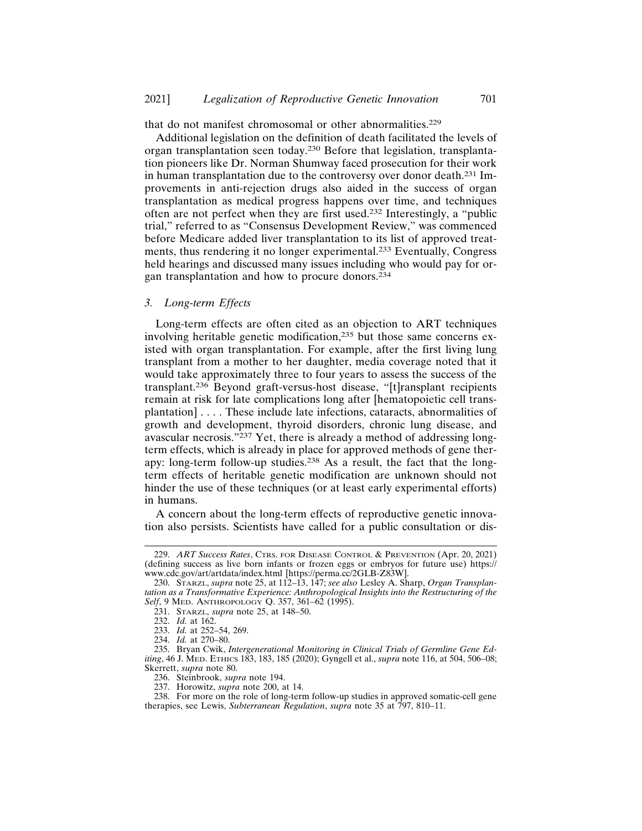that do not manifest chromosomal or other abnormalities.<sup>229</sup>

Additional legislation on the definition of death facilitated the levels of organ transplantation seen today.230 Before that legislation, transplantation pioneers like Dr. Norman Shumway faced prosecution for their work in human transplantation due to the controversy over donor death.231 Improvements in anti-rejection drugs also aided in the success of organ transplantation as medical progress happens over time, and techniques often are not perfect when they are first used.232 Interestingly, a "public trial," referred to as "Consensus Development Review," was commenced before Medicare added liver transplantation to its list of approved treatments, thus rendering it no longer experimental.233 Eventually, Congress held hearings and discussed many issues including who would pay for organ transplantation and how to procure donors.<sup>234</sup>

# *3. Long-term Effects*

Long-term effects are often cited as an objection to ART techniques involving heritable genetic modification,235 but those same concerns existed with organ transplantation. For example, after the first living lung transplant from a mother to her daughter, media coverage noted that it would take approximately three to four years to assess the success of the transplant.236 Beyond graft-versus-host disease, "[t]ransplant recipients remain at risk for late complications long after [hematopoietic cell transplantation] . . . . These include late infections, cataracts, abnormalities of growth and development, thyroid disorders, chronic lung disease, and avascular necrosis."237 Yet, there is already a method of addressing longterm effects, which is already in place for approved methods of gene therapy: long-term follow-up studies.238 As a result, the fact that the longterm effects of heritable genetic modification are unknown should not hinder the use of these techniques (or at least early experimental efforts) in humans.

A concern about the long-term effects of reproductive genetic innovation also persists. Scientists have called for a public consultation or dis-

<sup>229.</sup> *ART Success Rates*, CTRS. FOR DISEASE CONTROL & PREVENTION (Apr. 20, 2021) (defining success as live born infants or frozen eggs or embryos for future use) https:// www.cdc.gov/art/artdata/index.html [https://perma.cc/2GLB-Z83W].

<sup>230.</sup> STARZL, *supra* note 25, at 112–13, 147; *see also* Lesley A. Sharp, *Organ Transplantation as a Transformative Experience: Anthropological Insights into the Restructuring of the Self*, 9 MED. ANTHROPOLOGY Q. 357, 361–62 (1995).

<sup>231.</sup> STARZL, *supra* note 25, at 148–50.

<sup>232.</sup> *Id.* at 162.

<sup>233.</sup> *Id.* at 252–54, 269.

<sup>234.</sup> *Id.* at 270–80.

<sup>235.</sup> Bryan Cwik, *Intergenerational Monitoring in Clinical Trials of Germline Gene Editing*, 46 J. MED. ETHICS 183, 183, 185 (2020); Gyngell et al., *supra* note 116, at 504, 506–08; Skerrett, *supra* note 80.

<sup>236.</sup> Steinbrook, *supra* note 194.

<sup>237.</sup> Horowitz, *supra* note 200, at 14.

<sup>238.</sup> For more on the role of long-term follow-up studies in approved somatic-cell gene therapies, see Lewis, *Subterranean Regulation*, *supra* note 35 at 797, 810–11.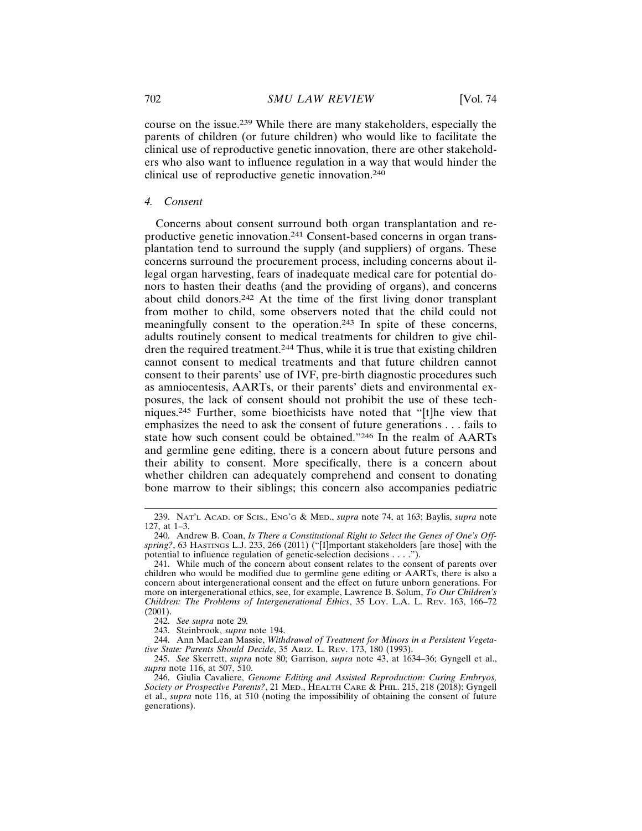course on the issue.239 While there are many stakeholders, especially the parents of children (or future children) who would like to facilitate the clinical use of reproductive genetic innovation, there are other stakeholders who also want to influence regulation in a way that would hinder the clinical use of reproductive genetic innovation.<sup>240</sup>

#### *4. Consent*

Concerns about consent surround both organ transplantation and reproductive genetic innovation.241 Consent-based concerns in organ transplantation tend to surround the supply (and suppliers) of organs. These concerns surround the procurement process, including concerns about illegal organ harvesting, fears of inadequate medical care for potential donors to hasten their deaths (and the providing of organs), and concerns about child donors.242 At the time of the first living donor transplant from mother to child, some observers noted that the child could not meaningfully consent to the operation.243 In spite of these concerns, adults routinely consent to medical treatments for children to give children the required treatment.244 Thus, while it is true that existing children cannot consent to medical treatments and that future children cannot consent to their parents' use of IVF, pre-birth diagnostic procedures such as amniocentesis, AARTs, or their parents' diets and environmental exposures, the lack of consent should not prohibit the use of these techniques.245 Further, some bioethicists have noted that "[t]he view that emphasizes the need to ask the consent of future generations . . . fails to state how such consent could be obtained."246 In the realm of AARTs and germline gene editing, there is a concern about future persons and their ability to consent. More specifically, there is a concern about whether children can adequately comprehend and consent to donating bone marrow to their siblings; this concern also accompanies pediatric

<sup>239.</sup> NAT'L ACAD. OF SCIS., ENG'G & MED., *supra* note 74, at 163; Baylis, *supra* note 127, at 1–3.

<sup>240.</sup> Andrew B. Coan, *Is There a Constitutional Right to Select the Genes of One's Offspring?*, 63 HASTINGS L.J. 233, 266 (2011) ("[I]mportant stakeholders [are those] with the potential to influence regulation of genetic-selection decisions . . . .").

<sup>241.</sup> While much of the concern about consent relates to the consent of parents over children who would be modified due to germline gene editing or AARTs, there is also a concern about intergenerational consent and the effect on future unborn generations. For more on intergenerational ethics, see, for example, Lawrence B. Solum, *To Our Children's Children: The Problems of Intergenerational Ethics*, 35 LOY. L.A. L. REV. 163, 166–72 (2001).

<sup>242.</sup> *See supra* note 29*.*

<sup>243.</sup> Steinbrook, *supra* note 194.

<sup>244.</sup> Ann MacLean Massie, *Withdrawal of Treatment for Minors in a Persistent Vegetative State: Parents Should Decide*, 35 ARIZ. L. REV. 173, 180 (1993).

<sup>245.</sup> *See* Skerrett, *supra* note 80; Garrison, *supra* note 43, at 1634–36; Gyngell et al., *supra* note 116, at 507, 510.

<sup>246.</sup> Giulia Cavaliere, *Genome Editing and Assisted Reproduction: Curing Embryos, Society or Prospective Parents?*, 21 MED., HEALTH CARE & PHIL. 215, 218 (2018); Gyngell et al., *supra* note 116, at 510 (noting the impossibility of obtaining the consent of future generations).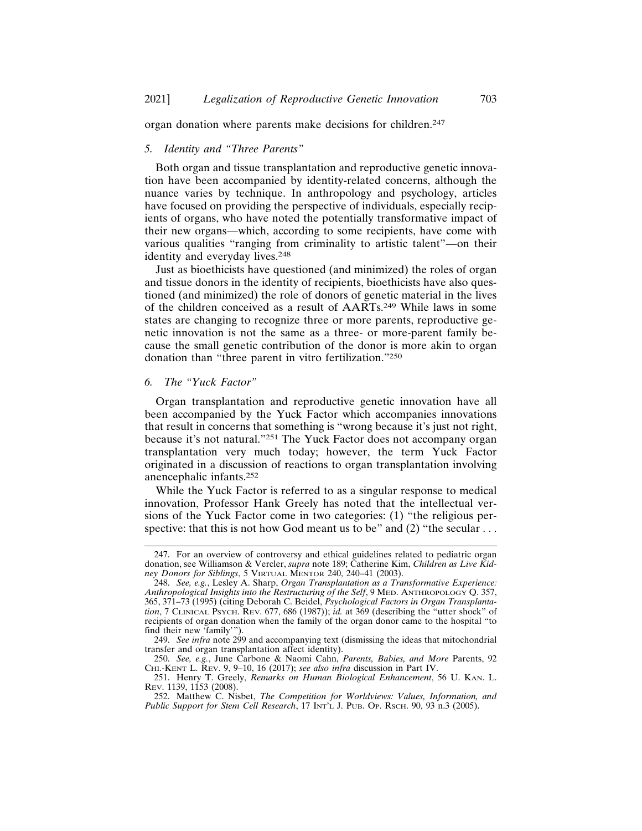organ donation where parents make decisions for children.<sup>247</sup>

#### *5. Identity and "Three Parents"*

Both organ and tissue transplantation and reproductive genetic innovation have been accompanied by identity-related concerns, although the nuance varies by technique. In anthropology and psychology, articles have focused on providing the perspective of individuals, especially recipients of organs, who have noted the potentially transformative impact of their new organs—which, according to some recipients, have come with various qualities "ranging from criminality to artistic talent"—on their identity and everyday lives.<sup>248</sup>

Just as bioethicists have questioned (and minimized) the roles of organ and tissue donors in the identity of recipients, bioethicists have also questioned (and minimized) the role of donors of genetic material in the lives of the children conceived as a result of AARTs.249 While laws in some states are changing to recognize three or more parents, reproductive genetic innovation is not the same as a three- or more-parent family because the small genetic contribution of the donor is more akin to organ donation than "three parent in vitro fertilization."<sup>250</sup>

#### *6. The "Yuck Factor"*

Organ transplantation and reproductive genetic innovation have all been accompanied by the Yuck Factor which accompanies innovations that result in concerns that something is "wrong because it's just not right, because it's not natural."251 The Yuck Factor does not accompany organ transplantation very much today; however, the term Yuck Factor originated in a discussion of reactions to organ transplantation involving anencephalic infants.<sup>252</sup>

While the Yuck Factor is referred to as a singular response to medical innovation, Professor Hank Greely has noted that the intellectual versions of the Yuck Factor come in two categories: (1) "the religious perspective: that this is not how God meant us to be" and  $(2)$  "the secular ...

<sup>247.</sup> For an overview of controversy and ethical guidelines related to pediatric organ donation, see Williamson & Vercler, *supra* note 189; Catherine Kim, *Children as Live Kidney Donors for Siblings*, 5 VIRTUAL MENTOR 240, 240–41 (2003).

<sup>248.</sup> *See, e.g.*, Lesley A. Sharp, *Organ Transplantation as a Transformative Experience: Anthropological Insights into the Restructuring of the Self*, 9 MED. ANTHROPOLOGY Q. 357, 365, 371–73 (1995) (citing Deborah C. Beidel, *Psychological Factors in Organ Transplantation*, 7 CLINICAL PSYCH. REV. 677, 686 (1987)); *id.* at 369 (describing the "utter shock" of recipients of organ donation when the family of the organ donor came to the hospital "to find their new 'family'").

<sup>249.</sup> *See infra* note 299 and accompanying text (dismissing the ideas that mitochondrial transfer and organ transplantation affect identity).

<sup>250.</sup> *See, e.g.*, June Carbone & Naomi Cahn, *Parents, Babies, and More* Parents, 92 CHI.-KENT L. REV. 9, 9–10, 16 (2017); *see also infra* discussion in Part IV.

<sup>251.</sup> Henry T. Greely, *Remarks on Human Biological Enhancement*, 56 U. KAN. L. REV. 1139, 1153 (2008).

<sup>252.</sup> Matthew C. Nisbet, *The Competition for Worldviews: Values, Information, and Public Support for Stem Cell Research*, 17 INT'L J. PUB. OP. RSCH. 90, 93 n.3 (2005).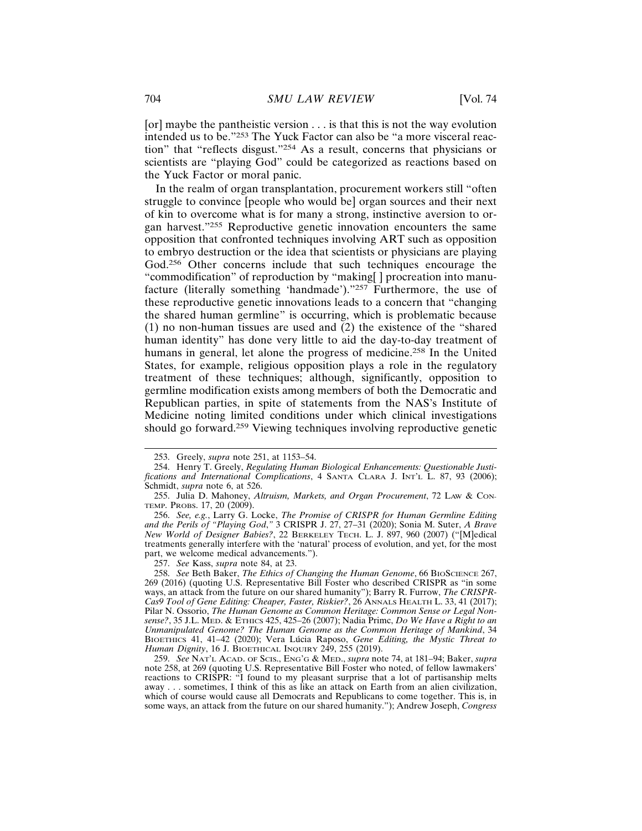[or] maybe the pantheistic version . . . is that this is not the way evolution intended us to be."253 The Yuck Factor can also be "a more visceral reaction" that "reflects disgust."254 As a result, concerns that physicians or scientists are "playing God" could be categorized as reactions based on the Yuck Factor or moral panic.

In the realm of organ transplantation, procurement workers still "often struggle to convince [people who would be] organ sources and their next of kin to overcome what is for many a strong, instinctive aversion to organ harvest."255 Reproductive genetic innovation encounters the same opposition that confronted techniques involving ART such as opposition to embryo destruction or the idea that scientists or physicians are playing God.256 Other concerns include that such techniques encourage the "commodification" of reproduction by "making[ ] procreation into manufacture (literally something 'handmade')."257 Furthermore, the use of these reproductive genetic innovations leads to a concern that "changing the shared human germline" is occurring, which is problematic because (1) no non-human tissues are used and (2) the existence of the "shared human identity" has done very little to aid the day-to-day treatment of humans in general, let alone the progress of medicine.258 In the United States, for example, religious opposition plays a role in the regulatory treatment of these techniques; although, significantly, opposition to germline modification exists among members of both the Democratic and Republican parties, in spite of statements from the NAS's Institute of Medicine noting limited conditions under which clinical investigations should go forward.259 Viewing techniques involving reproductive genetic

257. *See* Kass, *supra* note 84, at 23.

<sup>253.</sup> Greely, *supra* note 251, at 1153–54.

<sup>254.</sup> Henry T. Greely, *Regulating Human Biological Enhancements: Questionable Justifications and International Complications*, 4 SANTA CLARA J. INT'L L. 87, 93 (2006); Schmidt, *supra* note 6, at 526.

<sup>255.</sup> Julia D. Mahoney, *Altruism, Markets, and Organ Procurement*, 72 LAW & CON-TEMP. PROBS. 17, 20 (2009).

<sup>256.</sup> *See, e.g.*, Larry G. Locke, *The Promise of CRISPR for Human Germline Editing and the Perils of "Playing God*,*"* 3 CRISPR J. 27, 27–31 (2020); Sonia M. Suter, *A Brave New World of Designer Babies?*, 22 BERKELEY TECH. L. J. 897, 960 (2007) ("[M]edical treatments generally interfere with the 'natural' process of evolution, and yet, for the most part, we welcome medical advancements.").

<sup>258.</sup> *See* Beth Baker, *The Ethics of Changing the Human Genome*, 66 BIOSCIENCE 267, 269 (2016) (quoting U.S. Representative Bill Foster who described CRISPR as "in some ways, an attack from the future on our shared humanity"); Barry R. Furrow, *The CRISPR-Cas9 Tool of Gene Editing: Cheaper, Faster, Riskier?*, 26 ANNALS HEALTH L. 33, 41 (2017); Pilar N. Ossorio, *The Human Genome as Common Heritage: Common Sense or Legal Nonsense?*, 35 J.L. MED. & ETHICS 425, 425–26 (2007); Nadia Primc, *Do We Have a Right to an Unmanipulated Genome? The Human Genome as the Common Heritage of Mankind*, 34 BIOETHICS 41, 41-42 (2020); Vera Lúcia Raposo, *Gene Editing, the Mystic Threat to Human Dignity*, 16 J. BIOETHICAL INQUIRY 249, 255 (2019).

<sup>259.</sup> *See* NAT'L ACAD. OF SCIS., ENG'G & MED., *supra* note 74, at 181–94; Baker, *supra* note 258, at 269 (quoting U.S. Representative Bill Foster who noted, of fellow lawmakers' reactions to CRISPR: "I found to my pleasant surprise that a lot of partisanship melts away . . . sometimes, I think of this as like an attack on Earth from an alien civilization, which of course would cause all Democrats and Republicans to come together. This is, in some ways, an attack from the future on our shared humanity."); Andrew Joseph, *Congress*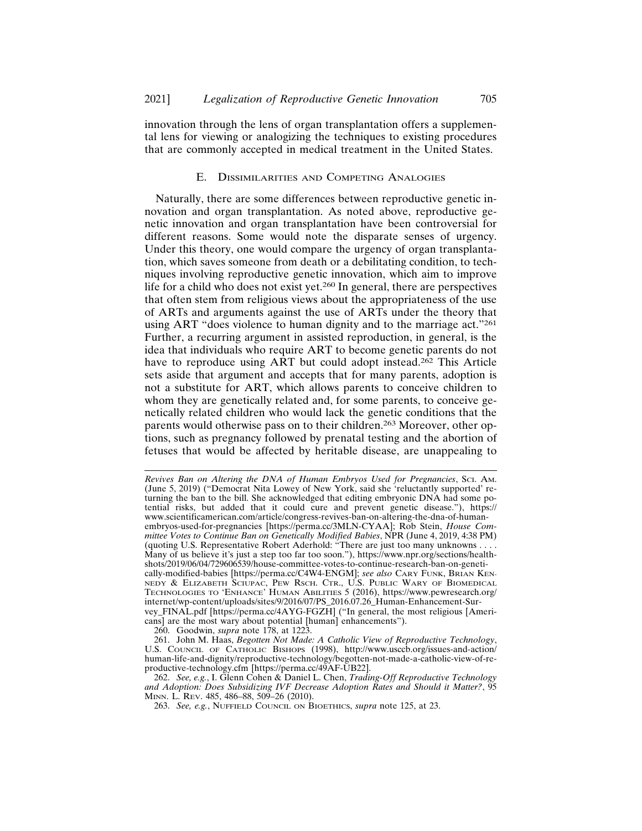innovation through the lens of organ transplantation offers a supplemental lens for viewing or analogizing the techniques to existing procedures that are commonly accepted in medical treatment in the United States.

#### E. DISSIMILARITIES AND COMPETING ANALOGIES

Naturally, there are some differences between reproductive genetic innovation and organ transplantation. As noted above, reproductive genetic innovation and organ transplantation have been controversial for different reasons. Some would note the disparate senses of urgency. Under this theory, one would compare the urgency of organ transplantation, which saves someone from death or a debilitating condition, to techniques involving reproductive genetic innovation, which aim to improve life for a child who does not exist yet.260 In general, there are perspectives that often stem from religious views about the appropriateness of the use of ARTs and arguments against the use of ARTs under the theory that using ART "does violence to human dignity and to the marriage act."<sup>261</sup> Further, a recurring argument in assisted reproduction, in general, is the idea that individuals who require ART to become genetic parents do not have to reproduce using ART but could adopt instead.262 This Article sets aside that argument and accepts that for many parents, adoption is not a substitute for ART, which allows parents to conceive children to whom they are genetically related and, for some parents, to conceive genetically related children who would lack the genetic conditions that the parents would otherwise pass on to their children.263 Moreover, other options, such as pregnancy followed by prenatal testing and the abortion of fetuses that would be affected by heritable disease, are unappealing to

260. Goodwin, *supra* note 178, at 1223.

*Revives Ban on Altering the DNA of Human Embryos Used for Pregnancies*, SCI. AM. (June 5, 2019) ("Democrat Nita Lowey of New York, said she 'reluctantly supported' returning the ban to the bill. She acknowledged that editing embryonic DNA had some potential risks, but added that it could cure and prevent genetic disease."), https:// www.scientificamerican.com/article/congress-revives-ban-on-altering-the-dna-of-humanembryos-used-for-pregnancies [https://perma.cc/3MLN-CYAA]; Rob Stein, *House Committee Votes to Continue Ban on Genetically Modified Babies*, NPR (June 4, 2019, 4:38 PM) (quoting U.S. Representative Robert Aderhold: "There are just too many unknowns . . . . Many of us believe it's just a step too far too soon."), https://www.npr.org/sections/healthshots/2019/06/04/729606539/house-committee-votes-to-continue-research-ban-on-genetically-modified-babies [https://perma.cc/C4W4-ENGM]; *see also* CARY FUNK, BRIAN KEN-NEDY & ELIZABETH SCIUPAC, PEW RSCH. CTR., U.S. PUBLIC WARY OF BIOMEDICAL TECHNOLOGIES TO 'ENHANCE' HUMAN ABILITIES 5 (2016), https://www.pewresearch.org/ internet/wp-content/uploads/sites/9/2016/07/PS\_2016.07.26\_Human-Enhancement-Survey\_FINAL.pdf [https://perma.cc/4AYG-FGZH] ("In general, the most religious [Americans] are the most wary about potential [human] enhancements").

<sup>261.</sup> John M. Haas, *Begotten Not Made: A Catholic View of Reproductive Technology*, U.S. COUNCIL OF CATHOLIC BISHOPS (1998), http://www.usccb.org/issues-and-action/ human-life-and-dignity/reproductive-technology/begotten-not-made-a-catholic-view-of-reproductive-technology.cfm [https://perma.cc/49AF-UB22].

<sup>262.</sup> *See, e.g.*, I. Glenn Cohen & Daniel L. Chen, *Trading-Off Reproductive Technology and Adoption: Does Subsidizing IVF Decrease Adoption Rates and Should it Matter?*, 95 MINN. L. REV. 485, 486–88, 509–26 (2010).

<sup>263.</sup> *See, e.g.*, NUFFIELD COUNCIL ON BIOETHICS, *supra* note 125, at 23.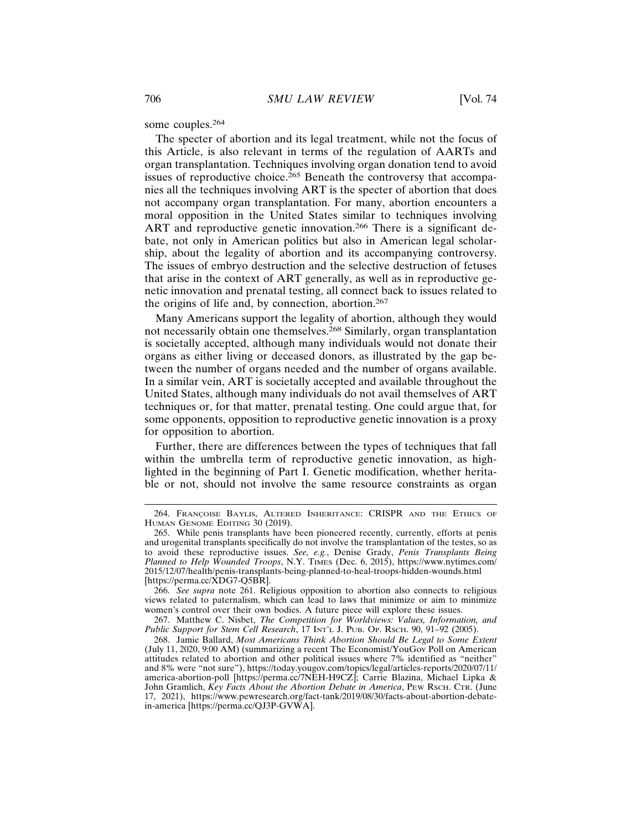some couples.<sup>264</sup>

The specter of abortion and its legal treatment, while not the focus of this Article, is also relevant in terms of the regulation of AARTs and organ transplantation. Techniques involving organ donation tend to avoid issues of reproductive choice.<sup>265</sup> Beneath the controversy that accompanies all the techniques involving ART is the specter of abortion that does not accompany organ transplantation. For many, abortion encounters a moral opposition in the United States similar to techniques involving ART and reproductive genetic innovation.<sup>266</sup> There is a significant debate, not only in American politics but also in American legal scholarship, about the legality of abortion and its accompanying controversy. The issues of embryo destruction and the selective destruction of fetuses that arise in the context of ART generally, as well as in reproductive genetic innovation and prenatal testing, all connect back to issues related to the origins of life and, by connection, abortion.<sup>267</sup>

Many Americans support the legality of abortion, although they would not necessarily obtain one themselves.268 Similarly, organ transplantation is societally accepted, although many individuals would not donate their organs as either living or deceased donors, as illustrated by the gap between the number of organs needed and the number of organs available. In a similar vein, ART is societally accepted and available throughout the United States, although many individuals do not avail themselves of ART techniques or, for that matter, prenatal testing. One could argue that, for some opponents, opposition to reproductive genetic innovation is a proxy for opposition to abortion.

Further, there are differences between the types of techniques that fall within the umbrella term of reproductive genetic innovation, as highlighted in the beginning of Part I. Genetic modification, whether heritable or not, should not involve the same resource constraints as organ

<sup>264.</sup> FRANÇOISE BAYLIS, ALTERED INHERITANCE: CRISPR AND THE ETHICS OF HUMAN GENOME EDITING 30 (2019).

<sup>265.</sup> While penis transplants have been pioneered recently, currently, efforts at penis and urogenital transplants specifically do not involve the transplantation of the testes, so as to avoid these reproductive issues. *See, e.g.*, Denise Grady, *Penis Transplants Being Planned to Help Wounded Troops*, N.Y. TIMES (Dec. 6, 2015), https://www.nytimes.com/ 2015/12/07/health/penis-transplants-being-planned-to-heal-troops-hidden-wounds.html [https://perma.cc/XDG7-Q5BR].

<sup>266.</sup> *See supra* note 261. Religious opposition to abortion also connects to religious views related to paternalism, which can lead to laws that minimize or aim to minimize women's control over their own bodies. A future piece will explore these issues.

<sup>267.</sup> Matthew C. Nisbet, *The Competition for Worldviews: Values, Information, and Public Support for Stem Cell Research*, 17 INT'L J. PUB. OP. Rsch. 90, 91-92 (2005).

<sup>268.</sup> Jamie Ballard, *Most Americans Think Abortion Should Be Legal to Some Extent* (July 11, 2020, 9:00 AM) (summarizing a recent The Economist/YouGov Poll on American attitudes related to abortion and other political issues where 7% identified as "neither" and 8% were "not sure"), https://today.yougov.com/topics/legal/articles-reports/2020/07/11/ america-abortion-poll [https://perma.cc/7NEH-H9CZ]; Carrie Blazina, Michael Lipka & John Gramlich, *Key Facts About the Abortion Debate in America*, PEW RSCH. CTR. (June 17, 2021), https://www.pewresearch.org/fact-tank/2019/08/30/facts-about-abortion-debatein-america [https://perma.cc/QJ3P-GVWA].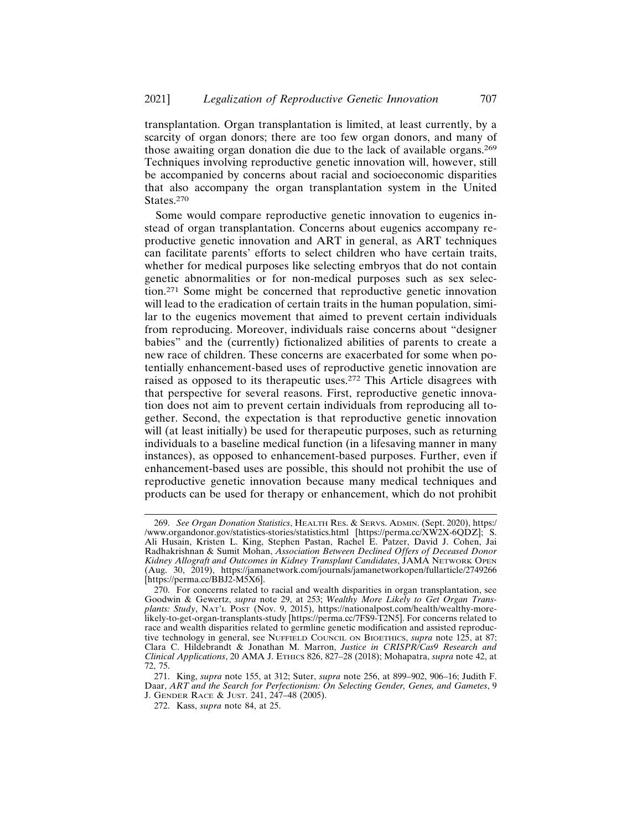transplantation. Organ transplantation is limited, at least currently, by a scarcity of organ donors; there are too few organ donors, and many of those awaiting organ donation die due to the lack of available organs.<sup>269</sup> Techniques involving reproductive genetic innovation will, however, still be accompanied by concerns about racial and socioeconomic disparities that also accompany the organ transplantation system in the United States.<sup>270</sup>

Some would compare reproductive genetic innovation to eugenics instead of organ transplantation. Concerns about eugenics accompany reproductive genetic innovation and ART in general, as ART techniques can facilitate parents' efforts to select children who have certain traits, whether for medical purposes like selecting embryos that do not contain genetic abnormalities or for non-medical purposes such as sex selection.271 Some might be concerned that reproductive genetic innovation will lead to the eradication of certain traits in the human population, similar to the eugenics movement that aimed to prevent certain individuals from reproducing. Moreover, individuals raise concerns about "designer babies" and the (currently) fictionalized abilities of parents to create a new race of children. These concerns are exacerbated for some when potentially enhancement-based uses of reproductive genetic innovation are raised as opposed to its therapeutic uses.272 This Article disagrees with that perspective for several reasons. First, reproductive genetic innovation does not aim to prevent certain individuals from reproducing all together. Second, the expectation is that reproductive genetic innovation will (at least initially) be used for therapeutic purposes, such as returning individuals to a baseline medical function (in a lifesaving manner in many instances), as opposed to enhancement-based purposes. Further, even if enhancement-based uses are possible, this should not prohibit the use of reproductive genetic innovation because many medical techniques and products can be used for therapy or enhancement, which do not prohibit

<sup>269.</sup> *See Organ Donation Statistics*, HEALTH RES. & SERVS. ADMIN. (Sept. 2020), https:/ /www.organdonor.gov/statistics-stories/statistics.html [https://perma.cc/XW2X-6QDZ]; S. Ali Husain, Kristen L. King, Stephen Pastan, Rachel E. Patzer, David J. Cohen, Jai Radhakrishnan & Sumit Mohan, *Association Between Declined Offers of Deceased Donor Kidney Allograft and Outcomes in Kidney Transplant Candidates*, JAMA NETWORK OPEN (Aug. 30, 2019), https://jamanetwork.com/journals/jamanetworkopen/fullarticle/2749266 [https://perma.cc/BBJ2-M5X6].

<sup>270.</sup> For concerns related to racial and wealth disparities in organ transplantation, see Goodwin & Gewertz, *supra* note 29, at 253; *Wealthy More Likely to Get Organ Transplants: Study*, NAT'L POST (Nov. 9, 2015), https://nationalpost.com/health/wealthy-morelikely-to-get-organ-transplants-study [https://perma.cc/7FS9-T2N5]. For concerns related to race and wealth disparities related to germline genetic modification and assisted reproductive technology in general, see NUFFIELD COUNCIL ON BIOETHICS, *supra* note 125, at 87; Clara C. Hildebrandt & Jonathan M. Marron, *Justice in CRISPR/Cas9 Research and Clinical Applications*, 20 AMA J. ETHICS 826, 827–28 (2018); Mohapatra, *supra* note 42, at 72, 75.

<sup>271.</sup> King, *supra* note 155, at 312; Suter, *supra* note 256, at 899–902, 906–16; Judith F. Daar, *ART and the Search for Perfectionism: On Selecting Gender, Genes, and Gametes*, 9 J. GENDER RACE & JUST. 241, 247–48 (2005).

<sup>272.</sup> Kass, *supra* note 84, at 25.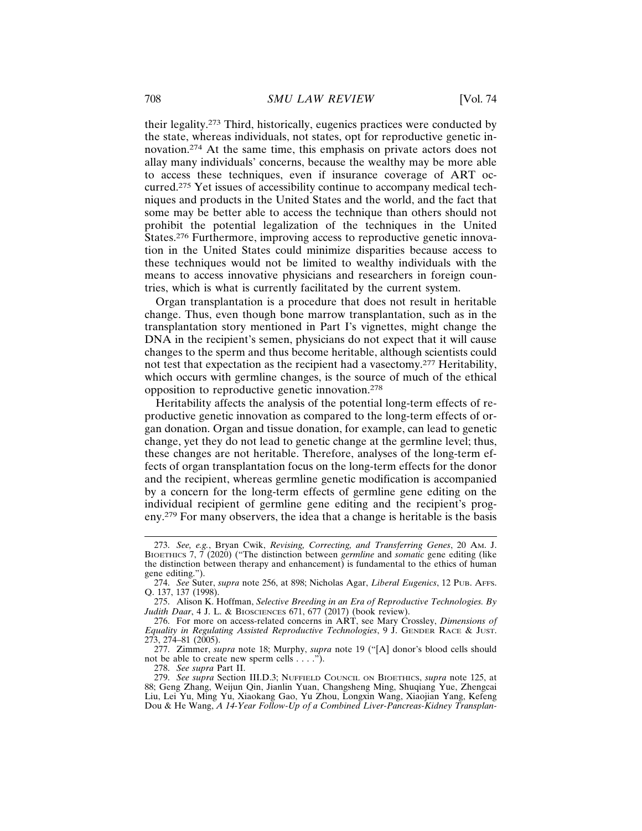their legality.273 Third, historically, eugenics practices were conducted by the state, whereas individuals, not states, opt for reproductive genetic innovation.274 At the same time, this emphasis on private actors does not allay many individuals' concerns, because the wealthy may be more able to access these techniques, even if insurance coverage of ART occurred.275 Yet issues of accessibility continue to accompany medical techniques and products in the United States and the world, and the fact that some may be better able to access the technique than others should not prohibit the potential legalization of the techniques in the United States.276 Furthermore, improving access to reproductive genetic innovation in the United States could minimize disparities because access to these techniques would not be limited to wealthy individuals with the means to access innovative physicians and researchers in foreign countries, which is what is currently facilitated by the current system.

Organ transplantation is a procedure that does not result in heritable change. Thus, even though bone marrow transplantation, such as in the transplantation story mentioned in Part I's vignettes, might change the DNA in the recipient's semen, physicians do not expect that it will cause changes to the sperm and thus become heritable, although scientists could not test that expectation as the recipient had a vasectomy.277 Heritability, which occurs with germline changes, is the source of much of the ethical opposition to reproductive genetic innovation.<sup>278</sup>

Heritability affects the analysis of the potential long-term effects of reproductive genetic innovation as compared to the long-term effects of organ donation. Organ and tissue donation, for example, can lead to genetic change, yet they do not lead to genetic change at the germline level; thus, these changes are not heritable. Therefore, analyses of the long-term effects of organ transplantation focus on the long-term effects for the donor and the recipient, whereas germline genetic modification is accompanied by a concern for the long-term effects of germline gene editing on the individual recipient of germline gene editing and the recipient's progeny.279 For many observers, the idea that a change is heritable is the basis

278. *See supra* Part II.

<sup>273.</sup> *See, e.g.*, Bryan Cwik, *Revising, Correcting, and Transferring Genes*, 20 AM. J. BIOETHICS 7, 7 (2020) ("The distinction between *germline* and *somatic* gene editing (like the distinction between therapy and enhancement) is fundamental to the ethics of human gene editing.").

<sup>274.</sup> *See* Suter, *supra* note 256, at 898; Nicholas Agar, *Liberal Eugenics*, 12 PUB. AFFS. Q. 137, 137 (1998).

<sup>275.</sup> Alison K. Hoffman, *Selective Breeding in an Era of Reproductive Technologies. By Judith Daar*, 4 J. L. & BIOSCIENCES 671, 677 (2017) (book review).

<sup>276.</sup> For more on access-related concerns in ART, see Mary Crossley, *Dimensions of Equality in Regulating Assisted Reproductive Technologies*, 9 J. GENDER RACE & JUST. 273, 274–81 (2005).

<sup>277.</sup> Zimmer, *supra* note 18; Murphy, *supra* note 19 ("[A] donor's blood cells should not be able to create new sperm cells  $\dots$ .").

<sup>279.</sup> *See supra* Section III.D.3; NUFFIELD COUNCIL ON BIOETHICS, *supra* note 125, at 88; Geng Zhang, Weijun Qin, Jianlin Yuan, Changsheng Ming, Shuqiang Yue, Zhengcai Liu, Lei Yu, Ming Yu, Xiaokang Gao, Yu Zhou, Longxin Wang, Xiaojian Yang, Kefeng Dou & He Wang, *A 14-Year Follow-Up of a Combined Liver-Pancreas-Kidney Transplan-*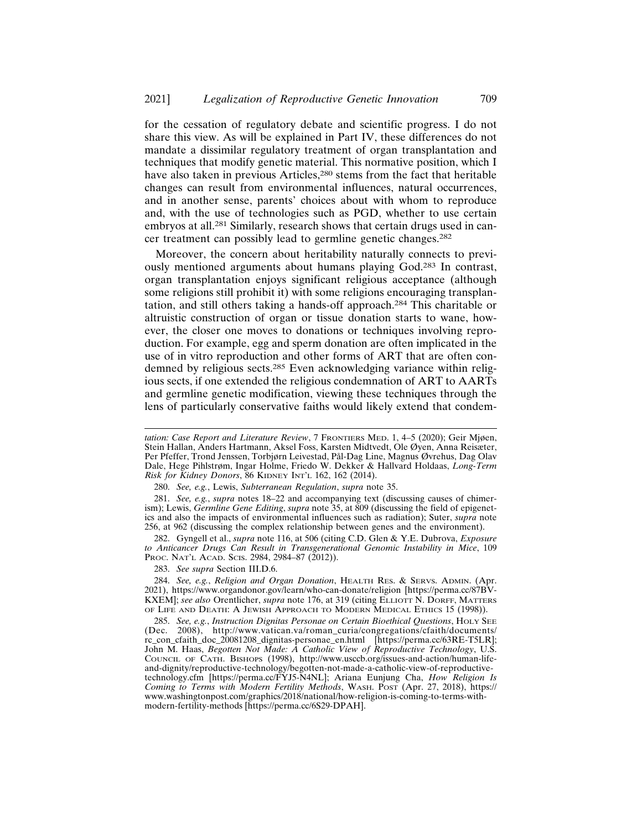for the cessation of regulatory debate and scientific progress. I do not share this view. As will be explained in Part IV, these differences do not mandate a dissimilar regulatory treatment of organ transplantation and techniques that modify genetic material. This normative position, which I have also taken in previous Articles,<sup>280</sup> stems from the fact that heritable changes can result from environmental influences, natural occurrences, and in another sense, parents' choices about with whom to reproduce and, with the use of technologies such as PGD, whether to use certain embryos at all.281 Similarly, research shows that certain drugs used in cancer treatment can possibly lead to germline genetic changes.<sup>282</sup>

Moreover, the concern about heritability naturally connects to previously mentioned arguments about humans playing God.283 In contrast, organ transplantation enjoys significant religious acceptance (although some religions still prohibit it) with some religions encouraging transplantation, and still others taking a hands-off approach.284 This charitable or altruistic construction of organ or tissue donation starts to wane, however, the closer one moves to donations or techniques involving reproduction. For example, egg and sperm donation are often implicated in the use of in vitro reproduction and other forms of ART that are often condemned by religious sects.<sup>285</sup> Even acknowledging variance within religious sects, if one extended the religious condemnation of ART to AARTs and germline genetic modification, viewing these techniques through the lens of particularly conservative faiths would likely extend that condem-

282. Gyngell et al., *supra* note 116, at 506 (citing C.D. Glen & Y.E. Dubrova, *Exposure to Anticancer Drugs Can Result in Transgenerational Genomic Instability in Mice*, 109 PROC. NAT'L ACAD. SCIS. 2984, 2984-87 (2012)).

283. *See supra* Section III.D.6.

284. *See, e.g.*, *Religion and Organ Donation*, HEALTH RES. & SERVS. ADMIN. (Apr. 2021), https://www.organdonor.gov/learn/who-can-donate/religion [https://perma.cc/87BV-KXEM]; *see also* Orentlicher, *supra* note 176, at 319 (citing ELLIOTT N. DORFF, MATTERS OF LIFE AND DEATH: A JEWISH APPROACH TO MODERN MEDICAL ETHICS 15 (1998)).

285. *See, e.g., Instruction Dignitas Personae on Certain Bioethical Questions*, HOLY SEE (Dec. 2008), http://www.vatican.va/roman\_curia/congregations/cfaith/documents/ 2008), http://www.vatican.va/roman\_curia/congregations/cfaith/documents/ rc\_con\_cfaith\_doc\_20081208\_dignitas-personae\_en.html [https://perma.cc/63RE-T5LR]; John M. Haas, *Begotten Not Made: A Catholic View of Reproductive Technology*, U.S. COUNCIL OF CATH. BISHOPS (1998), http://www.usccb.org/issues-and-action/human-lifeand-dignity/reproductive-technology/begotten-not-made-a-catholic-view-of-reproductivetechnology.cfm [https://perma.cc/FYJ5-N4NL]; Ariana Eunjung Cha, *How Religion Is Coming to Terms with Modern Fertility Methods*, WASH. POST (Apr. 27, 2018), https:// www.washingtonpost.com/graphics/2018/national/how-religion-is-coming-to-terms-withmodern-fertility-methods [https://perma.cc/6S29-DPAH].

*tation: Case Report and Literature Review*, 7 FRONTIERS MED. 1, 4–5 (2020); Geir Mjøen, Stein Hallan, Anders Hartmann, Aksel Foss, Karsten Midtvedt, Ole Øyen, Anna Reisæter, Per Pfeffer, Trond Jenssen, Torbjørn Leivestad, Pål-Dag Line, Magnus Øvrehus, Dag Olav Dale, Hege Pihlstrøm, Ingar Holme, Friedo W. Dekker & Hallvard Holdaas, *Long-Term Risk for Kidney Donors*, 86 KIDNEY INT'L 162, 162 (2014).

<sup>280.</sup> *See, e.g.*, Lewis, *Subterranean Regulation*, *supra* note 35.

<sup>281.</sup> *See, e.g.*, *supra* notes 18–22 and accompanying text (discussing causes of chimerism); Lewis, *Germline Gene Editing*, *supra* note 35, at 809 (discussing the field of epigenetics and also the impacts of environmental influences such as radiation); Suter, *supra* note 256, at 962 (discussing the complex relationship between genes and the environment).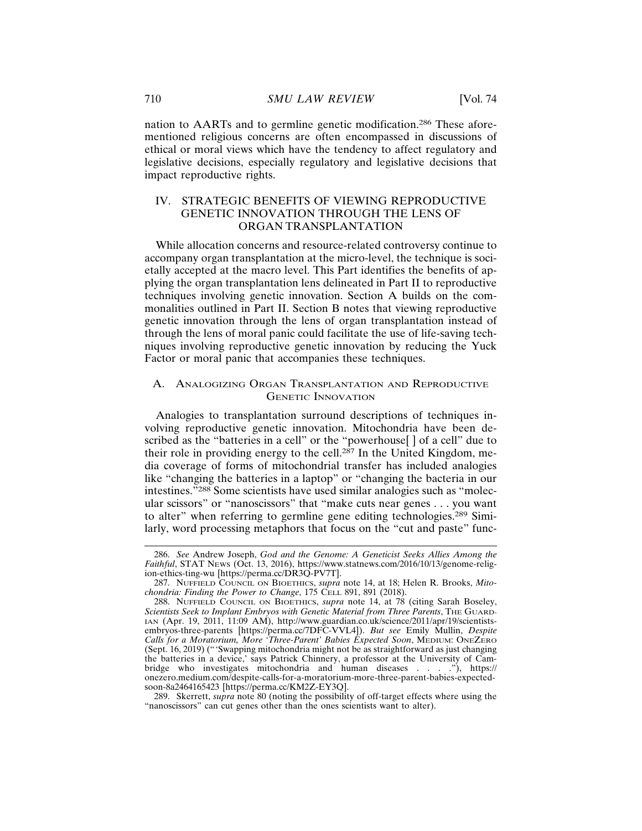nation to AARTs and to germline genetic modification.286 These aforementioned religious concerns are often encompassed in discussions of ethical or moral views which have the tendency to affect regulatory and legislative decisions, especially regulatory and legislative decisions that impact reproductive rights.

# IV. STRATEGIC BENEFITS OF VIEWING REPRODUCTIVE GENETIC INNOVATION THROUGH THE LENS OF ORGAN TRANSPLANTATION

While allocation concerns and resource-related controversy continue to accompany organ transplantation at the micro-level, the technique is societally accepted at the macro level. This Part identifies the benefits of applying the organ transplantation lens delineated in Part II to reproductive techniques involving genetic innovation. Section A builds on the commonalities outlined in Part II. Section B notes that viewing reproductive genetic innovation through the lens of organ transplantation instead of through the lens of moral panic could facilitate the use of life-saving techniques involving reproductive genetic innovation by reducing the Yuck Factor or moral panic that accompanies these techniques.

# A. ANALOGIZING ORGAN TRANSPLANTATION AND REPRODUCTIVE GENETIC INNOVATION

Analogies to transplantation surround descriptions of techniques involving reproductive genetic innovation. Mitochondria have been described as the "batteries in a cell" or the "powerhouse<sup>[]</sup> of a cell" due to their role in providing energy to the cell.<sup>287</sup> In the United Kingdom, media coverage of forms of mitochondrial transfer has included analogies like "changing the batteries in a laptop" or "changing the bacteria in our intestines."288 Some scientists have used similar analogies such as "molecular scissors" or "nanoscissors" that "make cuts near genes . . . you want to alter" when referring to germline gene editing technologies.289 Similarly, word processing metaphors that focus on the "cut and paste" func-

<sup>286.</sup> *See* Andrew Joseph, *God and the Genome: A Geneticist Seeks Allies Among the Faithful*, STAT NEWS (Oct. 13, 2016), https://www.statnews.com/2016/10/13/genome-religion-ethics-ting-wu [https://perma.cc/DR3Q-PV7T].

<sup>287.</sup> NUFFIELD COUNCIL ON BIOETHICS, *supra* note 14, at 18; Helen R. Brooks, *Mitochondria: Finding the Power to Change*, 175 CELL 891, 891 (2018).

<sup>288.</sup> NUFFIELD COUNCIL ON BIOETHICS, *supra* note 14, at 78 (citing Sarah Boseley, *Scientists Seek to Implant Embryos with Genetic Material from Three Parents*, THE GUARD-IAN (Apr. 19, 2011, 11:09 AM), http://www.guardian.co.uk/science/2011/apr/19/scientistsembryos-three-parents [https://perma.cc/7DFC-VVL4]). *But see* Emily Mullin, *Despite Calls for a Moratorium, More 'Three-Parent' Babies Expected Soon*, MEDIUM: ONEZERO (Sept. 16, 2019) ("'Swapping mitochondria might not be as straightforward as just changing the batteries in a device,' says Patrick Chinnery, a professor at the University of Cambridge who investigates mitochondria and human diseases . . . ."), https:// onezero.medium.com/despite-calls-for-a-moratorium-more-three-parent-babies-expectedsoon-8a2464165423 [https://perma.cc/KM2Z-EY3Q].

<sup>289.</sup> Skerrett, *supra* note 80 (noting the possibility of off-target effects where using the "nanoscissors" can cut genes other than the ones scientists want to alter).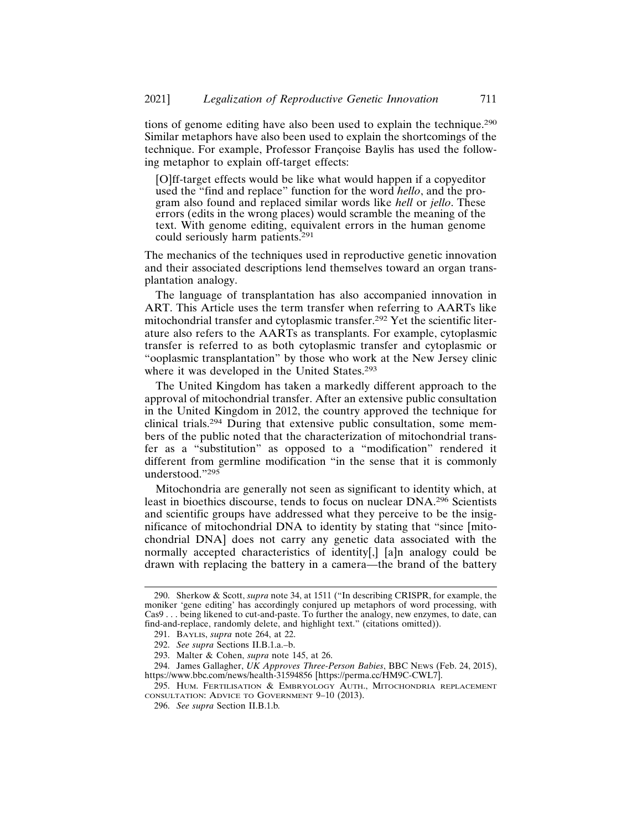tions of genome editing have also been used to explain the technique.<sup>290</sup> Similar metaphors have also been used to explain the shortcomings of the technique. For example, Professor Françoise Baylis has used the following metaphor to explain off-target effects:

[O]ff-target effects would be like what would happen if a copyeditor used the "find and replace" function for the word *hello*, and the program also found and replaced similar words like *hell* or *jello*. These errors (edits in the wrong places) would scramble the meaning of the text. With genome editing, equivalent errors in the human genome could seriously harm patients.<sup>291</sup>

The mechanics of the techniques used in reproductive genetic innovation and their associated descriptions lend themselves toward an organ transplantation analogy.

The language of transplantation has also accompanied innovation in ART. This Article uses the term transfer when referring to AARTs like mitochondrial transfer and cytoplasmic transfer.292 Yet the scientific literature also refers to the AARTs as transplants. For example, cytoplasmic transfer is referred to as both cytoplasmic transfer and cytoplasmic or "ooplasmic transplantation" by those who work at the New Jersey clinic where it was developed in the United States.<sup>293</sup>

The United Kingdom has taken a markedly different approach to the approval of mitochondrial transfer. After an extensive public consultation in the United Kingdom in 2012, the country approved the technique for clinical trials.294 During that extensive public consultation, some members of the public noted that the characterization of mitochondrial transfer as a "substitution" as opposed to a "modification" rendered it different from germline modification "in the sense that it is commonly understood."<sup>295</sup>

Mitochondria are generally not seen as significant to identity which, at least in bioethics discourse, tends to focus on nuclear DNA.296 Scientists and scientific groups have addressed what they perceive to be the insignificance of mitochondrial DNA to identity by stating that "since [mitochondrial DNA] does not carry any genetic data associated with the normally accepted characteristics of identity[,] [a]n analogy could be drawn with replacing the battery in a camera—the brand of the battery

<sup>290.</sup> Sherkow & Scott, *supra* note 34, at 1511 ("In describing CRISPR, for example, the moniker 'gene editing' has accordingly conjured up metaphors of word processing, with Cas9 . . . being likened to cut-and-paste. To further the analogy, new enzymes, to date, can find-and-replace, randomly delete, and highlight text." (citations omitted)).

<sup>291.</sup> BAYLIS, *supra* note 264, at 22.

<sup>292.</sup> *See supra* Sections II.B.1.a.–b.

<sup>293.</sup> Malter & Cohen, *supra* note 145, at 26.

<sup>294.</sup> James Gallagher, *UK Approves Three-Person Babies*, BBC NEWS (Feb. 24, 2015), https://www.bbc.com/news/health-31594856 [https://perma.cc/HM9C-CWL7].

<sup>295.</sup> HUM. FERTILISATION & EMBRYOLOGY AUTH., MITOCHONDRIA REPLACEMENT CONSULTATION: ADVICE TO GOVERNMENT 9–10 (2013).

<sup>296.</sup> *See supra* Section II.B.1.b*.*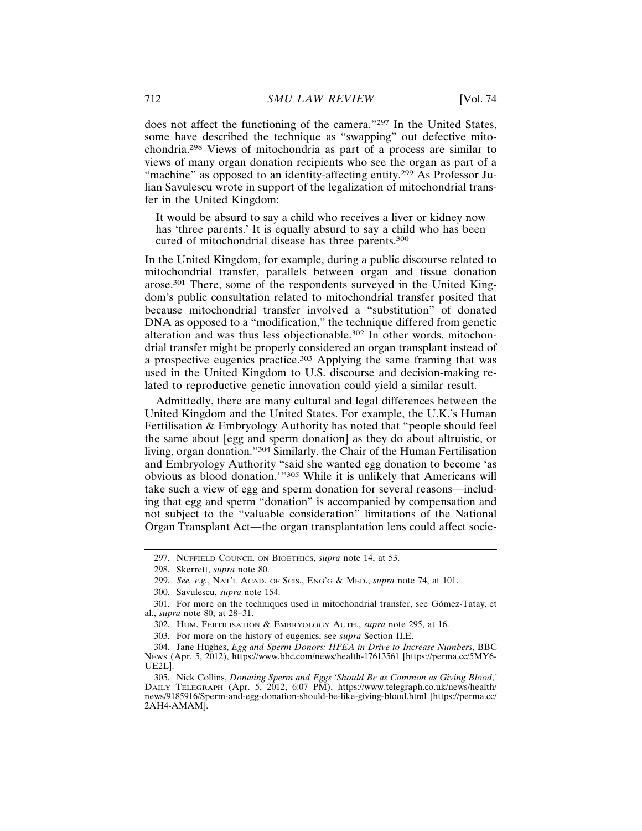does not affect the functioning of the camera."297 In the United States, some have described the technique as "swapping" out defective mitochondria.298 Views of mitochondria as part of a process are similar to views of many organ donation recipients who see the organ as part of a "machine" as opposed to an identity-affecting entity.<sup>299</sup> As Professor Julian Savulescu wrote in support of the legalization of mitochondrial transfer in the United Kingdom:

It would be absurd to say a child who receives a liver or kidney now has 'three parents.' It is equally absurd to say a child who has been cured of mitochondrial disease has three parents.<sup>300</sup>

In the United Kingdom, for example, during a public discourse related to mitochondrial transfer, parallels between organ and tissue donation arose.301 There, some of the respondents surveyed in the United Kingdom's public consultation related to mitochondrial transfer posited that because mitochondrial transfer involved a "substitution" of donated DNA as opposed to a "modification," the technique differed from genetic alteration and was thus less objectionable.302 In other words, mitochondrial transfer might be properly considered an organ transplant instead of a prospective eugenics practice.303 Applying the same framing that was used in the United Kingdom to U.S. discourse and decision-making related to reproductive genetic innovation could yield a similar result.

Admittedly, there are many cultural and legal differences between the United Kingdom and the United States. For example, the U.K.'s Human Fertilisation & Embryology Authority has noted that "people should feel the same about [egg and sperm donation] as they do about altruistic, or living, organ donation."304 Similarly, the Chair of the Human Fertilisation and Embryology Authority "said she wanted egg donation to become 'as obvious as blood donation.'"305 While it is unlikely that Americans will take such a view of egg and sperm donation for several reasons—including that egg and sperm "donation" is accompanied by compensation and not subject to the "valuable consideration" limitations of the National Organ Transplant Act—the organ transplantation lens could affect socie-

<sup>297.</sup> NUFFIELD COUNCIL ON BIOETHICS, *supra* note 14, at 53.

<sup>298.</sup> Skerrett, *supra* note 80.

<sup>299.</sup> *See, e.g.*, NAT'L ACAD. OF SCIS., ENG'G & MED., *supra* note 74, at 101.

<sup>300.</sup> Savulescu, *supra* note 154.

<sup>301.</sup> For more on the techniques used in mitochondrial transfer, see Gómez-Tatay, et al., *supra* note 80, at 28–31.

<sup>302.</sup> HUM. FERTILISATION & EMBRYOLOGY AUTH., *supra* note 295, at 16.

<sup>303.</sup> For more on the history of eugenics, see *supra* Section II.E.

<sup>304.</sup> Jane Hughes, *Egg and Sperm Donors: HFEA in Drive to Increase Numbers*, BBC NEWS (Apr. 5, 2012), https://www.bbc.com/news/health-17613561 [https://perma.cc/5MY6- UE2L].

<sup>305.</sup> Nick Collins, *Donating Sperm and Eggs 'Should Be as Common as Giving Blood*,*'* DAILY TELEGRAPH (Apr. 5, 2012, 6:07 PM), https://www.telegraph.co.uk/news/health/ news/9185916/Sperm-and-egg-donation-should-be-like-giving-blood.html [https://perma.cc/ 2AH4-AMAM].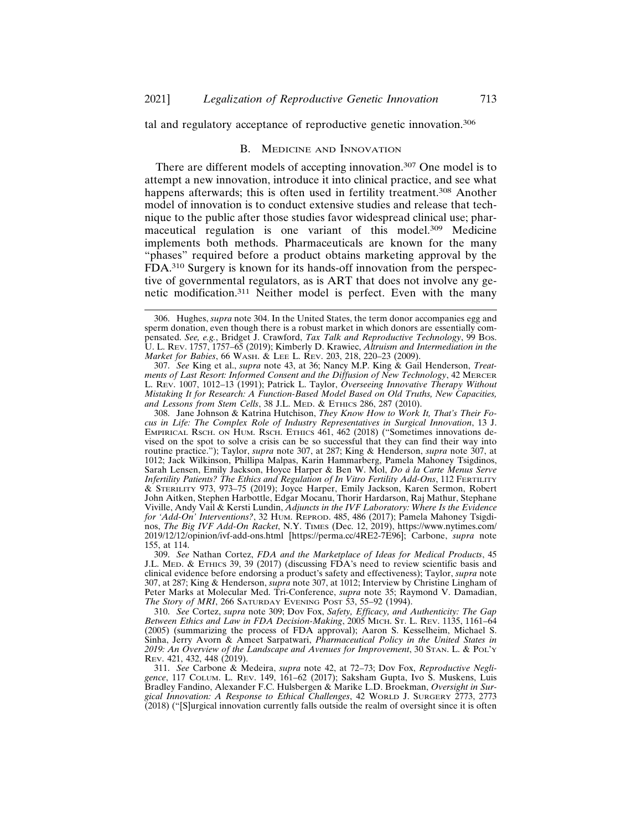tal and regulatory acceptance of reproductive genetic innovation.<sup>306</sup>

#### B. MEDICINE AND INNOVATION

There are different models of accepting innovation.<sup>307</sup> One model is to attempt a new innovation, introduce it into clinical practice, and see what happens afterwards; this is often used in fertility treatment.<sup>308</sup> Another model of innovation is to conduct extensive studies and release that technique to the public after those studies favor widespread clinical use; pharmaceutical regulation is one variant of this model.309 Medicine implements both methods. Pharmaceuticals are known for the many "phases" required before a product obtains marketing approval by the FDA.310 Surgery is known for its hands-off innovation from the perspective of governmental regulators, as is ART that does not involve any genetic modification.311 Neither model is perfect. Even with the many

308. Jane Johnson & Katrina Hutchison, *They Know How to Work It, That's Their Focus in Life: The Complex Role of Industry Representatives in Surgical Innovation*, 13 J. EMPIRICAL RSCH. ON HUM. RSCH. ETHICS 461, 462 (2018) ("Sometimes innovations devised on the spot to solve a crisis can be so successful that they can find their way into routine practice."); Taylor, *supra* note 307, at 287; King & Henderson, *supra* note 307, at 1012; Jack Wilkinson, Phillipa Malpas, Karin Hammarberg, Pamela Mahoney Tsigdinos, Sarah Lensen, Emily Jackson, Hoyce Harper & Ben W. Mol, *Do `a la Carte Menus Serve Infertility Patients? The Ethics and Regulation of In Vitro Fertility Add-Ons*, 112 FERTILITY & STERILITY 973, 973–75 (2019); Joyce Harper, Emily Jackson, Karen Sermon, Robert John Aitken, Stephen Harbottle, Edgar Mocanu, Thorir Hardarson, Raj Mathur, Stephane Viville, Andy Vail & Kersti Lundin, *Adjuncts in the IVF Laboratory: Where Is the Evidence for 'Add-On' Interventions?*, 32 HUM. REPROD. 485, 486 (2017); Pamela Mahoney Tsigdinos, *The Big IVF Add-On Racket*, N.Y. TIMES (Dec. 12, 2019), https://www.nytimes.com/ 2019/12/12/opinion/ivf-add-ons.html [https://perma.cc/4RE2-7E96]; Carbone, *supra* note 155, at 114.

309. *See* Nathan Cortez, *FDA and the Marketplace of Ideas for Medical Products*, 45 J.L. MED. & ETHICS 39, 39 (2017) (discussing FDA's need to review scientific basis and clinical evidence before endorsing a product's safety and effectiveness); Taylor, *supra* note 307, at 287; King & Henderson, *supra* note 307, at 1012; Interview by Christine Lingham of Peter Marks at Molecular Med. Tri-Conference, *supra* note 35; Raymond V. Damadian, *The Story of MRI*, 266 SATURDAY EVENING POST 53, 55–92 (1994).

310. *See* Cortez, *supra* note 309; Dov Fox, *Safety, Efficacy, and Authenticity: The Gap Between Ethics and Law in FDA Decision-Making*, 2005 MICH. ST. L. REV. 1135, 1161–64 (2005) (summarizing the process of FDA approval); Aaron S. Kesselheim, Michael S. Sinha, Jerry Avorn & Ameet Sarpatwari, *Pharmaceutical Policy in the United States in 2019: An Overview of the Landscape and Avenues for Improvement*, 30 STAN. L. & POL'Y REV. 421, 432, 448 (2019).

311. *See* Carbone & Medeira, *supra* note 42, at 72–73; Dov Fox, *Reproductive Negligence*, 117 COLUM. L. REV. 149, 161–62 (2017); Saksham Gupta, Ivo S. Muskens, Luis Bradley Fandino, Alexander F.C. Hulsbergen & Marike L.D. Broekman, *Oversight in Surgical Innovation: A Response to Ethical Challenges*, 42 WORLD J. SURGERY 2773, 2773 (2018) ("[S]urgical innovation currently falls outside the realm of oversight since it is often

<sup>306.</sup> Hughes, *supra* note 304. In the United States, the term donor accompanies egg and sperm donation, even though there is a robust market in which donors are essentially compensated. *See, e.g.*, Bridget J. Crawford, *Tax Talk and Reproductive Technology*, 99 BOS. U. L. REV. 1757, 1757–65 (2019); Kimberly D. Krawiec, *Altruism and Intermediation in the Market for Babies*, 66 WASH. & LEE L. REV. 203, 218, 220–23 (2009).

<sup>307.</sup> *See* King et al., *supra* note 43, at 36; Nancy M.P. King & Gail Henderson, *Treatments of Last Resort: Informed Consent and the Diffusion of New Technology*, 42 MERCER L. REV. 1007, 1012–13 (1991); Patrick L. Taylor, *Overseeing Innovative Therapy Without Mistaking It for Research: A Function-Based Model Based on Old Truths, New Capacities, and Lessons from Stem Cells*, 38 J.L. MED. & ETHICS 286, 287 (2010).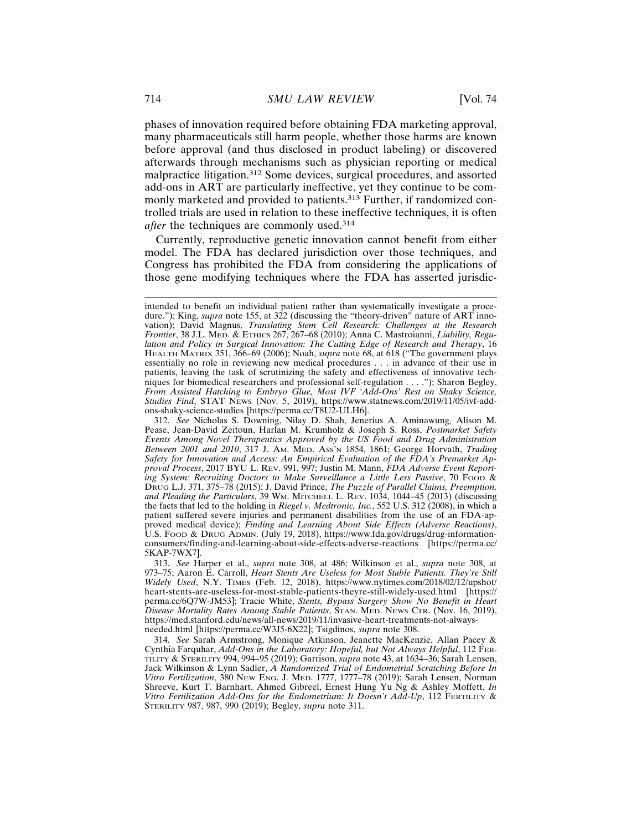phases of innovation required before obtaining FDA marketing approval, many pharmaceuticals still harm people, whether those harms are known before approval (and thus disclosed in product labeling) or discovered afterwards through mechanisms such as physician reporting or medical malpractice litigation.312 Some devices, surgical procedures, and assorted add-ons in ART are particularly ineffective, yet they continue to be commonly marketed and provided to patients.<sup>313</sup> Further, if randomized controlled trials are used in relation to these ineffective techniques, it is often *after* the techniques are commonly used.<sup>314</sup>

Currently, reproductive genetic innovation cannot benefit from either model. The FDA has declared jurisdiction over those techniques, and Congress has prohibited the FDA from considering the applications of those gene modifying techniques where the FDA has asserted jurisdic-

intended to benefit an individual patient rather than systematically investigate a procedure."); King, *supra* note 155, at 322 (discussing the "theory-driven" nature of ART innovation); David Magnus, *Translating Stem Cell Research: Challenges at the Research Frontier*, 38 J.L. MED. & ETHICS 267, 267–68 (2010); Anna C. Mastroianni, *Liability, Regulation and Policy in Surgical Innovation: The Cutting Edge of Research and Therapy*, 16 HEALTH MATRIX 351, 366–69 (2006); Noah, *supra* note 68, at 618 ("The government plays essentially no role in reviewing new medical procedures . . . in advance of their use in patients, leaving the task of scrutinizing the safety and effectiveness of innovative techniques for biomedical researchers and professional self-regulation . . . ."); Sharon Begley, *From Assisted Hatching to Embryo Glue, Most IVF 'Add-Ons' Rest on Shaky Science, Studies Find*, STAT NEWS (Nov. 5, 2019), https://www.statnews.com/2019/11/05/ivf-addons-shaky-science-studies [https://perma.cc/T8U2-ULH6].

<sup>312.</sup> *See* Nicholas S. Downing, Nilay D. Shah, Jenerius A. Aminawung, Alison M. Pease, Jean-David Zeitoun, Harlan M. Krumholz & Joseph S. Ross, *Postmarket Safety Events Among Novel Therapeutics Approved by the US Food and Drug Administration Between 2001 and 2010*, 317 J. AM. MED. ASS'N 1854, 1861; George Horvath, *Trading Safety for Innovation and Access: An Empirical Evaluation of the FDA's Premarket Approval Process*, 2017 BYU L. REV. 991, 997; Justin M. Mann, *FDA Adverse Event Reporting System: Recruiting Doctors to Make Surveillance a Little Less Passive*, 70 FOOD & DRUG L.J. 371, 375–78 (2015); J. David Prince, *The Puzzle of Parallel Claims, Preemption, and Pleading the Particulars*, 39 WM. MITCHELL L. REV. 1034, 1044–45 (2013) (discussing the facts that led to the holding in *Riegel v. Medtronic, Inc.*, 552 U.S. 312 (2008), in which a patient suffered severe injuries and permanent disabilities from the use of an FDA-approved medical device); *Finding and Learning About Side Effects (Adverse Reactions)*, U.S. FOOD & DRUG ADMIN. (July 19, 2018), https://www.fda.gov/drugs/drug-informationconsumers/finding-and-learning-about-side-effects-adverse-reactions [https://perma.cc/ 5KAP-7WX7].

<sup>313.</sup> *See* Harper et al., *supra* note 308, at 486; Wilkinson et al., *supra* note 308, at 973–75; Aaron E. Carroll, *Heart Stents Are Useless for Most Stable Patients. They're Still Widely Used*, N.Y. TIMES (Feb. 12, 2018), https://www.nytimes.com/2018/02/12/upshot/ heart-stents-are-useless-for-most-stable-patients-theyre-still-widely-used.html [https:// perma.cc/6Q7W-JM53]; Tracie White, *Stents, Bypass Surgery Show No Benefit in Heart Disease Mortality Rates Among Stable Patients*, STAN. MED. NEWS CTR. (Nov. 16, 2019), https://med.stanford.edu/news/all-news/2019/11/invasive-heart-treatments-not-alwaysneeded.html [https://perma.cc/W3J5-6X22]; Tsigdinos, *supra* note 308.

<sup>314.</sup> *See* Sarah Armstrong, Monique Atkinson, Jeanette MacKenzie, Allan Pacey & Cynthia Farquhar, *Add-Ons in the Laboratory: Hopeful, but Not Always Helpful*, 112 FER-TILITY & STERILITY 994, 994–95 (2019); Garrison, *supra* note 43, at 1634–36; Sarah Lensen, Jack Wilkinson & Lynn Sadler, *A Randomized Trial of Endometrial Scratching Before In Vitro Fertilization*, 380 NEW ENG. J. MED. 1777, 1777–78 (2019); Sarah Lensen, Norman Shreeve, Kurt T. Barnhart, Ahmed Gibreel, Ernest Hung Yu Ng & Ashley Moffett, *In Vitro Fertilization Add-Ons for the Endometrium: It Doesn't Add-Up*, 112 FERTILITY & STERILITY 987, 987, 990 (2019); Begley, *supra* note 311.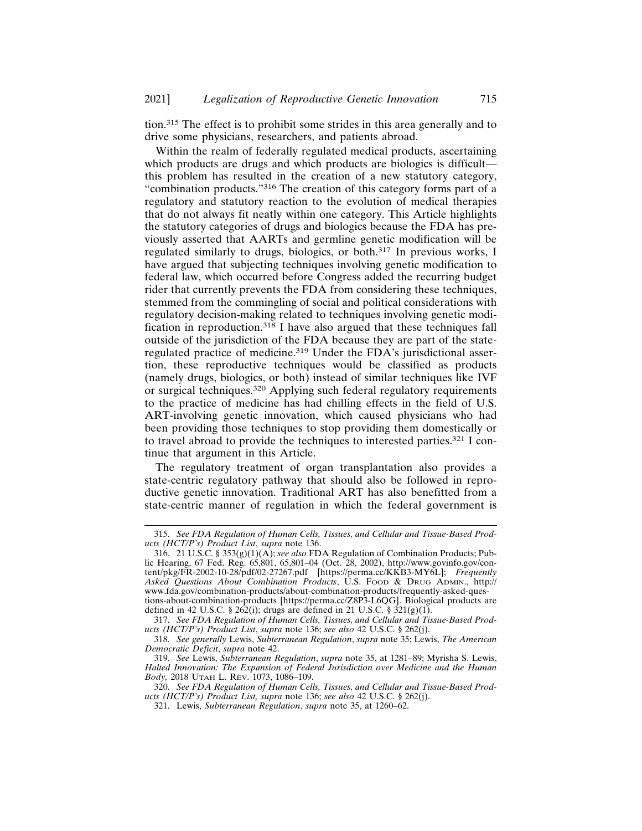tion.315 The effect is to prohibit some strides in this area generally and to drive some physicians, researchers, and patients abroad.

Within the realm of federally regulated medical products, ascertaining which products are drugs and which products are biologics is difficult this problem has resulted in the creation of a new statutory category, "combination products."316 The creation of this category forms part of a regulatory and statutory reaction to the evolution of medical therapies that do not always fit neatly within one category. This Article highlights the statutory categories of drugs and biologics because the FDA has previously asserted that AARTs and germline genetic modification will be regulated similarly to drugs, biologics, or both.317 In previous works, I have argued that subjecting techniques involving genetic modification to federal law, which occurred before Congress added the recurring budget rider that currently prevents the FDA from considering these techniques, stemmed from the commingling of social and political considerations with regulatory decision-making related to techniques involving genetic modification in reproduction.318 I have also argued that these techniques fall outside of the jurisdiction of the FDA because they are part of the stateregulated practice of medicine.319 Under the FDA's jurisdictional assertion, these reproductive techniques would be classified as products (namely drugs, biologics, or both) instead of similar techniques like IVF or surgical techniques.320 Applying such federal regulatory requirements to the practice of medicine has had chilling effects in the field of U.S. ART-involving genetic innovation, which caused physicians who had been providing those techniques to stop providing them domestically or to travel abroad to provide the techniques to interested parties.321 I continue that argument in this Article.

The regulatory treatment of organ transplantation also provides a state-centric regulatory pathway that should also be followed in reproductive genetic innovation. Traditional ART has also benefitted from a state-centric manner of regulation in which the federal government is

<sup>315.</sup> *See FDA Regulation of Human Cells, Tissues, and Cellular and Tissue-Based Products (HCT/P's) Product List*, *supra* note 136.

<sup>316. 21</sup> U.S.C. § 353(g)(1)(A); *see also* FDA Regulation of Combination Products; Public Hearing, 67 Fed. Reg. 65,801, 65,801–04 (Oct. 28, 2002), http://www.govinfo.gov/content/pkg/FR-2002-10-28/pdf/02-27267.pdf [https://perma.cc/KKB3-MY6L]; *Frequently Asked Questions About Combination Products*, U.S. FOOD & DRUG ADMIN., http:// www.fda.gov/combination-products/about-combination-products/frequently-asked-questions-about-combination-products [https://perma.cc/Z8P3-L6QG]. Biological products are defined in 42 U.S.C. § 262(i); drugs are defined in 21 U.S.C. §  $\overline{321(g)(1)}$ .

<sup>317.</sup> *See FDA Regulation of Human Cells, Tissues, and Cellular and Tissue-Based Products (HCT/P's) Product List*, *supra* note 136; *see also* 42 U.S.C. § 262(j).

<sup>318.</sup> *See generally* Lewis, *Subterranean Regulation*, *supra* note 35; Lewis, *The American Democratic Deficit*, *supra* note 42.

<sup>319.</sup> *See* Lewis, *Subterranean Regulation*, *supra* note 35, at 1281–89; Myrisha S. Lewis, *Halted Innovation: The Expansion of Federal Jurisdiction over Medicine and the Human Body,* 2018 UTAH L. REV. 1073, 1086–109.

<sup>320.</sup> *See FDA Regulation of Human Cells, Tissues, and Cellular and Tissue-Based Products (HCT/P's) Product List, supra* note 136; *see also* 42 U.S.C. § 262(j).

<sup>321.</sup> Lewis, *Subterranean Regulation*, *supra* note 35, at 1260–62.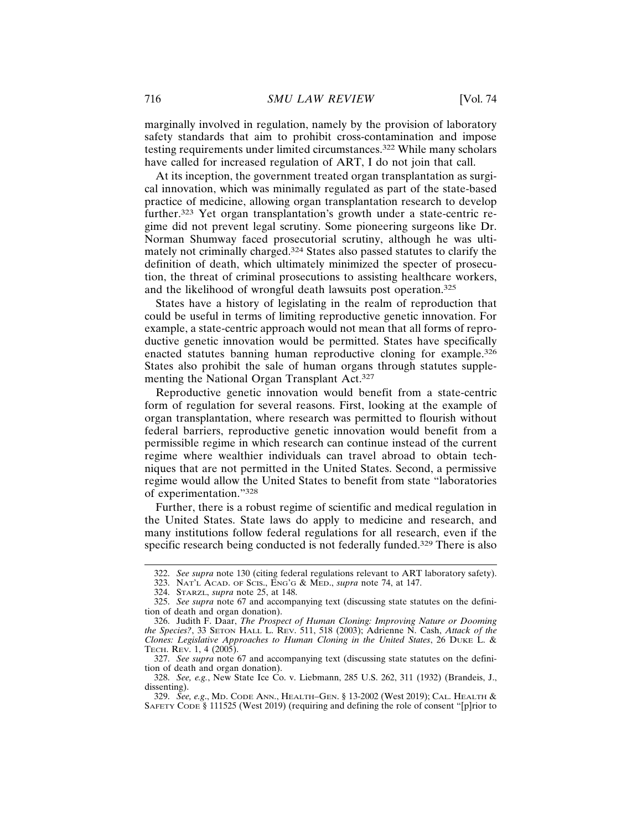marginally involved in regulation, namely by the provision of laboratory safety standards that aim to prohibit cross-contamination and impose testing requirements under limited circumstances.322 While many scholars have called for increased regulation of ART, I do not join that call.

At its inception, the government treated organ transplantation as surgical innovation, which was minimally regulated as part of the state-based practice of medicine, allowing organ transplantation research to develop further.323 Yet organ transplantation's growth under a state-centric regime did not prevent legal scrutiny. Some pioneering surgeons like Dr. Norman Shumway faced prosecutorial scrutiny, although he was ultimately not criminally charged.324 States also passed statutes to clarify the definition of death, which ultimately minimized the specter of prosecution, the threat of criminal prosecutions to assisting healthcare workers, and the likelihood of wrongful death lawsuits post operation.<sup>325</sup>

States have a history of legislating in the realm of reproduction that could be useful in terms of limiting reproductive genetic innovation. For example, a state-centric approach would not mean that all forms of reproductive genetic innovation would be permitted. States have specifically enacted statutes banning human reproductive cloning for example.<sup>326</sup> States also prohibit the sale of human organs through statutes supplementing the National Organ Transplant Act.<sup>327</sup>

Reproductive genetic innovation would benefit from a state-centric form of regulation for several reasons. First, looking at the example of organ transplantation, where research was permitted to flourish without federal barriers, reproductive genetic innovation would benefit from a permissible regime in which research can continue instead of the current regime where wealthier individuals can travel abroad to obtain techniques that are not permitted in the United States. Second, a permissive regime would allow the United States to benefit from state "laboratories of experimentation."<sup>328</sup>

Further, there is a robust regime of scientific and medical regulation in the United States. State laws do apply to medicine and research, and many institutions follow federal regulations for all research, even if the specific research being conducted is not federally funded.<sup>329</sup> There is also

<sup>322.</sup> *See supra* note 130 (citing federal regulations relevant to ART laboratory safety).

<sup>323.</sup> NAT'L ACAD. OF SCIS., ENG'G & MED., *supra* note 74, at 147.

<sup>324.</sup> STARZL, *supra* note 25, at 148.

<sup>325.</sup> *See supra* note 67 and accompanying text (discussing state statutes on the definition of death and organ donation).

<sup>326.</sup> Judith F. Daar, *The Prospect of Human Cloning: Improving Nature or Dooming the Species?*, 33 SETON HALL L. REV. 511, 518 (2003); Adrienne N. Cash, *Attack of the Clones: Legislative Approaches to Human Cloning in the United States*, 26 DUKE L. & TECH. REV. 1, 4 (2005).

<sup>327.</sup> *See supra* note 67 and accompanying text (discussing state statutes on the definition of death and organ donation).

<sup>328.</sup> *See, e.g.*, New State Ice Co. v. Liebmann, 285 U.S. 262, 311 (1932) (Brandeis, J., dissenting).

<sup>329.</sup> *See, e.g*., MD. CODE ANN., HEALTH–GEN. § 13-2002 (West 2019); CAL. HEALTH & SAFETY CODE § 111525 (West 2019) (requiring and defining the role of consent "[p]rior to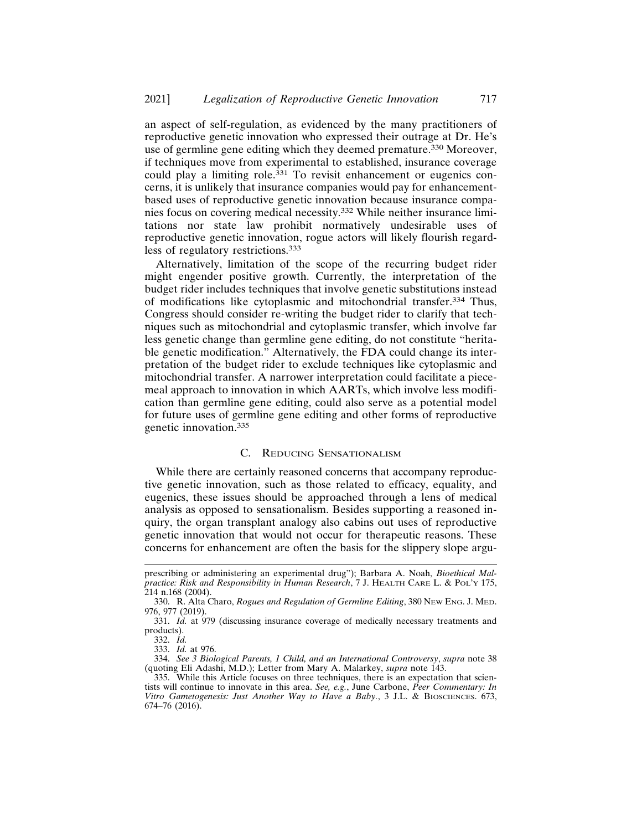an aspect of self-regulation, as evidenced by the many practitioners of reproductive genetic innovation who expressed their outrage at Dr. He's use of germline gene editing which they deemed premature.330 Moreover, if techniques move from experimental to established, insurance coverage could play a limiting role.<sup>331</sup> To revisit enhancement or eugenics concerns, it is unlikely that insurance companies would pay for enhancementbased uses of reproductive genetic innovation because insurance companies focus on covering medical necessity.332 While neither insurance limitations nor state law prohibit normatively undesirable uses of reproductive genetic innovation, rogue actors will likely flourish regardless of regulatory restrictions.<sup>333</sup>

Alternatively, limitation of the scope of the recurring budget rider might engender positive growth. Currently, the interpretation of the budget rider includes techniques that involve genetic substitutions instead of modifications like cytoplasmic and mitochondrial transfer.334 Thus, Congress should consider re-writing the budget rider to clarify that techniques such as mitochondrial and cytoplasmic transfer, which involve far less genetic change than germline gene editing, do not constitute "heritable genetic modification." Alternatively, the FDA could change its interpretation of the budget rider to exclude techniques like cytoplasmic and mitochondrial transfer. A narrower interpretation could facilitate a piecemeal approach to innovation in which AARTs, which involve less modification than germline gene editing, could also serve as a potential model for future uses of germline gene editing and other forms of reproductive genetic innovation.<sup>335</sup>

# C. REDUCING SENSATIONALISM

While there are certainly reasoned concerns that accompany reproductive genetic innovation, such as those related to efficacy, equality, and eugenics, these issues should be approached through a lens of medical analysis as opposed to sensationalism. Besides supporting a reasoned inquiry, the organ transplant analogy also cabins out uses of reproductive genetic innovation that would not occur for therapeutic reasons. These concerns for enhancement are often the basis for the slippery slope argu-

prescribing or administering an experimental drug"); Barbara A. Noah, *Bioethical Malpractice: Risk and Responsibility in Human Research*, 7 J. HEALTH CARE L. & POL'Y 175, 214 n.168 (2004).

<sup>330.</sup> R. Alta Charo, *Rogues and Regulation of Germline Editing*, 380 NEW ENG. J. MED. 976, 977 (2019).

<sup>331.</sup> *Id.* at 979 (discussing insurance coverage of medically necessary treatments and products).

<sup>332.</sup> *Id.*

<sup>333.</sup> *Id.* at 976.

<sup>334.</sup> *See 3 Biological Parents, 1 Child, and an International Controversy*, *supra* note 38 (quoting Eli Adashi, M.D.); Letter from Mary A. Malarkey, *supra* note 143.

<sup>335.</sup> While this Article focuses on three techniques, there is an expectation that scientists will continue to innovate in this area. *See, e.g.*, June Carbone, *Peer Commentary: In Vitro Gametogenesis: Just Another Way to Have a Baby.*, 3 J.L. & BIOSCIENCES. 673, 674–76 (2016).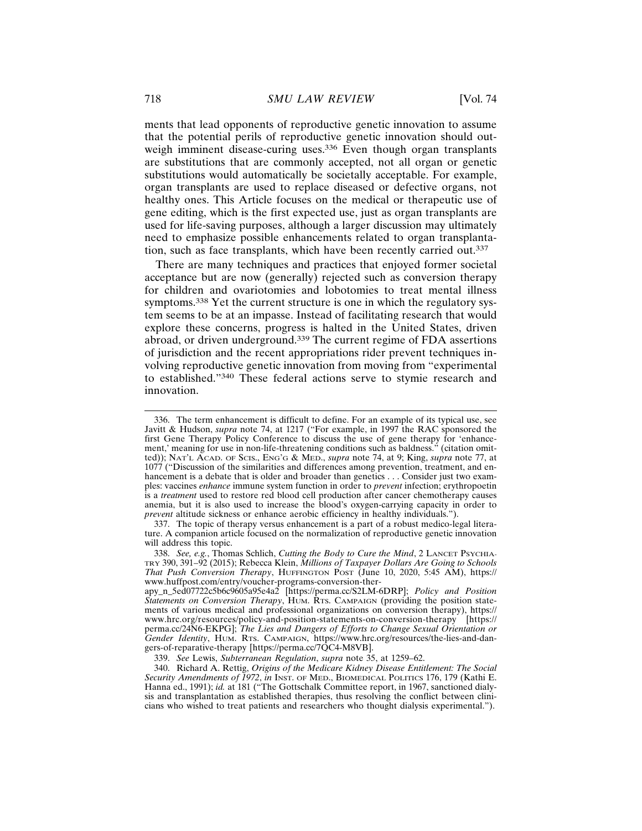ments that lead opponents of reproductive genetic innovation to assume that the potential perils of reproductive genetic innovation should outweigh imminent disease-curing uses.<sup>336</sup> Even though organ transplants are substitutions that are commonly accepted, not all organ or genetic substitutions would automatically be societally acceptable. For example, organ transplants are used to replace diseased or defective organs, not healthy ones. This Article focuses on the medical or therapeutic use of gene editing, which is the first expected use, just as organ transplants are used for life-saving purposes, although a larger discussion may ultimately need to emphasize possible enhancements related to organ transplantation, such as face transplants, which have been recently carried out.<sup>337</sup>

There are many techniques and practices that enjoyed former societal acceptance but are now (generally) rejected such as conversion therapy for children and ovariotomies and lobotomies to treat mental illness symptoms.<sup>338</sup> Yet the current structure is one in which the regulatory system seems to be at an impasse. Instead of facilitating research that would explore these concerns, progress is halted in the United States, driven abroad, or driven underground.339 The current regime of FDA assertions of jurisdiction and the recent appropriations rider prevent techniques involving reproductive genetic innovation from moving from "experimental to established."340 These federal actions serve to stymie research and innovation.

337. The topic of therapy versus enhancement is a part of a robust medico-legal literature. A companion article focused on the normalization of reproductive genetic innovation will address this topic.

339. *See* Lewis, *Subterranean Regulation*, *supra* note 35, at 1259–62.

340. Richard A. Rettig, *Origins of the Medicare Kidney Disease Entitlement: The Social Security Amendments of 1972*, *in* INST. OF MED., BIOMEDICAL POLITICS 176, 179 (Kathi E. Hanna ed., 1991); *id.* at 181 ("The Gottschalk Committee report, in 1967, sanctioned dialysis and transplantation as established therapies, thus resolving the conflict between clinicians who wished to treat patients and researchers who thought dialysis experimental.").

<sup>336.</sup> The term enhancement is difficult to define. For an example of its typical use, see Javitt & Hudson, *supra* note 74, at 1217 ("For example, in 1997 the RAC sponsored the first Gene Therapy Policy Conference to discuss the use of gene therapy for 'enhancement,' meaning for use in non-life-threatening conditions such as baldness." (citation omitted)); NAT'L ACAD. OF SCIS., ENG'G & MED., *supra* note 74, at 9; King, *supra* note 77, at 1077 ("Discussion of the similarities and differences among prevention, treatment, and enhancement is a debate that is older and broader than genetics . . . Consider just two examples: vaccines *enhance* immune system function in order to *prevent* infection; erythropoetin is a *treatment* used to restore red blood cell production after cancer chemotherapy causes anemia, but it is also used to increase the blood's oxygen-carrying capacity in order to *prevent* altitude sickness or enhance aerobic efficiency in healthy individuals.").

<sup>338.</sup> *See, e.g.*, Thomas Schlich, *Cutting the Body to Cure the Mind*, 2 LANCET PSYCHIA-TRY 390, 391–92 (2015); Rebecca Klein, *Millions of Taxpayer Dollars Are Going to Schools That Push Conversion Therapy*, HUFFINGTON POST (June 10, 2020, 5:45 AM), https:// www.huffpost.com/entry/voucher-programs-conversion-ther-

apy\_n\_5ed07722c5b6c9605a95e4a2 [https://perma.cc/S2LM-6DRP]; *Policy and Position Statements on Conversion Therapy*, HUM. RTS. CAMPAIGN (providing the position statements of various medical and professional organizations on conversion therapy), https:// www.hrc.org/resources/policy-and-position-statements-on-conversion-therapy [https:// perma.cc/24N6-EKPG]; *The Lies and Dangers of Efforts to Change Sexual Orientation or Gender Identity*, HUM. RTS. CAMPAIGN, https://www.hrc.org/resources/the-lies-and-dangers-of-reparative-therapy [https://perma.cc/7QC4-M8VB].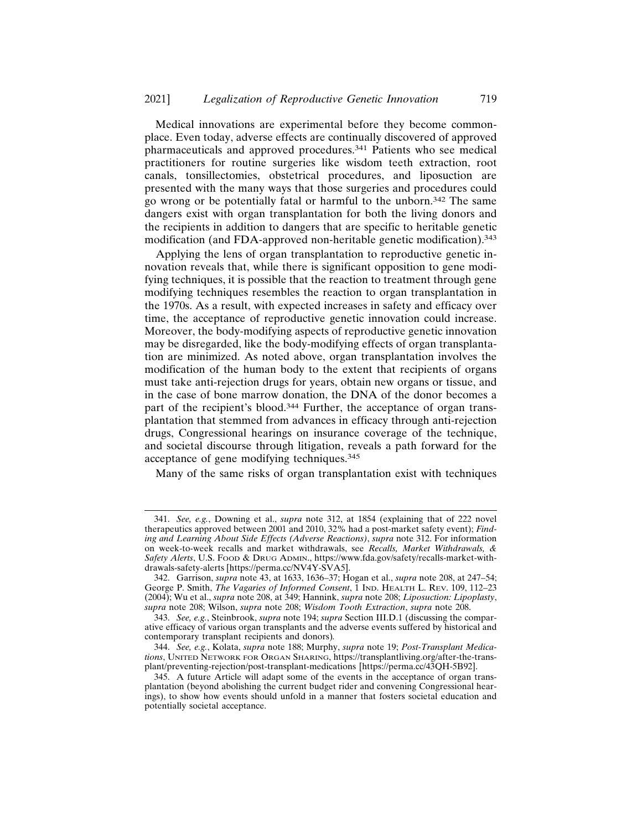Medical innovations are experimental before they become commonplace. Even today, adverse effects are continually discovered of approved pharmaceuticals and approved procedures.341 Patients who see medical practitioners for routine surgeries like wisdom teeth extraction, root canals, tonsillectomies, obstetrical procedures, and liposuction are presented with the many ways that those surgeries and procedures could go wrong or be potentially fatal or harmful to the unborn.342 The same dangers exist with organ transplantation for both the living donors and the recipients in addition to dangers that are specific to heritable genetic modification (and FDA-approved non-heritable genetic modification).<sup>343</sup>

Applying the lens of organ transplantation to reproductive genetic innovation reveals that, while there is significant opposition to gene modifying techniques, it is possible that the reaction to treatment through gene modifying techniques resembles the reaction to organ transplantation in the 1970s. As a result, with expected increases in safety and efficacy over time, the acceptance of reproductive genetic innovation could increase. Moreover, the body-modifying aspects of reproductive genetic innovation may be disregarded, like the body-modifying effects of organ transplantation are minimized. As noted above, organ transplantation involves the modification of the human body to the extent that recipients of organs must take anti-rejection drugs for years, obtain new organs or tissue, and in the case of bone marrow donation, the DNA of the donor becomes a part of the recipient's blood.<sup>344</sup> Further, the acceptance of organ transplantation that stemmed from advances in efficacy through anti-rejection drugs, Congressional hearings on insurance coverage of the technique, and societal discourse through litigation, reveals a path forward for the acceptance of gene modifying techniques.<sup>345</sup>

Many of the same risks of organ transplantation exist with techniques

<sup>341.</sup> *See, e.g.*, Downing et al., *supra* note 312, at 1854 (explaining that of 222 novel therapeutics approved between 2001 and 2010, 32% had a post-market safety event); *Finding and Learning About Side Effects (Adverse Reactions)*, *supra* note 312. For information on week-to-week recalls and market withdrawals, see *Recalls, Market Withdrawals, & Safety Alerts*, U.S. FOOD & DRUG ADMIN., https://www.fda.gov/safety/recalls-market-withdrawals-safety-alerts [https://perma.cc/NV4Y-SVA5].

<sup>342.</sup> Garrison, *supra* note 43, at 1633, 1636–37; Hogan et al., *supra* note 208, at 247–54; George P. Smith, *The Vagaries of Informed Consent*, 1 IND. HEALTH L. REV. 109, 112–23 (2004); Wu et al., *supra* note 208, at 349; Hannink, *supra* note 208; *Liposuction: Lipoplasty*, *supra* note 208; Wilson, *supra* note 208; *Wisdom Tooth Extraction*, *supra* note 208.

<sup>343.</sup> *See, e.g.*, Steinbrook, *supra* note 194; *supra* Section III.D.1 (discussing the comparative efficacy of various organ transplants and the adverse events suffered by historical and contemporary transplant recipients and donors)*.*

<sup>344.</sup> *See, e.g.*, Kolata, *supra* note 188; Murphy, *supra* note 19; *Post-Transplant Medications*, UNITED NETWORK FOR ORGAN SHARING, https://transplantliving.org/after-the-transplant/preventing-rejection/post-transplant-medications [https://perma.cc/43QH-5B92].

<sup>345.</sup> A future Article will adapt some of the events in the acceptance of organ transplantation (beyond abolishing the current budget rider and convening Congressional hearings), to show how events should unfold in a manner that fosters societal education and potentially societal acceptance.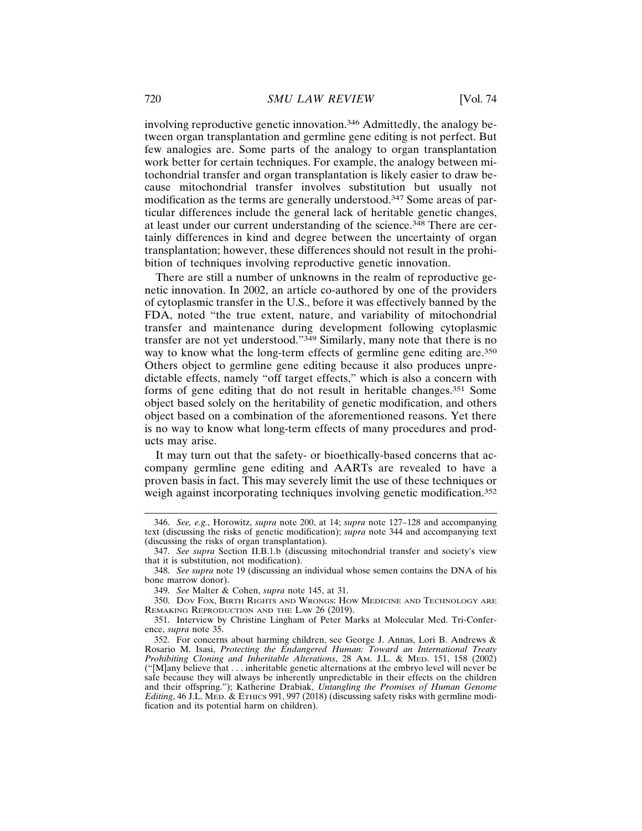involving reproductive genetic innovation.346 Admittedly, the analogy between organ transplantation and germline gene editing is not perfect. But few analogies are. Some parts of the analogy to organ transplantation work better for certain techniques. For example, the analogy between mitochondrial transfer and organ transplantation is likely easier to draw because mitochondrial transfer involves substitution but usually not modification as the terms are generally understood.347 Some areas of particular differences include the general lack of heritable genetic changes, at least under our current understanding of the science.<sup>348</sup> There are certainly differences in kind and degree between the uncertainty of organ transplantation; however, these differences should not result in the prohibition of techniques involving reproductive genetic innovation.

There are still a number of unknowns in the realm of reproductive genetic innovation. In 2002, an article co-authored by one of the providers of cytoplasmic transfer in the U.S., before it was effectively banned by the FDA, noted "the true extent, nature, and variability of mitochondrial transfer and maintenance during development following cytoplasmic transfer are not yet understood."349 Similarly, many note that there is no way to know what the long-term effects of germline gene editing are.<sup>350</sup> Others object to germline gene editing because it also produces unpredictable effects, namely "off target effects," which is also a concern with forms of gene editing that do not result in heritable changes.351 Some object based solely on the heritability of genetic modification, and others object based on a combination of the aforementioned reasons. Yet there is no way to know what long-term effects of many procedures and products may arise.

It may turn out that the safety- or bioethically-based concerns that accompany germline gene editing and AARTs are revealed to have a proven basis in fact. This may severely limit the use of these techniques or weigh against incorporating techniques involving genetic modification.<sup>352</sup>

<sup>346.</sup> *See, e.g.*, Horowitz, *supra* note 200, at 14; *supra* note 127–128 and accompanying text (discussing the risks of genetic modification); *supra* note 344 and accompanying text (discussing the risks of organ transplantation).

<sup>347.</sup> *See supra* Section II.B.1.b (discussing mitochondrial transfer and society's view that it is substitution, not modification).

<sup>348.</sup> *See supra* note 19 (discussing an individual whose semen contains the DNA of his bone marrow donor).

<sup>349.</sup> *See* Malter & Cohen, *supra* note 145, at 31.

<sup>350.</sup> DOV FOX, BIRTH RIGHTS AND WRONGS: HOW MEDICINE AND TECHNOLOGY ARE REMAKING REPRODUCTION AND THE LAW 26 (2019).

<sup>351.</sup> Interview by Christine Lingham of Peter Marks at Molecular Med. Tri-Conference, *supra* note 35.

<sup>352.</sup> For concerns about harming children, see George J. Annas, Lori B. Andrews & Rosario M. Isasi, *Protecting the Endangered Human: Toward an International Treaty Prohibiting Cloning and Inheritable Alterations*, 28 AM. J.L. & MED. 151, 158 (2002) ("[M]any believe that . . . inheritable genetic alternations at the embryo level will never be safe because they will always be inherently unpredictable in their effects on the children and their offspring."); Katherine Drabiak, *Untangling the Promises of Human Genome Editing*, 46 J.L. MED. & ETHICS 991, 997 (2018) (discussing safety risks with germline modification and its potential harm on children).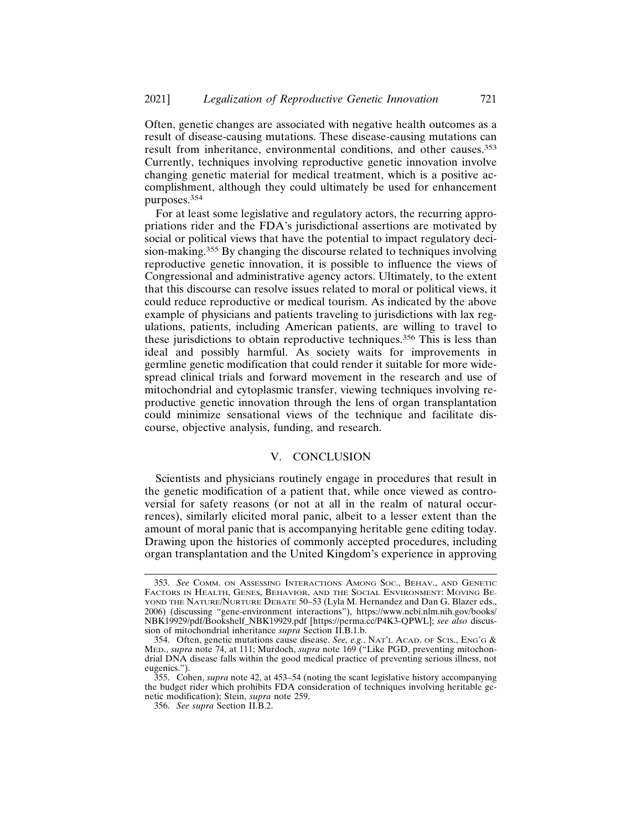Often, genetic changes are associated with negative health outcomes as a result of disease-causing mutations. These disease-causing mutations can result from inheritance, environmental conditions, and other causes.<sup>353</sup> Currently, techniques involving reproductive genetic innovation involve changing genetic material for medical treatment, which is a positive accomplishment, although they could ultimately be used for enhancement purposes.<sup>354</sup>

For at least some legislative and regulatory actors, the recurring appropriations rider and the FDA's jurisdictional assertions are motivated by social or political views that have the potential to impact regulatory decision-making.355 By changing the discourse related to techniques involving reproductive genetic innovation, it is possible to influence the views of Congressional and administrative agency actors. Ultimately, to the extent that this discourse can resolve issues related to moral or political views, it could reduce reproductive or medical tourism. As indicated by the above example of physicians and patients traveling to jurisdictions with lax regulations, patients, including American patients, are willing to travel to these jurisdictions to obtain reproductive techniques.356 This is less than ideal and possibly harmful. As society waits for improvements in germline genetic modification that could render it suitable for more widespread clinical trials and forward movement in the research and use of mitochondrial and cytoplasmic transfer, viewing techniques involving reproductive genetic innovation through the lens of organ transplantation could minimize sensational views of the technique and facilitate discourse, objective analysis, funding, and research.

# V. CONCLUSION

Scientists and physicians routinely engage in procedures that result in the genetic modification of a patient that, while once viewed as controversial for safety reasons (or not at all in the realm of natural occurrences), similarly elicited moral panic, albeit to a lesser extent than the amount of moral panic that is accompanying heritable gene editing today. Drawing upon the histories of commonly accepted procedures, including organ transplantation and the United Kingdom's experience in approving

<sup>353.</sup> *See* COMM. ON ASSESSING INTERACTIONS AMONG SOC., BEHAV., AND GENETIC FACTORS IN HEALTH, GENES, BEHAVIOR, AND THE SOCIAL ENVIRONMENT: MOVING BE-YOND THE NATURE/NURTURE DEBATE 50-53 (Lyla M. Hernandez and Dan G. Blazer eds., 2006) (discussing "gene-environment interactions"), https://www.ncbi.nlm.nih.gov/books/ NBK19929/pdf/Bookshelf\_NBK19929.pdf [https://perma.cc/P4K3-QPWL]; *see also* discussion of mitochondrial inheritance *supra* Section II.B.1.b.

<sup>354.</sup> Often, genetic mutations cause disease. *See, e.g.*, NAT'L ACAD. OF SCIS., ENG'G & MED., *supra* note 74, at 111; Murdoch, *supra* note 169 ("Like PGD, preventing mitochondrial DNA disease falls within the good medical practice of preventing serious illness, not eugenics.").

<sup>355.</sup> Cohen, *supra* note 42, at 453–54 (noting the scant legislative history accompanying the budget rider which prohibits FDA consideration of techniques involving heritable genetic modification); Stein, *supra* note 259.

<sup>356.</sup> *See supra* Section II.B.2.